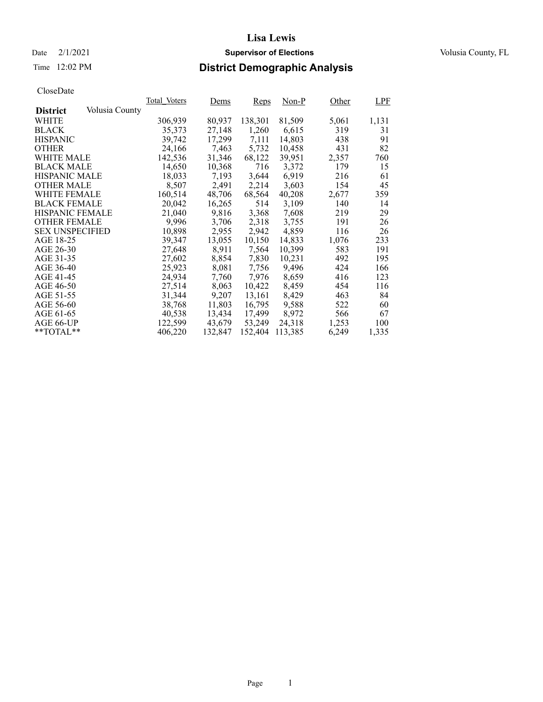### Date  $2/1/2021$  **Supervisor of Elections** Volusia County, FL

### Time 12:02 PM **District Demographic Analysis**

|                        |                | Total Voters | Dems    | Reps    | $Non-P$ | Other | LPF   |
|------------------------|----------------|--------------|---------|---------|---------|-------|-------|
| <b>District</b>        | Volusia County |              |         |         |         |       |       |
| WHITE                  |                | 306,939      | 80,937  | 138,301 | 81,509  | 5,061 | 1,131 |
| <b>BLACK</b>           |                | 35,373       | 27,148  | 1,260   | 6,615   | 319   | 31    |
| <b>HISPANIC</b>        |                | 39,742       | 17,299  | 7,111   | 14,803  | 438   | 91    |
| <b>OTHER</b>           |                | 24,166       | 7,463   | 5,732   | 10,458  | 431   | 82    |
| WHITE MALE             |                | 142.536      | 31,346  | 68,122  | 39.951  | 2,357 | 760   |
| <b>BLACK MALE</b>      |                | 14,650       | 10,368  | 716     | 3,372   | 179   | 15    |
| <b>HISPANIC MALE</b>   |                | 18,033       | 7,193   | 3,644   | 6,919   | 216   | 61    |
| <b>OTHER MALE</b>      |                | 8,507        | 2,491   | 2,214   | 3,603   | 154   | 45    |
| <b>WHITE FEMALE</b>    |                | 160,514      | 48,706  | 68,564  | 40,208  | 2,677 | 359   |
| <b>BLACK FEMALE</b>    |                | 20,042       | 16,265  | 514     | 3,109   | 140   | 14    |
| <b>HISPANIC FEMALE</b> |                | 21,040       | 9,816   | 3,368   | 7,608   | 219   | 29    |
| <b>OTHER FEMALE</b>    |                | 9,996        | 3,706   | 2,318   | 3.755   | 191   | 26    |
| <b>SEX UNSPECIFIED</b> |                | 10,898       | 2,955   | 2,942   | 4,859   | 116   | 26    |
| AGE 18-25              |                | 39,347       | 13,055  | 10,150  | 14,833  | 1,076 | 233   |
| AGE 26-30              |                | 27,648       | 8,911   | 7,564   | 10,399  | 583   | 191   |
| AGE 31-35              |                | 27,602       | 8,854   | 7,830   | 10,231  | 492   | 195   |
| AGE 36-40              |                | 25,923       | 8,081   | 7,756   | 9,496   | 424   | 166   |
| AGE 41-45              |                | 24,934       | 7,760   | 7,976   | 8,659   | 416   | 123   |
| AGE 46-50              |                | 27,514       | 8,063   | 10,422  | 8,459   | 454   | 116   |
| AGE 51-55              |                | 31,344       | 9,207   | 13,161  | 8,429   | 463   | 84    |
| AGE 56-60              |                | 38,768       | 11,803  | 16.795  | 9,588   | 522   | 60    |
| AGE 61-65              |                | 40,538       | 13,434  | 17,499  | 8,972   | 566   | 67    |
| AGE 66-UP              |                | 122,599      | 43,679  | 53,249  | 24,318  | 1,253 | 100   |
| $*$ TOTAL $*$          |                | 406,220      | 132,847 | 152,404 | 113,385 | 6,249 | 1,335 |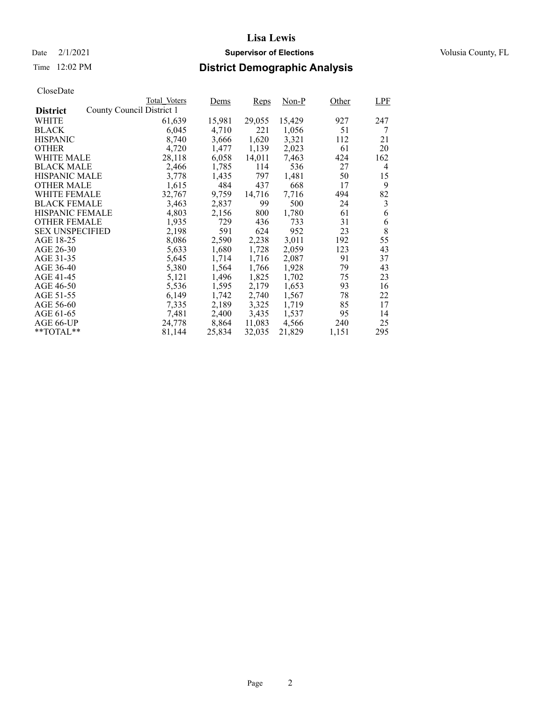## Date  $2/1/2021$  **Supervisor of Elections** Volusia County, FL

### Time 12:02 PM **District Demographic Analysis**

|                                              | Total Voters | Dems   | Reps   | $Non-P$ | Other | LPF |
|----------------------------------------------|--------------|--------|--------|---------|-------|-----|
| County Council District 1<br><b>District</b> |              |        |        |         |       |     |
| WHITE                                        | 61,639       | 15,981 | 29,055 | 15,429  | 927   | 247 |
| <b>BLACK</b>                                 | 6,045        | 4,710  | 221    | 1,056   | 51    | 7   |
| <b>HISPANIC</b>                              | 8,740        | 3,666  | 1,620  | 3,321   | 112   | 21  |
| <b>OTHER</b>                                 | 4,720        | 1,477  | 1,139  | 2,023   | 61    | 20  |
| WHITE MALE                                   | 28,118       | 6,058  | 14,011 | 7,463   | 424   | 162 |
| <b>BLACK MALE</b>                            | 2,466        | 1,785  | 114    | 536     | 27    | 4   |
| <b>HISPANIC MALE</b>                         | 3,778        | 1,435  | 797    | 1,481   | 50    | 15  |
| <b>OTHER MALE</b>                            | 1,615        | 484    | 437    | 668     | 17    | 9   |
| <b>WHITE FEMALE</b>                          | 32,767       | 9,759  | 14,716 | 7,716   | 494   | 82  |
| <b>BLACK FEMALE</b>                          | 3,463        | 2,837  | 99     | 500     | 24    | 3   |
| <b>HISPANIC FEMALE</b>                       | 4,803        | 2,156  | 800    | 1,780   | 61    | 6   |
| <b>OTHER FEMALE</b>                          | 1,935        | 729    | 436    | 733     | 31    | 6   |
| <b>SEX UNSPECIFIED</b>                       | 2,198        | 591    | 624    | 952     | 23    | 8   |
| AGE 18-25                                    | 8,086        | 2,590  | 2,238  | 3,011   | 192   | 55  |
| AGE 26-30                                    | 5,633        | 1,680  | 1,728  | 2.059   | 123   | 43  |
| AGE 31-35                                    | 5,645        | 1,714  | 1,716  | 2,087   | 91    | 37  |
| AGE 36-40                                    | 5,380        | 1,564  | 1,766  | 1,928   | 79    | 43  |
| AGE 41-45                                    | 5,121        | 1,496  | 1,825  | 1,702   | 75    | 23  |
| AGE 46-50                                    | 5,536        | 1,595  | 2,179  | 1,653   | 93    | 16  |
| AGE 51-55                                    | 6,149        | 1,742  | 2,740  | 1,567   | 78    | 22  |
| AGE 56-60                                    | 7,335        | 2,189  | 3,325  | 1,719   | 85    | 17  |
| AGE 61-65                                    | 7,481        | 2,400  | 3,435  | 1,537   | 95    | 14  |
| AGE 66-UP                                    | 24,778       | 8,864  | 11,083 | 4,566   | 240   | 25  |
| $*$ $TOTAL**$                                | 81,144       | 25,834 | 32,035 | 21,829  | 1,151 | 295 |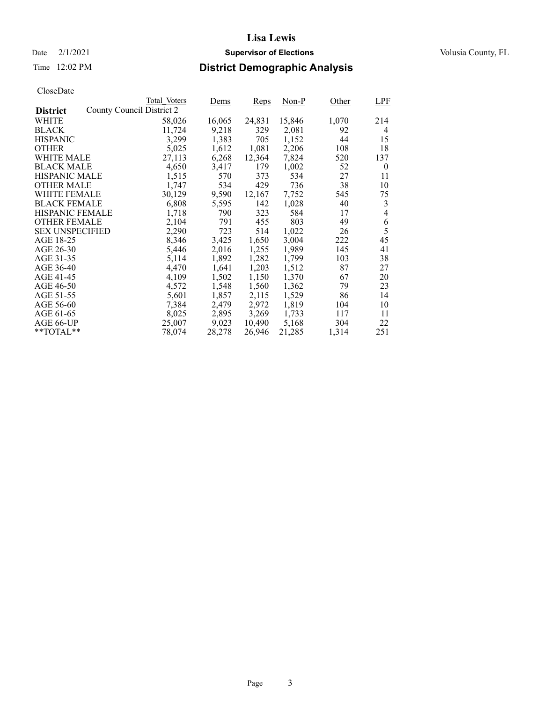## Date  $2/1/2021$  **Supervisor of Elections** Volusia County, FL

### Time 12:02 PM **District Demographic Analysis**

|                        |                           | Total Voters | Dems   | Reps   | $Non-P$ | Other | LPF            |
|------------------------|---------------------------|--------------|--------|--------|---------|-------|----------------|
| <b>District</b>        | County Council District 2 |              |        |        |         |       |                |
| WHITE                  |                           | 58,026       | 16,065 | 24,831 | 15,846  | 1,070 | 214            |
| <b>BLACK</b>           |                           | 11,724       | 9,218  | 329    | 2,081   | 92    | 4              |
| <b>HISPANIC</b>        |                           | 3,299        | 1,383  | 705    | 1,152   | 44    | 15             |
| <b>OTHER</b>           |                           | 5,025        | 1,612  | 1,081  | 2,206   | 108   | 18             |
| <b>WHITE MALE</b>      |                           | 27,113       | 6,268  | 12,364 | 7,824   | 520   | 137            |
| <b>BLACK MALE</b>      |                           | 4,650        | 3,417  | 179    | 1,002   | 52    | $\mathbf{0}$   |
| <b>HISPANIC MALE</b>   |                           | 1,515        | 570    | 373    | 534     | 27    | 11             |
| <b>OTHER MALE</b>      |                           | 1,747        | 534    | 429    | 736     | 38    | 10             |
| WHITE FEMALE           |                           | 30,129       | 9,590  | 12,167 | 7,752   | 545   | 75             |
| <b>BLACK FEMALE</b>    |                           | 6,808        | 5,595  | 142    | 1,028   | 40    | 3              |
| HISPANIC FEMALE        |                           | 1,718        | 790    | 323    | 584     | 17    | $\overline{4}$ |
| <b>OTHER FEMALE</b>    |                           | 2,104        | 791    | 455    | 803     | 49    | 6              |
| <b>SEX UNSPECIFIED</b> |                           | 2,290        | 723    | 514    | 1,022   | 26    | 5              |
| AGE 18-25              |                           | 8,346        | 3,425  | 1,650  | 3,004   | 222   | 45             |
| AGE 26-30              |                           | 5,446        | 2,016  | 1,255  | 1,989   | 145   | 41             |
| AGE 31-35              |                           | 5,114        | 1,892  | 1,282  | 1,799   | 103   | 38             |
| AGE 36-40              |                           | 4,470        | 1,641  | 1,203  | 1,512   | 87    | 27             |
| AGE 41-45              |                           | 4,109        | 1,502  | 1,150  | 1,370   | 67    | 20             |
| AGE 46-50              |                           | 4,572        | 1,548  | 1,560  | 1,362   | 79    | 23             |
| AGE 51-55              |                           | 5,601        | 1,857  | 2,115  | 1,529   | 86    | 14             |
| AGE 56-60              |                           | 7,384        | 2,479  | 2,972  | 1,819   | 104   | 10             |
| AGE 61-65              |                           | 8,025        | 2,895  | 3,269  | 1,733   | 117   | 11             |
| AGE 66-UP              |                           | 25,007       | 9,023  | 10,490 | 5,168   | 304   | 22             |
| $*$ $TOTAL**$          |                           | 78,074       | 28,278 | 26,946 | 21,285  | 1,314 | 251            |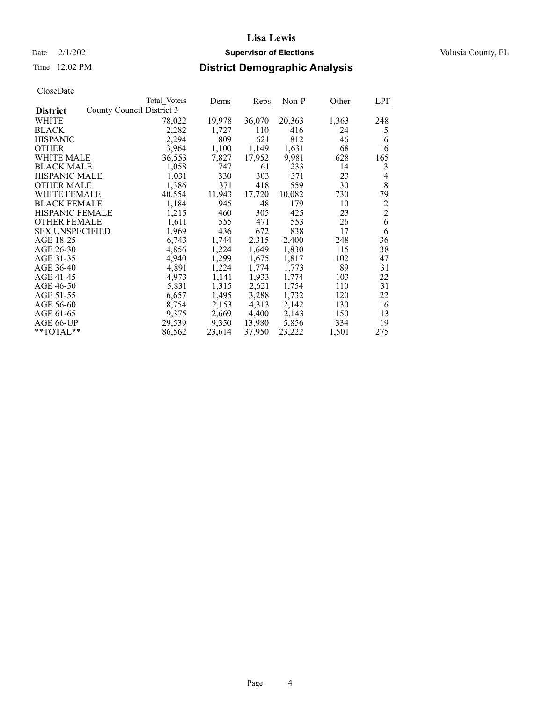## Date  $2/1/2021$  **Supervisor of Elections** Volusia County, FL

### Time 12:02 PM **District Demographic Analysis**

|                            | Total Voters              | Dems   | Reps   | $Non-P$ | Other | LPF            |
|----------------------------|---------------------------|--------|--------|---------|-------|----------------|
| <b>District</b>            | County Council District 3 |        |        |         |       |                |
| WHITE                      | 78,022                    | 19,978 | 36,070 | 20,363  | 1,363 | 248            |
| <b>BLACK</b>               | 2,282                     | 1,727  | 110    | 416     | 24    | 5              |
| <b>HISPANIC</b>            | 2,294                     | 809    | 621    | 812     | 46    | 6              |
| <b>OTHER</b>               | 3,964                     | 1,100  | 1,149  | 1,631   | 68    | 16             |
| WHITE MALE                 | 36,553                    | 7,827  | 17,952 | 9,981   | 628   | 165            |
| <b>BLACK MALE</b>          | 1,058                     | 747    | 61     | 233     | 14    | 3              |
| <b>HISPANIC MALE</b>       | 1,031                     | 330    | 303    | 371     | 23    | 4              |
| <b>OTHER MALE</b>          | 1,386                     | 371    | 418    | 559     | 30    | 8              |
| <b>WHITE FEMALE</b>        | 40,554                    | 11,943 | 17,720 | 10,082  | 730   | 79             |
| <b>BLACK FEMALE</b>        | 1,184                     | 945    | 48     | 179     | 10    | $\overline{c}$ |
| <b>HISPANIC FEMALE</b>     | 1,215                     | 460    | 305    | 425     | 23    | $\overline{2}$ |
| <b>OTHER FEMALE</b>        | 1,611                     | 555    | 471    | 553     | 26    | 6              |
| <b>SEX UNSPECIFIED</b>     | 1,969                     | 436    | 672    | 838     | 17    | 6              |
| AGE 18-25                  | 6,743                     | 1,744  | 2,315  | 2,400   | 248   | 36             |
| AGE 26-30                  | 4,856                     | 1,224  | 1,649  | 1,830   | 115   | 38             |
| AGE 31-35                  | 4,940                     | 1,299  | 1,675  | 1,817   | 102   | 47             |
| AGE 36-40                  | 4,891                     | 1,224  | 1,774  | 1,773   | 89    | 31             |
| AGE 41-45                  | 4,973                     | 1,141  | 1,933  | 1,774   | 103   | 22             |
| AGE 46-50                  | 5,831                     | 1,315  | 2,621  | 1,754   | 110   | 31             |
| AGE 51-55                  | 6,657                     | 1,495  | 3,288  | 1,732   | 120   | 22             |
| AGE 56-60                  | 8,754                     | 2,153  | 4,313  | 2,142   | 130   | 16             |
| AGE 61-65                  | 9.375                     | 2,669  | 4.400  | 2,143   | 150   | 13             |
| AGE 66-UP                  | 29,539                    | 9,350  | 13,980 | 5,856   | 334   | 19             |
| $*$ <sup>*</sup> TOTAL $*$ | 86,562                    | 23,614 | 37,950 | 23,222  | 1,501 | 275            |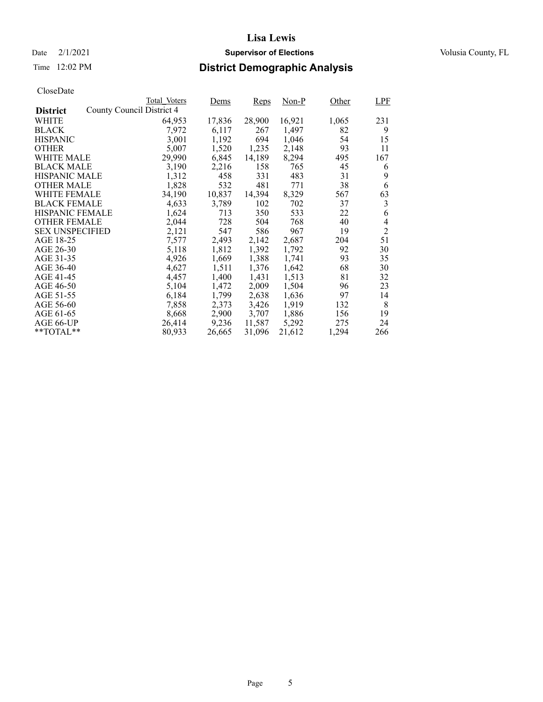## Date  $2/1/2021$  **Supervisor of Elections** Volusia County, FL

### Time 12:02 PM **District Demographic Analysis**

|                        |                           | Total Voters | Dems   | Reps   | $Non-P$ | Other | LPF            |
|------------------------|---------------------------|--------------|--------|--------|---------|-------|----------------|
| <b>District</b>        | County Council District 4 |              |        |        |         |       |                |
| WHITE                  |                           | 64,953       | 17,836 | 28,900 | 16,921  | 1,065 | 231            |
| <b>BLACK</b>           |                           | 7,972        | 6,117  | 267    | 1,497   | 82    | 9              |
| <b>HISPANIC</b>        |                           | 3,001        | 1,192  | 694    | 1,046   | 54    | 15             |
| <b>OTHER</b>           |                           | 5,007        | 1,520  | 1,235  | 2,148   | 93    | 11             |
| WHITE MALE             |                           | 29,990       | 6,845  | 14,189 | 8,294   | 495   | 167            |
| <b>BLACK MALE</b>      |                           | 3,190        | 2,216  | 158    | 765     | 45    | 6              |
| <b>HISPANIC MALE</b>   |                           | 1,312        | 458    | 331    | 483     | 31    | 9              |
| <b>OTHER MALE</b>      |                           | 1,828        | 532    | 481    | 771     | 38    | 6              |
| <b>WHITE FEMALE</b>    |                           | 34,190       | 10,837 | 14,394 | 8,329   | 567   | 63             |
| <b>BLACK FEMALE</b>    |                           | 4,633        | 3,789  | 102    | 702     | 37    | 3              |
| <b>HISPANIC FEMALE</b> |                           | 1,624        | 713    | 350    | 533     | 22    | 6              |
| <b>OTHER FEMALE</b>    |                           | 2,044        | 728    | 504    | 768     | 40    | 4              |
| <b>SEX UNSPECIFIED</b> |                           | 2,121        | 547    | 586    | 967     | 19    | $\overline{c}$ |
| AGE 18-25              |                           | 7,577        | 2,493  | 2,142  | 2,687   | 204   | 51             |
| AGE 26-30              |                           | 5,118        | 1,812  | 1,392  | 1,792   | 92    | 30             |
| AGE 31-35              |                           | 4,926        | 1,669  | 1,388  | 1,741   | 93    | 35             |
| AGE 36-40              |                           | 4,627        | 1,511  | 1,376  | 1,642   | 68    | 30             |
| AGE 41-45              |                           | 4,457        | 1,400  | 1,431  | 1,513   | 81    | 32             |
| AGE 46-50              |                           | 5,104        | 1,472  | 2,009  | 1,504   | 96    | 23             |
| AGE 51-55              |                           | 6,184        | 1,799  | 2,638  | 1,636   | 97    | 14             |
| AGE 56-60              |                           | 7,858        | 2,373  | 3,426  | 1,919   | 132   | 8              |
| AGE 61-65              |                           | 8,668        | 2,900  | 3,707  | 1.886   | 156   | 19             |
| AGE 66-UP              |                           | 26,414       | 9,236  | 11,587 | 5,292   | 275   | 24             |
| $*$ $TOTAL**$          |                           | 80,933       | 26,665 | 31,096 | 21,612  | 1,294 | 266            |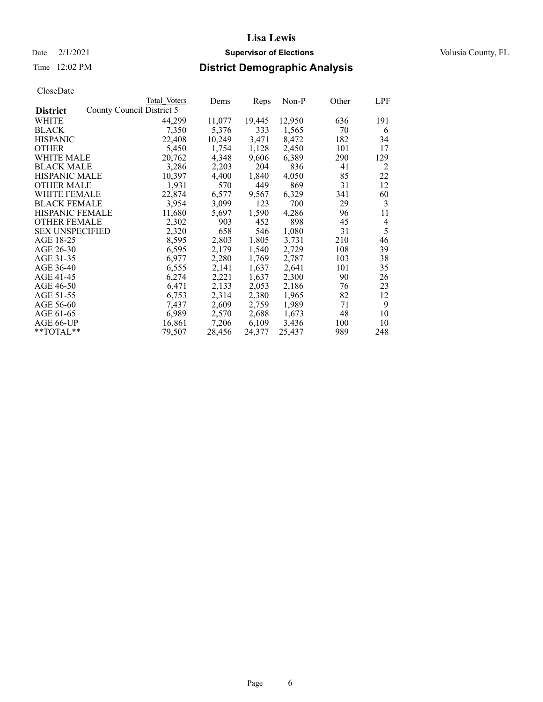## Date  $2/1/2021$  **Supervisor of Elections** Volusia County, FL

### Time 12:02 PM **District Demographic Analysis**

|                        |                           | Total Voters | Dems   | Reps   | $Non-P$ | Other | LPF            |
|------------------------|---------------------------|--------------|--------|--------|---------|-------|----------------|
| <b>District</b>        | County Council District 5 |              |        |        |         |       |                |
| WHITE                  |                           | 44,299       | 11,077 | 19,445 | 12,950  | 636   | 191            |
| <b>BLACK</b>           |                           | 7,350        | 5,376  | 333    | 1,565   | 70    | 6              |
| <b>HISPANIC</b>        |                           | 22,408       | 10,249 | 3,471  | 8,472   | 182   | 34             |
| <b>OTHER</b>           |                           | 5,450        | 1,754  | 1,128  | 2,450   | 101   | 17             |
| WHITE MALE             |                           | 20,762       | 4,348  | 9,606  | 6,389   | 290   | 129            |
| <b>BLACK MALE</b>      |                           | 3,286        | 2,203  | 204    | 836     | 41    | 2              |
| <b>HISPANIC MALE</b>   |                           | 10,397       | 4,400  | 1,840  | 4,050   | 85    | 22             |
| <b>OTHER MALE</b>      |                           | 1,931        | 570    | 449    | 869     | 31    | 12             |
| <b>WHITE FEMALE</b>    |                           | 22,874       | 6,577  | 9,567  | 6,329   | 341   | 60             |
| <b>BLACK FEMALE</b>    |                           | 3,954        | 3,099  | 123    | 700     | 29    | 3              |
| <b>HISPANIC FEMALE</b> |                           | 11,680       | 5,697  | 1,590  | 4,286   | 96    | 11             |
| <b>OTHER FEMALE</b>    |                           | 2,302        | 903    | 452    | 898     | 45    | $\overline{4}$ |
| <b>SEX UNSPECIFIED</b> |                           | 2,320        | 658    | 546    | 1,080   | 31    | 5              |
| AGE 18-25              |                           | 8,595        | 2,803  | 1,805  | 3,731   | 210   | 46             |
| AGE 26-30              |                           | 6,595        | 2,179  | 1,540  | 2,729   | 108   | 39             |
| AGE 31-35              |                           | 6,977        | 2,280  | 1,769  | 2,787   | 103   | 38             |
| AGE 36-40              |                           | 6,555        | 2,141  | 1,637  | 2,641   | 101   | 35             |
| AGE 41-45              |                           | 6,274        | 2,221  | 1,637  | 2,300   | 90    | 26             |
| AGE 46-50              |                           | 6,471        | 2,133  | 2,053  | 2,186   | 76    | 23             |
| AGE 51-55              |                           | 6,753        | 2,314  | 2,380  | 1,965   | 82    | 12             |
| AGE 56-60              |                           | 7,437        | 2,609  | 2,759  | 1,989   | 71    | 9              |
| AGE 61-65              |                           | 6,989        | 2,570  | 2,688  | 1,673   | 48    | 10             |
| AGE 66-UP              |                           | 16,861       | 7,206  | 6,109  | 3,436   | 100   | 10             |
| $*$ $TOTAL**$          |                           | 79,507       | 28,456 | 24,377 | 25,437  | 989   | 248            |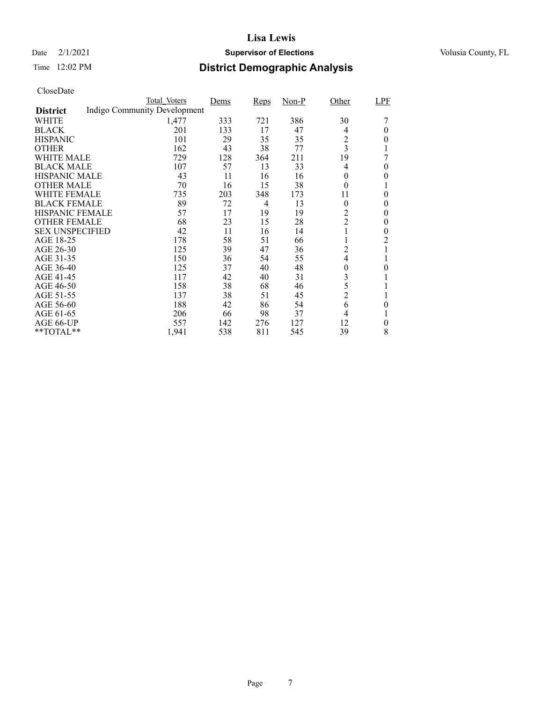## Date  $2/1/2021$  **Supervisor of Elections** Volusia County, FL

### Time 12:02 PM **District Demographic Analysis**

|                        | Total Voters                        | Dems | Reps           | $Non-P$ | Other          | LPF              |
|------------------------|-------------------------------------|------|----------------|---------|----------------|------------------|
| <b>District</b>        | <b>Indigo Community Development</b> |      |                |         |                |                  |
| WHITE                  | 1,477                               | 333  | 721            | 386     | 30             |                  |
| <b>BLACK</b>           | 201                                 | 133  | 17             | 47      | 4              | $\theta$         |
| <b>HISPANIC</b>        | 101                                 | 29   | 35             | 35      | $\overline{c}$ | 0                |
| <b>OTHER</b>           | 162                                 | 43   | 38             | 77      | $\overline{3}$ |                  |
| WHITE MALE             | 729                                 | 128  | 364            | 211     | 19             |                  |
| <b>BLACK MALE</b>      | 107                                 | 57   | 13             | 33      | 4              | $\boldsymbol{0}$ |
| <b>HISPANIC MALE</b>   | 43                                  | 11   | 16             | 16      | 0              | 0                |
| <b>OTHER MALE</b>      | 70                                  | 16   | 15             | 38      | $\theta$       |                  |
| WHITE FEMALE           | 735                                 | 203  | 348            | 173     | 11             | $\theta$         |
| <b>BLACK FEMALE</b>    | 89                                  | 72   | $\overline{4}$ | 13      | $\theta$       | 0                |
| <b>HISPANIC FEMALE</b> | 57                                  | 17   | 19             | 19      | $\overline{c}$ | 0                |
| <b>OTHER FEMALE</b>    | 68                                  | 23   | 15             | 28      | $\overline{2}$ | 0                |
| <b>SEX UNSPECIFIED</b> | 42                                  | 11   | 16             | 14      | 1              | $\boldsymbol{0}$ |
| AGE 18-25              | 178                                 | 58   | 51             | 66      |                | 2                |
| AGE 26-30              | 125                                 | 39   | 47             | 36      | 2              |                  |
| AGE 31-35              | 150                                 | 36   | 54             | 55      | $\overline{4}$ |                  |
| AGE 36-40              | 125                                 | 37   | 40             | 48      | $\theta$       | 0                |
| AGE 41-45              | 117                                 | 42   | 40             | 31      | 3              |                  |
| AGE 46-50              | 158                                 | 38   | 68             | 46      | 5              |                  |
| AGE 51-55              | 137                                 | 38   | 51             | 45      | $\overline{c}$ | 1                |
| AGE 56-60              | 188                                 | 42   | 86             | 54      | 6              | 0                |
| AGE 61-65              | 206                                 | 66   | 98             | 37      | 4              |                  |
| AGE 66-UP              | 557                                 | 142  | 276            | 127     | 12             | $\theta$         |
| **TOTAL**              | 1,941                               | 538  | 811            | 545     | 39             | 8                |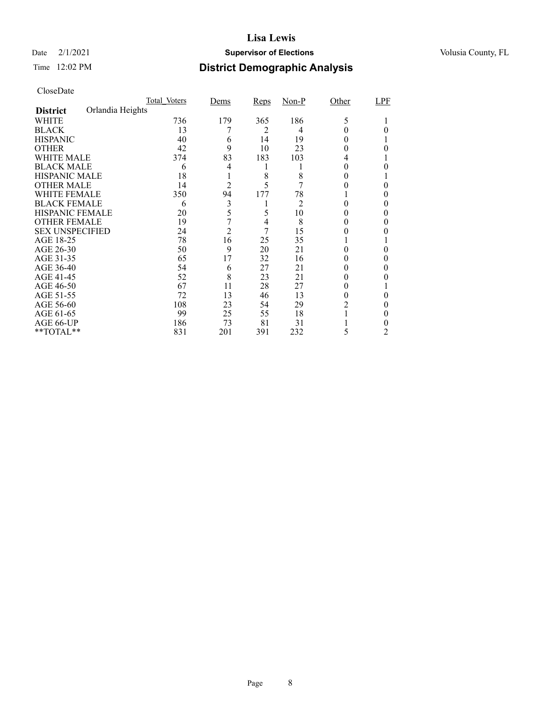## Date  $2/1/2021$  **Supervisor of Elections** Volusia County, FL

### Time 12:02 PM **District Demographic Analysis**

|                        |                  | Total Voters | Dems           | <b>Reps</b> | $Non-P$ | Other | LPF |
|------------------------|------------------|--------------|----------------|-------------|---------|-------|-----|
| <b>District</b>        | Orlandia Heights |              |                |             |         |       |     |
| WHITE                  |                  | 736          | 179            | 365         | 186     | 5     |     |
| <b>BLACK</b>           |                  | 13           |                | 2           | 4       |       |     |
| <b>HISPANIC</b>        |                  | 40           | 6              | 14          | 19      |       |     |
| <b>OTHER</b>           |                  | 42           | 9              | 10          | 23      |       |     |
| WHITE MALE             |                  | 374          | 83             | 183         | 103     | 4     |     |
| <b>BLACK MALE</b>      |                  | 6            | 4              | 1           |         |       |     |
| <b>HISPANIC MALE</b>   |                  | 18           |                | 8           | 8       |       |     |
| <b>OTHER MALE</b>      |                  | 14           | $\overline{2}$ |             |         |       | 0   |
| WHITE FEMALE           |                  | 350          | 94             | 177         | 78      |       |     |
| <b>BLACK FEMALE</b>    |                  | 6            | 3              |             | 2       | 0     |     |
| HISPANIC FEMALE        |                  | 20           | 5              | 5           | 10      |       |     |
| <b>OTHER FEMALE</b>    |                  | 19           | 7              | 4           | 8       |       |     |
| <b>SEX UNSPECIFIED</b> |                  | 24           | $\overline{2}$ | 7           | 15      |       |     |
| AGE 18-25              |                  | 78           | 16             | 25          | 35      |       |     |
| AGE 26-30              |                  | 50           | 9              | 20          | 21      |       |     |
| AGE 31-35              |                  | 65           | 17             | 32          | 16      |       |     |
| AGE 36-40              |                  | 54           | 6              | 27          | 21      |       | 0   |
| AGE 41-45              |                  | 52           | 8              | 23          | 21      |       |     |
| AGE 46-50              |                  | 67           | 11             | 28          | 27      | 0     |     |
| AGE 51-55              |                  | 72           | 13             | 46          | 13      |       |     |
| AGE 56-60              |                  | 108          | 23             | 54          | 29      |       |     |
| AGE 61-65              |                  | 99           | 25             | 55          | 18      |       | 0   |
| AGE 66-UP              |                  | 186          | 73             | 81          | 31      |       |     |
| **TOTAL**              |                  | 831          | 201            | 391         | 232     | 5     | 2   |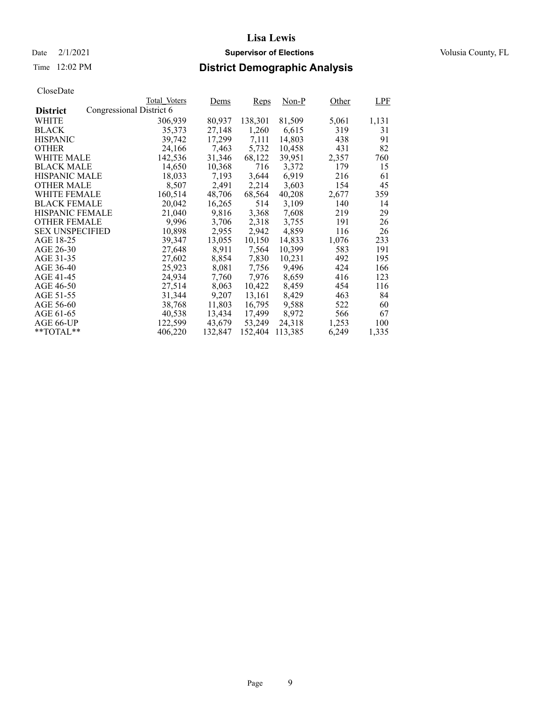## Date  $2/1/2021$  **Supervisor of Elections** Volusia County, FL

### Time 12:02 PM **District Demographic Analysis**

|                        |                          | Total Voters | Dems    | Reps    | $Non-P$ | Other | LPF   |
|------------------------|--------------------------|--------------|---------|---------|---------|-------|-------|
| <b>District</b>        | Congressional District 6 |              |         |         |         |       |       |
| WHITE                  |                          | 306,939      | 80,937  | 138,301 | 81,509  | 5,061 | 1,131 |
| <b>BLACK</b>           |                          | 35,373       | 27,148  | 1,260   | 6,615   | 319   | 31    |
| <b>HISPANIC</b>        |                          | 39,742       | 17,299  | 7,111   | 14,803  | 438   | 91    |
| <b>OTHER</b>           |                          | 24,166       | 7,463   | 5,732   | 10,458  | 431   | 82    |
| <b>WHITE MALE</b>      |                          | 142,536      | 31,346  | 68,122  | 39.951  | 2,357 | 760   |
| <b>BLACK MALE</b>      |                          | 14,650       | 10,368  | 716     | 3,372   | 179   | 15    |
| <b>HISPANIC MALE</b>   |                          | 18,033       | 7,193   | 3,644   | 6,919   | 216   | 61    |
| <b>OTHER MALE</b>      |                          | 8,507        | 2,491   | 2,214   | 3,603   | 154   | 45    |
| <b>WHITE FEMALE</b>    |                          | 160,514      | 48,706  | 68,564  | 40,208  | 2,677 | 359   |
| <b>BLACK FEMALE</b>    |                          | 20,042       | 16,265  | 514     | 3,109   | 140   | 14    |
| HISPANIC FEMALE        |                          | 21,040       | 9,816   | 3,368   | 7,608   | 219   | 29    |
| <b>OTHER FEMALE</b>    |                          | 9.996        | 3,706   | 2,318   | 3.755   | 191   | 26    |
| <b>SEX UNSPECIFIED</b> |                          | 10,898       | 2,955   | 2,942   | 4,859   | 116   | 26    |
| AGE 18-25              |                          | 39,347       | 13,055  | 10,150  | 14,833  | 1,076 | 233   |
| AGE 26-30              |                          | 27,648       | 8,911   | 7,564   | 10,399  | 583   | 191   |
| AGE 31-35              |                          | 27,602       | 8,854   | 7,830   | 10,231  | 492   | 195   |
| AGE 36-40              |                          | 25,923       | 8,081   | 7,756   | 9,496   | 424   | 166   |
| AGE 41-45              |                          | 24,934       | 7,760   | 7,976   | 8,659   | 416   | 123   |
| AGE 46-50              |                          | 27,514       | 8,063   | 10,422  | 8,459   | 454   | 116   |
| AGE 51-55              |                          | 31,344       | 9,207   | 13,161  | 8,429   | 463   | 84    |
| AGE 56-60              |                          | 38,768       | 11,803  | 16,795  | 9,588   | 522   | 60    |
| AGE 61-65              |                          | 40,538       | 13,434  | 17,499  | 8,972   | 566   | 67    |
| AGE 66-UP              |                          | 122,599      | 43,679  | 53,249  | 24,318  | 1,253 | 100   |
| $*$ $TOTAL**$          |                          | 406,220      | 132,847 | 152,404 | 113,385 | 6,249 | 1,335 |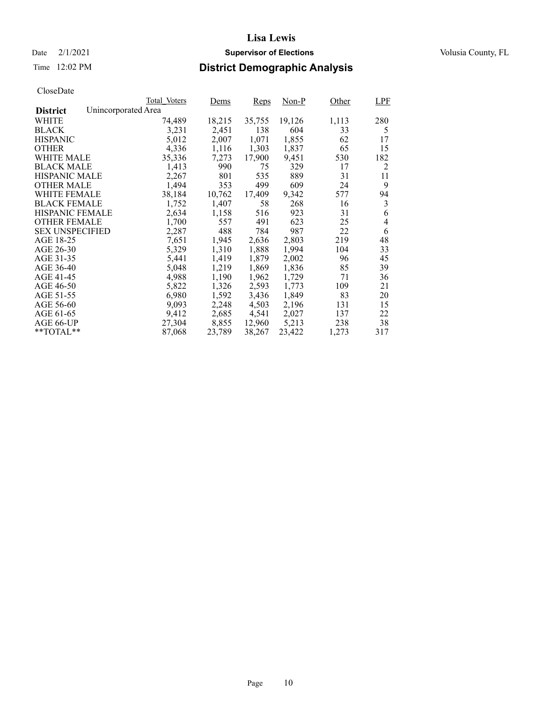## Date  $2/1/2021$  **Supervisor of Elections** Volusia County, FL

### Time 12:02 PM **District Demographic Analysis**

|                        |                     | Total Voters | Dems   | Reps   | $Non-P$ | Other | LPF |
|------------------------|---------------------|--------------|--------|--------|---------|-------|-----|
| <b>District</b>        | Unincorporated Area |              |        |        |         |       |     |
| WHITE                  |                     | 74,489       | 18,215 | 35,755 | 19,126  | 1,113 | 280 |
| <b>BLACK</b>           |                     | 3,231        | 2,451  | 138    | 604     | 33    | 5   |
| <b>HISPANIC</b>        |                     | 5,012        | 2,007  | 1,071  | 1,855   | 62    | 17  |
| <b>OTHER</b>           |                     | 4,336        | 1,116  | 1,303  | 1,837   | 65    | 15  |
| <b>WHITE MALE</b>      |                     | 35,336       | 7,273  | 17,900 | 9.451   | 530   | 182 |
| <b>BLACK MALE</b>      |                     | 1,413        | 990    | 75     | 329     | 17    | 2   |
| <b>HISPANIC MALE</b>   |                     | 2,267        | 801    | 535    | 889     | 31    | 11  |
| <b>OTHER MALE</b>      |                     | 1,494        | 353    | 499    | 609     | 24    | 9   |
| <b>WHITE FEMALE</b>    |                     | 38,184       | 10,762 | 17,409 | 9,342   | 577   | 94  |
| <b>BLACK FEMALE</b>    |                     | 1,752        | 1,407  | 58     | 268     | 16    | 3   |
| HISPANIC FEMALE        |                     | 2,634        | 1,158  | 516    | 923     | 31    | 6   |
| <b>OTHER FEMALE</b>    |                     | 1,700        | 557    | 491    | 623     | 25    | 4   |
| <b>SEX UNSPECIFIED</b> |                     | 2,287        | 488    | 784    | 987     | 22    | 6   |
| AGE 18-25              |                     | 7,651        | 1,945  | 2,636  | 2,803   | 219   | 48  |
| AGE 26-30              |                     | 5,329        | 1,310  | 1,888  | 1,994   | 104   | 33  |
| AGE 31-35              |                     | 5,441        | 1,419  | 1,879  | 2,002   | 96    | 45  |
| AGE 36-40              |                     | 5,048        | 1,219  | 1,869  | 1,836   | 85    | 39  |
| AGE 41-45              |                     | 4,988        | 1,190  | 1,962  | 1,729   | 71    | 36  |
| AGE 46-50              |                     | 5,822        | 1,326  | 2,593  | 1,773   | 109   | 21  |
| AGE 51-55              |                     | 6,980        | 1,592  | 3,436  | 1,849   | 83    | 20  |
| AGE 56-60              |                     | 9,093        | 2,248  | 4,503  | 2,196   | 131   | 15  |
| AGE 61-65              |                     | 9,412        | 2,685  | 4,541  | 2,027   | 137   | 22  |
| AGE 66-UP              |                     | 27,304       | 8,855  | 12,960 | 5,213   | 238   | 38  |
| $*$ $TOTAL**$          |                     | 87,068       | 23,789 | 38,267 | 23,422  | 1,273 | 317 |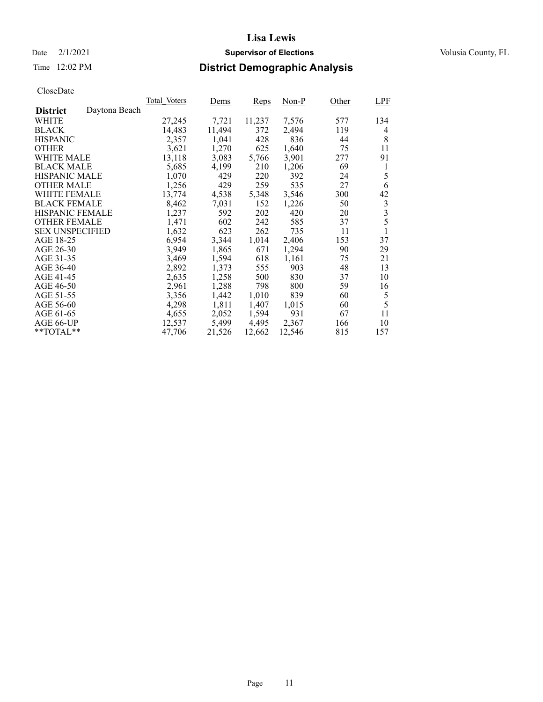### Date  $2/1/2021$  **Supervisor of Elections** Volusia County, FL

### Time 12:02 PM **District Demographic Analysis**

|                        |               | Total Voters | <u>Dems</u> | Reps   | $Non-P$ | Other | LPF          |
|------------------------|---------------|--------------|-------------|--------|---------|-------|--------------|
| <b>District</b>        | Daytona Beach |              |             |        |         |       |              |
| WHITE                  |               | 27,245       | 7,721       | 11,237 | 7,576   | 577   | 134          |
| <b>BLACK</b>           |               | 14,483       | 11,494      | 372    | 2,494   | 119   | 4            |
| <b>HISPANIC</b>        |               | 2,357        | 1,041       | 428    | 836     | 44    | 8            |
| <b>OTHER</b>           |               | 3,621        | 1,270       | 625    | 1,640   | 75    | 11           |
| WHITE MALE             |               | 13,118       | 3,083       | 5,766  | 3,901   | 277   | 91           |
| <b>BLACK MALE</b>      |               | 5,685        | 4,199       | 210    | 1,206   | 69    | 1            |
| <b>HISPANIC MALE</b>   |               | 1,070        | 429         | 220    | 392     | 24    | 5            |
| <b>OTHER MALE</b>      |               | 1,256        | 429         | 259    | 535     | 27    | 6            |
| <b>WHITE FEMALE</b>    |               | 13,774       | 4,538       | 5,348  | 3,546   | 300   | 42           |
| <b>BLACK FEMALE</b>    |               | 8,462        | 7,031       | 152    | 1,226   | 50    | 3            |
| <b>HISPANIC FEMALE</b> |               | 1,237        | 592         | 202    | 420     | 20    | 3            |
| <b>OTHER FEMALE</b>    |               | 1,471        | 602         | 242    | 585     | 37    | 5            |
| <b>SEX UNSPECIFIED</b> |               | 1,632        | 623         | 262    | 735     | 11    | $\mathbf{1}$ |
| AGE 18-25              |               | 6,954        | 3,344       | 1,014  | 2,406   | 153   | 37           |
| AGE 26-30              |               | 3,949        | 1,865       | 671    | 1,294   | 90    | 29           |
| AGE 31-35              |               | 3,469        | 1,594       | 618    | 1,161   | 75    | 21           |
| AGE 36-40              |               | 2,892        | 1,373       | 555    | 903     | 48    | 13           |
| AGE 41-45              |               | 2,635        | 1,258       | 500    | 830     | 37    | 10           |
| AGE 46-50              |               | 2,961        | 1,288       | 798    | 800     | 59    | 16           |
| AGE 51-55              |               | 3,356        | 1,442       | 1,010  | 839     | 60    | 5            |
| AGE 56-60              |               | 4,298        | 1,811       | 1,407  | 1,015   | 60    | 5            |
| AGE 61-65              |               | 4,655        | 2,052       | 1,594  | 931     | 67    | 11           |
| AGE 66-UP              |               | 12,537       | 5,499       | 4,495  | 2,367   | 166   | 10           |
| $*$ $TOTAL**$          |               | 47,706       | 21,526      | 12,662 | 12,546  | 815   | 157          |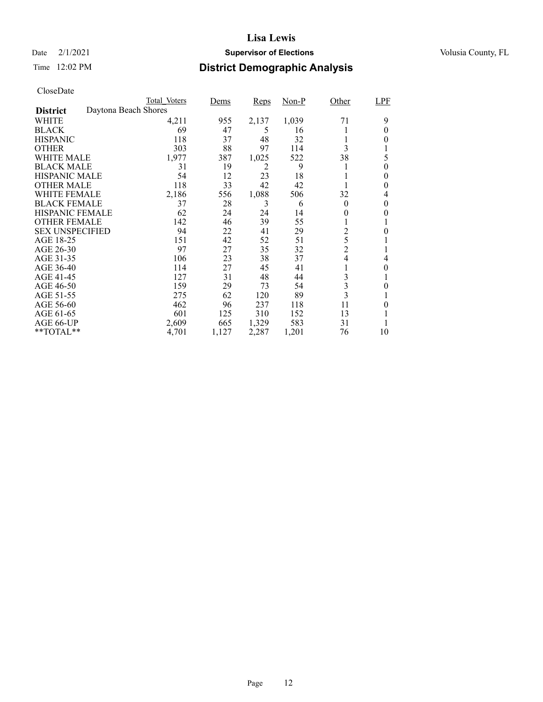# Date  $2/1/2021$  **Supervisor of Elections** Volusia County, FL

| Time $12:02 \text{ PM}$ | <b>District Demographic Analysis</b> |
|-------------------------|--------------------------------------|
|                         |                                      |

|                        |                      | Total Voters | Dems  | <b>Reps</b> | $Non-P$ | Other                   | LPF      |
|------------------------|----------------------|--------------|-------|-------------|---------|-------------------------|----------|
| <b>District</b>        | Daytona Beach Shores |              |       |             |         |                         |          |
| WHITE                  |                      | 4,211        | 955   | 2,137       | 1,039   | 71                      | 9        |
| <b>BLACK</b>           |                      | 69           | 47    | 5           | 16      |                         | $\theta$ |
| <b>HISPANIC</b>        |                      | 118          | 37    | 48          | 32      |                         | 0        |
| <b>OTHER</b>           |                      | 303          | 88    | 97          | 114     | 3                       |          |
| <b>WHITE MALE</b>      |                      | 1,977        | 387   | 1,025       | 522     | 38                      | 5        |
| <b>BLACK MALE</b>      |                      | 31           | 19    | 2           | 9       |                         | $\theta$ |
| <b>HISPANIC MALE</b>   |                      | 54           | 12    | 23          | 18      |                         | $\theta$ |
| <b>OTHER MALE</b>      |                      | 118          | 33    | 42          | 42      |                         | 0        |
| <b>WHITE FEMALE</b>    |                      | 2,186        | 556   | 1,088       | 506     | 32                      | 4        |
| <b>BLACK FEMALE</b>    |                      | 37           | 28    | 3           | 6       | $\theta$                | 0        |
| <b>HISPANIC FEMALE</b> |                      | 62           | 24    | 24          | 14      | 0                       | 0        |
| <b>OTHER FEMALE</b>    |                      | 142          | 46    | 39          | 55      |                         |          |
| <b>SEX UNSPECIFIED</b> |                      | 94           | 22    | 41          | 29      | $\overline{c}$          | 0        |
| AGE 18-25              |                      | 151          | 42    | 52          | 51      | 5                       |          |
| AGE 26-30              |                      | 97           | 27    | 35          | 32      | $\overline{c}$          |          |
| AGE 31-35              |                      | 106          | 23    | 38          | 37      | 4                       | 4        |
| AGE 36-40              |                      | 114          | 27    | 45          | 41      |                         | 0        |
| AGE 41-45              |                      | 127          | 31    | 48          | 44      | 3                       |          |
| AGE 46-50              |                      | 159          | 29    | 73          | 54      | 3                       | $\theta$ |
| AGE 51-55              |                      | 275          | 62    | 120         | 89      | $\overline{\mathbf{3}}$ |          |
| AGE 56-60              |                      | 462          | 96    | 237         | 118     | 11                      | 0        |
| AGE 61-65              |                      | 601          | 125   | 310         | 152     | 13                      |          |
| AGE 66-UP              |                      | 2,609        | 665   | 1,329       | 583     | 31                      |          |
| **TOTAL**              |                      | 4,701        | 1,127 | 2,287       | 1,201   | 76                      | 10       |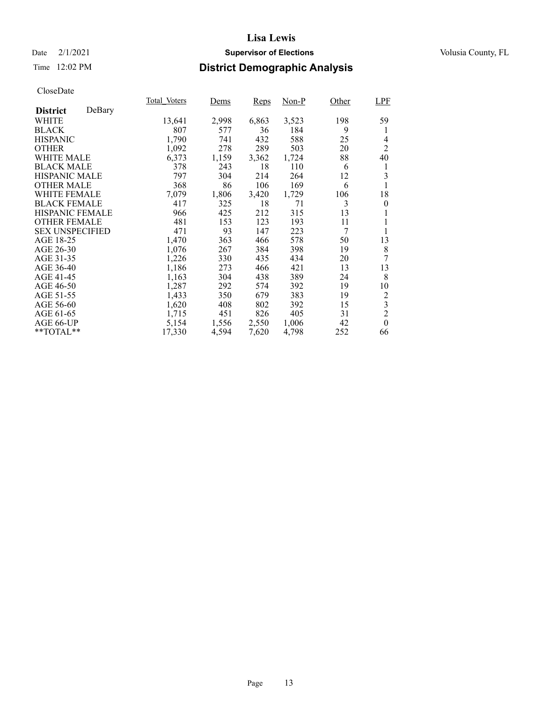### Date  $2/1/2021$  **Supervisor of Elections** Volusia County, FL

### Time 12:02 PM **District Demographic Analysis**

|                        |        | Total Voters | Dems  | Reps  | $Non-P$ | Other | LPF              |
|------------------------|--------|--------------|-------|-------|---------|-------|------------------|
| <b>District</b>        | DeBary |              |       |       |         |       |                  |
| WHITE                  |        | 13,641       | 2,998 | 6,863 | 3,523   | 198   | 59               |
| <b>BLACK</b>           |        | 807          | 577   | 36    | 184     | 9     | 1                |
| <b>HISPANIC</b>        |        | 1,790        | 741   | 432   | 588     | 25    | 4                |
| <b>OTHER</b>           |        | 1,092        | 278   | 289   | 503     | 20    | $\overline{2}$   |
| <b>WHITE MALE</b>      |        | 6,373        | 1,159 | 3,362 | 1,724   | 88    | 40               |
| <b>BLACK MALE</b>      |        | 378          | 243   | 18    | 110     | 6     | 1                |
| <b>HISPANIC MALE</b>   |        | 797          | 304   | 214   | 264     | 12    | 3                |
| <b>OTHER MALE</b>      |        | 368          | 86    | 106   | 169     | 6     |                  |
| <b>WHITE FEMALE</b>    |        | 7,079        | 1,806 | 3,420 | 1,729   | 106   | 18               |
| <b>BLACK FEMALE</b>    |        | 417          | 325   | 18    | 71      | 3     | $\theta$         |
| <b>HISPANIC FEMALE</b> |        | 966          | 425   | 212   | 315     | 13    | 1                |
| <b>OTHER FEMALE</b>    |        | 481          | 153   | 123   | 193     | 11    | 1                |
| <b>SEX UNSPECIFIED</b> |        | 471          | 93    | 147   | 223     | 7     | 1                |
| AGE 18-25              |        | 1,470        | 363   | 466   | 578     | 50    | 13               |
| AGE 26-30              |        | 1,076        | 267   | 384   | 398     | 19    | 8                |
| AGE 31-35              |        | 1,226        | 330   | 435   | 434     | 20    | 7                |
| AGE 36-40              |        | 1,186        | 273   | 466   | 421     | 13    | 13               |
| AGE 41-45              |        | 1,163        | 304   | 438   | 389     | 24    | 8                |
| AGE 46-50              |        | 1,287        | 292   | 574   | 392     | 19    | 10               |
| AGE 51-55              |        | 1,433        | 350   | 679   | 383     | 19    | 2                |
| AGE 56-60              |        | 1,620        | 408   | 802   | 392     | 15    | 3                |
| AGE 61-65              |        | 1,715        | 451   | 826   | 405     | 31    | $\overline{c}$   |
| AGE 66-UP              |        | 5,154        | 1,556 | 2,550 | 1,006   | 42    | $\boldsymbol{0}$ |
| $*$ $TOTAL**$          |        | 17,330       | 4,594 | 7,620 | 4,798   | 252   | 66               |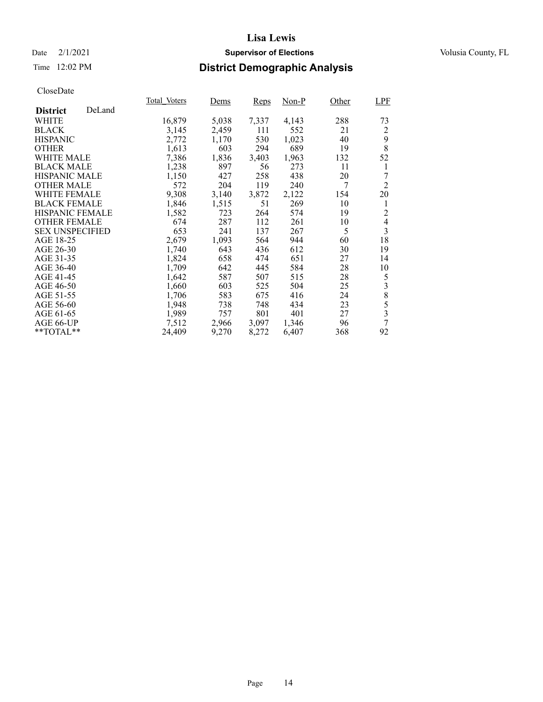### Date  $2/1/2021$  **Supervisor of Elections** Volusia County, FL

### Time 12:02 PM **District Demographic Analysis**

|                        |        | <b>Total Voters</b> | Dems  | Reps  | $Non-P$ | Other | LPF                     |
|------------------------|--------|---------------------|-------|-------|---------|-------|-------------------------|
| <b>District</b>        | DeLand |                     |       |       |         |       |                         |
| <b>WHITE</b>           |        | 16,879              | 5,038 | 7,337 | 4,143   | 288   | 73                      |
| <b>BLACK</b>           |        | 3,145               | 2,459 | 111   | 552     | 21    | 2                       |
| <b>HISPANIC</b>        |        | 2,772               | 1,170 | 530   | 1,023   | 40    | 9                       |
| <b>OTHER</b>           |        | 1,613               | 603   | 294   | 689     | 19    | 8                       |
| WHITE MALE             |        | 7,386               | 1,836 | 3,403 | 1,963   | 132   | 52                      |
| <b>BLACK MALE</b>      |        | 1,238               | 897   | 56    | 273     | 11    | 1                       |
| <b>HISPANIC MALE</b>   |        | 1,150               | 427   | 258   | 438     | 20    | 7                       |
| <b>OTHER MALE</b>      |        | 572                 | 204   | 119   | 240     | 7     | $\overline{2}$          |
| <b>WHITE FEMALE</b>    |        | 9,308               | 3,140 | 3,872 | 2,122   | 154   | 20                      |
| <b>BLACK FEMALE</b>    |        | 1,846               | 1,515 | 51    | 269     | 10    | 1                       |
| <b>HISPANIC FEMALE</b> |        | 1,582               | 723   | 264   | 574     | 19    | 2                       |
| <b>OTHER FEMALE</b>    |        | 674                 | 287   | 112   | 261     | 10    | $\overline{4}$          |
| <b>SEX UNSPECIFIED</b> |        | 653                 | 241   | 137   | 267     | 5     | $\overline{\mathbf{3}}$ |
| AGE 18-25              |        | 2,679               | 1,093 | 564   | 944     | 60    | 18                      |
| AGE 26-30              |        | 1,740               | 643   | 436   | 612     | 30    | 19                      |
| AGE 31-35              |        | 1,824               | 658   | 474   | 651     | 27    | 14                      |
| AGE 36-40              |        | 1,709               | 642   | 445   | 584     | 28    | 10                      |
| AGE 41-45              |        | 1,642               | 587   | 507   | 515     | 28    | 5                       |
| AGE 46-50              |        | 1,660               | 603   | 525   | 504     | 25    | 3                       |
| AGE 51-55              |        | 1,706               | 583   | 675   | 416     | 24    | 8                       |
| AGE 56-60              |        | 1,948               | 738   | 748   | 434     | 23    | 5                       |
| AGE 61-65              |        | 1,989               | 757   | 801   | 401     | 27    | $\overline{\mathbf{3}}$ |
| AGE 66-UP              |        | 7,512               | 2,966 | 3,097 | 1,346   | 96    | 7                       |
| $*$ TOTAL $*$          |        | 24,409              | 9,270 | 8,272 | 6,407   | 368   | 92                      |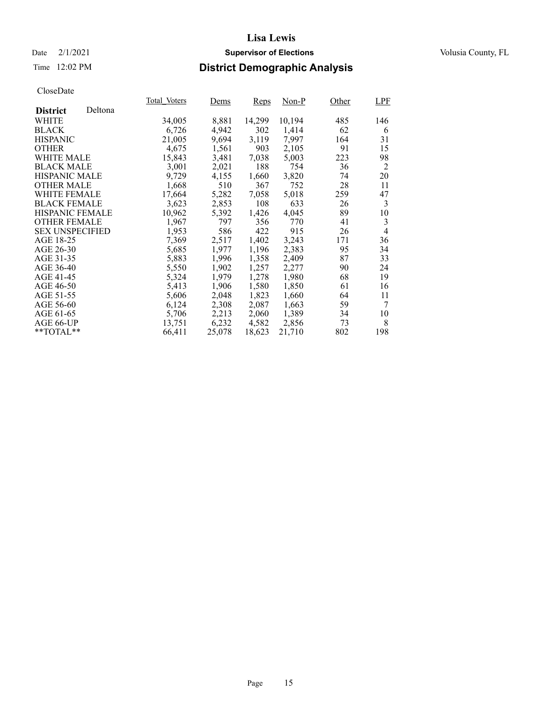### Date  $2/1/2021$  **Supervisor of Elections** Volusia County, FL

### Time 12:02 PM **District Demographic Analysis**

|                        |         | Total Voters | Dems   | <b>Reps</b> | $Non-P$ | Other | LPF |
|------------------------|---------|--------------|--------|-------------|---------|-------|-----|
| <b>District</b>        | Deltona |              |        |             |         |       |     |
| WHITE                  |         | 34,005       | 8,881  | 14,299      | 10,194  | 485   | 146 |
| <b>BLACK</b>           |         | 6,726        | 4,942  | 302         | 1,414   | 62    | 6   |
| <b>HISPANIC</b>        |         | 21,005       | 9,694  | 3,119       | 7,997   | 164   | 31  |
| <b>OTHER</b>           |         | 4,675        | 1,561  | 903         | 2,105   | 91    | 15  |
| <b>WHITE MALE</b>      |         | 15,843       | 3,481  | 7,038       | 5,003   | 223   | 98  |
| <b>BLACK MALE</b>      |         | 3,001        | 2,021  | 188         | 754     | 36    | 2   |
| <b>HISPANIC MALE</b>   |         | 9,729        | 4,155  | 1,660       | 3,820   | 74    | 20  |
| <b>OTHER MALE</b>      |         | 1,668        | 510    | 367         | 752     | 28    | 11  |
| <b>WHITE FEMALE</b>    |         | 17,664       | 5,282  | 7,058       | 5,018   | 259   | 47  |
| <b>BLACK FEMALE</b>    |         | 3,623        | 2,853  | 108         | 633     | 26    | 3   |
| HISPANIC FEMALE        |         | 10,962       | 5,392  | 1,426       | 4,045   | 89    | 10  |
| <b>OTHER FEMALE</b>    |         | 1,967        | 797    | 356         | 770     | 41    | 3   |
| <b>SEX UNSPECIFIED</b> |         | 1,953        | 586    | 422         | 915     | 26    | 4   |
| AGE 18-25              |         | 7,369        | 2,517  | 1,402       | 3,243   | 171   | 36  |
| AGE 26-30              |         | 5,685        | 1,977  | 1,196       | 2,383   | 95    | 34  |
| AGE 31-35              |         | 5,883        | 1,996  | 1,358       | 2,409   | 87    | 33  |
| AGE 36-40              |         | 5,550        | 1,902  | 1,257       | 2,277   | 90    | 24  |
| AGE 41-45              |         | 5,324        | 1,979  | 1,278       | 1,980   | 68    | 19  |
| AGE 46-50              |         | 5,413        | 1,906  | 1,580       | 1,850   | 61    | 16  |
| AGE 51-55              |         | 5,606        | 2,048  | 1,823       | 1,660   | 64    | 11  |
| AGE 56-60              |         | 6,124        | 2,308  | 2,087       | 1,663   | 59    | 7   |
| AGE 61-65              |         | 5,706        | 2,213  | 2,060       | 1,389   | 34    | 10  |
| AGE 66-UP              |         | 13,751       | 6,232  | 4,582       | 2,856   | 73    | 8   |
| $*$ TOTAL $*$          |         | 66,411       | 25,078 | 18,623      | 21,710  | 802   | 198 |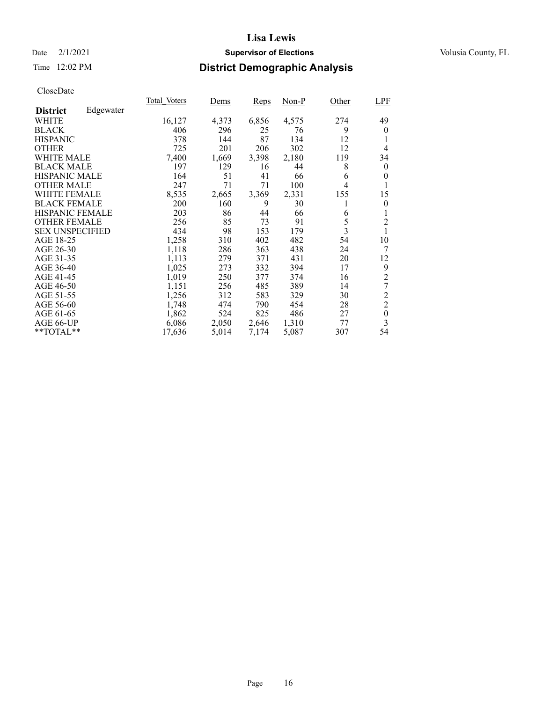### Date  $2/1/2021$  **Supervisor of Elections** Volusia County, FL

### Time 12:02 PM **District Demographic Analysis**

|                        |           | Total Voters | Dems  | Reps  | $Non-P$ | Other          | LPF              |
|------------------------|-----------|--------------|-------|-------|---------|----------------|------------------|
| <b>District</b>        | Edgewater |              |       |       |         |                |                  |
| WHITE                  |           | 16,127       | 4,373 | 6,856 | 4,575   | 274            | 49               |
| <b>BLACK</b>           |           | 406          | 296   | 25    | 76      | 9              | $\theta$         |
| <b>HISPANIC</b>        |           | 378          | 144   | 87    | 134     | 12             | 1                |
| <b>OTHER</b>           |           | 725          | 201   | 206   | 302     | 12             | 4                |
| WHITE MALE             |           | 7,400        | 1,669 | 3,398 | 2,180   | 119            | 34               |
| <b>BLACK MALE</b>      |           | 197          | 129   | 16    | 44      | 8              | $\theta$         |
| <b>HISPANIC MALE</b>   |           | 164          | 51    | 41    | 66      | 6              | $\theta$         |
| <b>OTHER MALE</b>      |           | 247          | 71    | 71    | 100     | 4              |                  |
| <b>WHITE FEMALE</b>    |           | 8,535        | 2,665 | 3,369 | 2,331   | 155            | 15               |
| <b>BLACK FEMALE</b>    |           | 200          | 160   | 9     | 30      | 1              | $\theta$         |
| <b>HISPANIC FEMALE</b> |           | 203          | 86    | 44    | 66      | 6              |                  |
| <b>OTHER FEMALE</b>    |           | 256          | 85    | 73    | 91      | 5              | $\overline{2}$   |
| <b>SEX UNSPECIFIED</b> |           | 434          | 98    | 153   | 179     | $\overline{3}$ |                  |
| AGE 18-25              |           | 1,258        | 310   | 402   | 482     | 54             | 10               |
| AGE 26-30              |           | 1,118        | 286   | 363   | 438     | 24             | 7                |
| AGE 31-35              |           | 1,113        | 279   | 371   | 431     | 20             | 12               |
| AGE 36-40              |           | 1,025        | 273   | 332   | 394     | 17             | 9                |
| AGE 41-45              |           | 1,019        | 250   | 377   | 374     | 16             | $\overline{c}$   |
| AGE 46-50              |           | 1,151        | 256   | 485   | 389     | 14             | 7                |
| AGE 51-55              |           | 1,256        | 312   | 583   | 329     | 30             | $\overline{c}$   |
| AGE 56-60              |           | 1,748        | 474   | 790   | 454     | 28             | $\overline{2}$   |
| AGE 61-65              |           | 1,862        | 524   | 825   | 486     | 27             | $\boldsymbol{0}$ |
| AGE 66-UP              |           | 6,086        | 2,050 | 2,646 | 1,310   | 77             | 3                |
| $*$ $TOTAL**$          |           | 17,636       | 5,014 | 7,174 | 5,087   | 307            | 54               |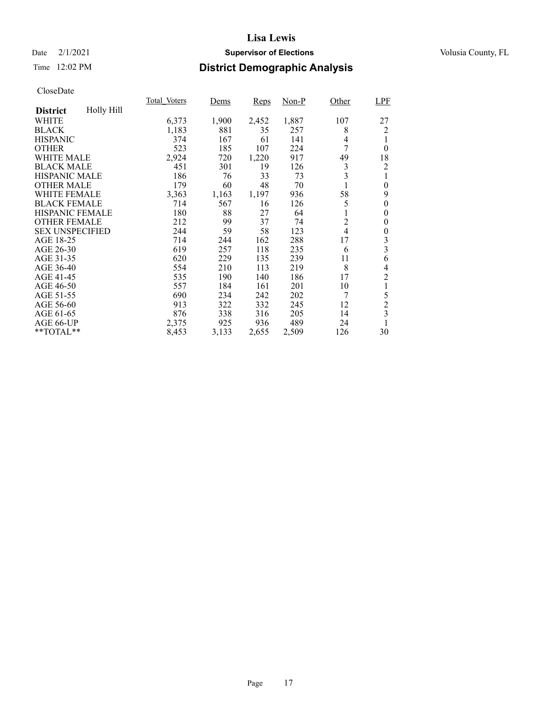### Date  $2/1/2021$  **Supervisor of Elections** Volusia County, FL

### Time 12:02 PM **District Demographic Analysis**

|                        |            | Total Voters | Dems  | <b>Reps</b> | $Non-P$ | Other          | <b>LPF</b>       |
|------------------------|------------|--------------|-------|-------------|---------|----------------|------------------|
| <b>District</b>        | Holly Hill |              |       |             |         |                |                  |
| WHITE                  |            | 6,373        | 1,900 | 2,452       | 1,887   | 107            | 27               |
| <b>BLACK</b>           |            | 1,183        | 881   | 35          | 257     | 8              | 2                |
| <b>HISPANIC</b>        |            | 374          | 167   | 61          | 141     | 4              |                  |
| <b>OTHER</b>           |            | 523          | 185   | 107         | 224     | 7              | $\theta$         |
| WHITE MALE             |            | 2,924        | 720   | 1,220       | 917     | 49             | 18               |
| <b>BLACK MALE</b>      |            | 451          | 301   | 19          | 126     | 3              | 2                |
| <b>HISPANIC MALE</b>   |            | 186          | 76    | 33          | 73      | 3              |                  |
| <b>OTHER MALE</b>      |            | 179          | 60    | 48          | 70      | 1              | $\overline{0}$   |
| <b>WHITE FEMALE</b>    |            | 3,363        | 1,163 | 1,197       | 936     | 58             | 9                |
| <b>BLACK FEMALE</b>    |            | 714          | 567   | 16          | 126     | 5              | $\overline{0}$   |
| <b>HISPANIC FEMALE</b> |            | 180          | 88    | 27          | 64      |                | $\overline{0}$   |
| <b>OTHER FEMALE</b>    |            | 212          | 99    | 37          | 74      | $\overline{2}$ | $\boldsymbol{0}$ |
| <b>SEX UNSPECIFIED</b> |            | 244          | 59    | 58          | 123     | 4              | $\boldsymbol{0}$ |
| AGE 18-25              |            | 714          | 244   | 162         | 288     | 17             | 3                |
| AGE 26-30              |            | 619          | 257   | 118         | 235     | 6              | 3                |
| AGE 31-35              |            | 620          | 229   | 135         | 239     | 11             | 6                |
| AGE 36-40              |            | 554          | 210   | 113         | 219     | 8              | 4                |
| AGE 41-45              |            | 535          | 190   | 140         | 186     | 17             | $\overline{2}$   |
| AGE 46-50              |            | 557          | 184   | 161         | 201     | 10             | 1                |
| AGE 51-55              |            | 690          | 234   | 242         | 202     | 7              | 5                |
| AGE 56-60              |            | 913          | 322   | 332         | 245     | 12             | $\overline{c}$   |
| AGE 61-65              |            | 876          | 338   | 316         | 205     | 14             | 3                |
| AGE 66-UP              |            | 2,375        | 925   | 936         | 489     | 24             |                  |
| **TOTAL**              |            | 8,453        | 3,133 | 2,655       | 2,509   | 126            | 30               |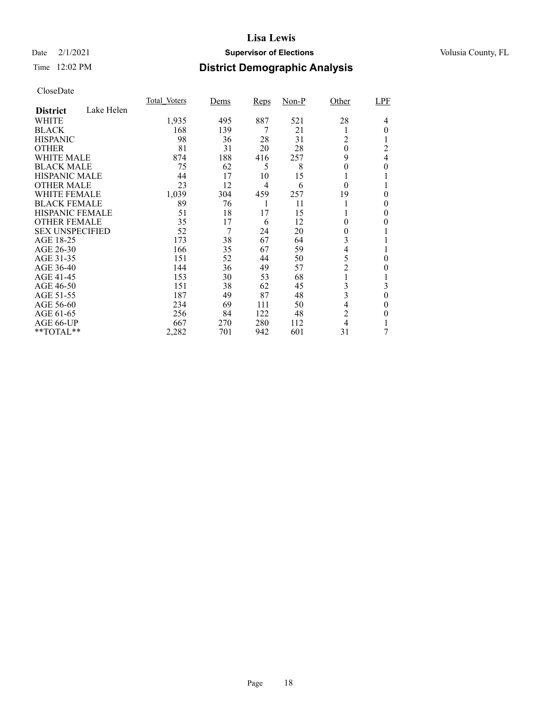### Date  $2/1/2021$  **Supervisor of Elections** Volusia County, FL

### Time 12:02 PM **District Demographic Analysis**

|                        |            | <b>Total Voters</b> | Dems | Reps | $Non-P$ | Other          | LPF      |
|------------------------|------------|---------------------|------|------|---------|----------------|----------|
| <b>District</b>        | Lake Helen |                     |      |      |         |                |          |
| WHITE                  |            | 1,935               | 495  | 887  | 521     | 28             | 4        |
| <b>BLACK</b>           |            | 168                 | 139  | 7    | 21      |                | $\theta$ |
| <b>HISPANIC</b>        |            | 98                  | 36   | 28   | 31      | 2              |          |
| <b>OTHER</b>           |            | 81                  | 31   | 20   | 28      | $\theta$       | 2        |
| WHITE MALE             |            | 874                 | 188  | 416  | 257     | 9              | 4        |
| <b>BLACK MALE</b>      |            | 75                  | 62   | 5    | 8       | 0              | 0        |
| <b>HISPANIC MALE</b>   |            | 44                  | 17   | 10   | 15      |                |          |
| <b>OTHER MALE</b>      |            | 23                  | 12   | 4    | 6       | $\theta$       |          |
| <b>WHITE FEMALE</b>    |            | 1,039               | 304  | 459  | 257     | 19             | 0        |
| <b>BLACK FEMALE</b>    |            | 89                  | 76   |      | 11      |                | 0        |
| <b>HISPANIC FEMALE</b> |            | 51                  | 18   | 17   | 15      |                | 0        |
| <b>OTHER FEMALE</b>    |            | 35                  | 17   | 6    | 12      | 0              | 0        |
| <b>SEX UNSPECIFIED</b> |            | 52                  | 7    | 24   | 20      | 0              |          |
| AGE 18-25              |            | 173                 | 38   | 67   | 64      | 3              |          |
| AGE 26-30              |            | 166                 | 35   | 67   | 59      | 4              |          |
| AGE 31-35              |            | 151                 | 52   | 44   | 50      | 5              | 0        |
| AGE 36-40              |            | 144                 | 36   | 49   | 57      | $\overline{c}$ | 0        |
| AGE 41-45              |            | 153                 | 30   | 53   | 68      |                |          |
| AGE 46-50              |            | 151                 | 38   | 62   | 45      | 3              | 3        |
| AGE 51-55              |            | 187                 | 49   | 87   | 48      | 3              | $\Omega$ |
| AGE 56-60              |            | 234                 | 69   | 111  | 50      | 4              | $\theta$ |
| AGE 61-65              |            | 256                 | 84   | 122  | 48      | $\overline{c}$ | 0        |
| AGE 66-UP              |            | 667                 | 270  | 280  | 112     | $\overline{4}$ |          |
| **TOTAL**              |            | 2,282               | 701  | 942  | 601     | 31             | 7        |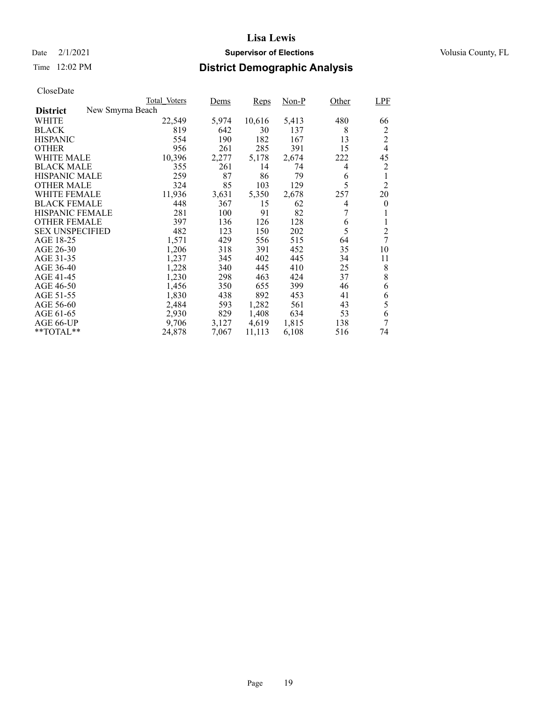## Date  $2/1/2021$  **Supervisor of Elections** Volusia County, FL

### Time 12:02 PM **District Demographic Analysis**

|                        | Total Voters     | Dems  | Reps   | $Non-P$ | Other | LPF            |
|------------------------|------------------|-------|--------|---------|-------|----------------|
| <b>District</b>        | New Smyrna Beach |       |        |         |       |                |
| WHITE                  | 22,549           | 5,974 | 10,616 | 5,413   | 480   | 66             |
| <b>BLACK</b>           | 819              | 642   | 30     | 137     | 8     | 2              |
| <b>HISPANIC</b>        | 554              | 190   | 182    | 167     | 13    | $\overline{c}$ |
| <b>OTHER</b>           | 956              | 261   | 285    | 391     | 15    | 4              |
| WHITE MALE             | 10,396           | 2,277 | 5,178  | 2,674   | 222   | 45             |
| <b>BLACK MALE</b>      | 355              | 261   | 14     | 74      | 4     | 2              |
| <b>HISPANIC MALE</b>   | 259              | 87    | 86     | 79      | 6     | 1              |
| <b>OTHER MALE</b>      | 324              | 85    | 103    | 129     | 5     | $\overline{2}$ |
| WHITE FEMALE           | 11,936           | 3,631 | 5,350  | 2,678   | 257   | 20             |
| <b>BLACK FEMALE</b>    | 448              | 367   | 15     | 62      | 4     | $\theta$       |
| <b>HISPANIC FEMALE</b> | 281              | 100   | 91     | 82      | 7     | 1              |
| <b>OTHER FEMALE</b>    | 397              | 136   | 126    | 128     | 6     | 1              |
| <b>SEX UNSPECIFIED</b> | 482              | 123   | 150    | 202     | 5     | $\overline{c}$ |
| AGE 18-25              | 1,571            | 429   | 556    | 515     | 64    | 7              |
| AGE 26-30              | 1,206            | 318   | 391    | 452     | 35    | 10             |
| AGE 31-35              | 1,237            | 345   | 402    | 445     | 34    | 11             |
| AGE 36-40              | 1,228            | 340   | 445    | 410     | 25    | 8              |
| AGE 41-45              | 1,230            | 298   | 463    | 424     | 37    | 8              |
| AGE 46-50              | 1,456            | 350   | 655    | 399     | 46    | 6              |
| AGE 51-55              | 1,830            | 438   | 892    | 453     | 41    | 6              |
| AGE 56-60              | 2,484            | 593   | 1,282  | 561     | 43    | 5              |
| AGE 61-65              | 2,930            | 829   | 1,408  | 634     | 53    | 6              |
| AGE 66-UP              | 9,706            | 3,127 | 4,619  | 1,815   | 138   | 7              |
| $*$ $TOTAL**$          | 24,878           | 7,067 | 11,113 | 6,108   | 516   | 74             |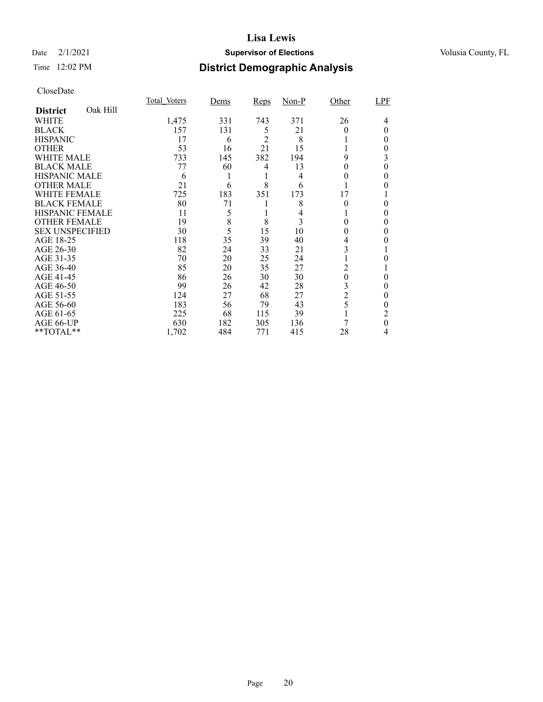### Date  $2/1/2021$  **Supervisor of Elections** Volusia County, FL

### Time 12:02 PM **District Demographic Analysis**

|                        |          | Total Voters | Dems | Reps           | $Non-P$ | Other          | LPF |
|------------------------|----------|--------------|------|----------------|---------|----------------|-----|
| <b>District</b>        | Oak Hill |              |      |                |         |                |     |
| WHITE                  |          | 1,475        | 331  | 743            | 371     | 26             | 4   |
| <b>BLACK</b>           |          | 157          | 131  | 5              | 21      | 0              | 0   |
| <b>HISPANIC</b>        |          | 17           | 6    | $\overline{2}$ | 8       |                | 0   |
| <b>OTHER</b>           |          | 53           | 16   | 21             | 15      |                | 0   |
| WHITE MALE             |          | 733          | 145  | 382            | 194     | 9              | 3   |
| <b>BLACK MALE</b>      |          | 77           | 60   | 4              | 13      | 0              | 0   |
| <b>HISPANIC MALE</b>   |          | 6            |      |                | 4       | 0              | 0   |
| <b>OTHER MALE</b>      |          | 21           | 6    | 8              | 6       |                | 0   |
| <b>WHITE FEMALE</b>    |          | 725          | 183  | 351            | 173     | 17             |     |
| <b>BLACK FEMALE</b>    |          | 80           | 71   |                | 8       | $\theta$       | 0   |
| HISPANIC FEMALE        |          | 11           | 5    |                | 4       |                | 0   |
| <b>OTHER FEMALE</b>    |          | 19           | 8    | 8              | 3       | 0              | 0   |
| <b>SEX UNSPECIFIED</b> |          | 30           | 5    | 15             | 10      | $_{0}$         | 0   |
| AGE 18-25              |          | 118          | 35   | 39             | 40      | 4              |     |
| AGE 26-30              |          | 82           | 24   | 33             | 21      | 3              |     |
| AGE 31-35              |          | 70           | 20   | 25             | 24      |                |     |
| AGE 36-40              |          | 85           | 20   | 35             | 27      | 2              |     |
| AGE 41-45              |          | 86           | 26   | 30             | 30      | $\theta$       | 0   |
| AGE 46-50              |          | 99           | 26   | 42             | 28      | 3              | 0   |
| AGE 51-55              |          | 124          | 27   | 68             | 27      | $\overline{c}$ | 0   |
| AGE 56-60              |          | 183          | 56   | 79             | 43      | 5              | 0   |
| AGE 61-65              |          | 225          | 68   | 115            | 39      |                | 2   |
| AGE 66-UP              |          | 630          | 182  | 305            | 136     |                | 0   |
| **TOTAL**              |          | 1,702        | 484  | 771            | 415     | 28             | 4   |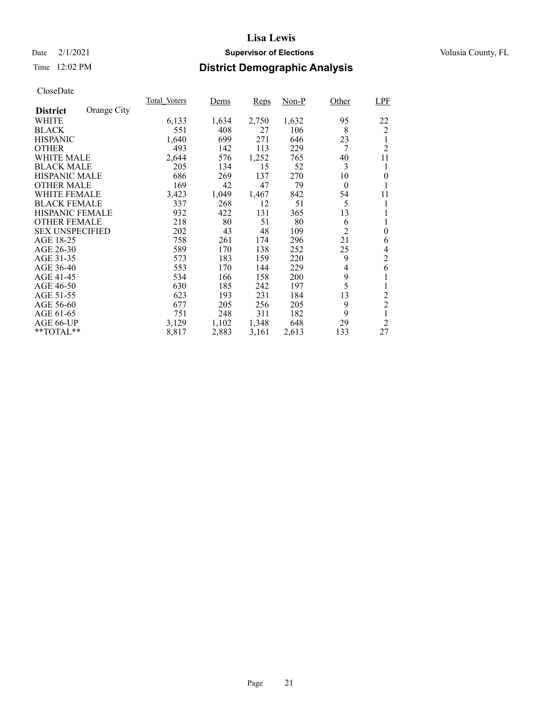### Date  $2/1/2021$  **Supervisor of Elections** Volusia County, FL

### Time 12:02 PM **District Demographic Analysis**

|                        |             | <b>Total Voters</b> | Dems  | Reps  | $Non-P$ | Other          | <b>LPF</b>     |
|------------------------|-------------|---------------------|-------|-------|---------|----------------|----------------|
| <b>District</b>        | Orange City |                     |       |       |         |                |                |
| WHITE                  |             | 6,133               | 1,634 | 2,750 | 1,632   | 95             | 22             |
| <b>BLACK</b>           |             | 551                 | 408   | 27    | 106     | 8              | $\overline{2}$ |
| <b>HISPANIC</b>        |             | 1,640               | 699   | 271   | 646     | 23             | 1              |
| <b>OTHER</b>           |             | 493                 | 142   | 113   | 229     | 7              | $\overline{2}$ |
| <b>WHITE MALE</b>      |             | 2,644               | 576   | 1,252 | 765     | 40             | 11             |
| <b>BLACK MALE</b>      |             | 205                 | 134   | 15    | 52      | 3              | 1              |
| <b>HISPANIC MALE</b>   |             | 686                 | 269   | 137   | 270     | 10             | $\overline{0}$ |
| <b>OTHER MALE</b>      |             | 169                 | 42    | 47    | 79      | $\theta$       |                |
| WHITE FEMALE           |             | 3,423               | 1,049 | 1,467 | 842     | 54             | 11             |
| <b>BLACK FEMALE</b>    |             | 337                 | 268   | 12    | 51      | 5              | 1              |
| <b>HISPANIC FEMALE</b> |             | 932                 | 422   | 131   | 365     | 13             | 1              |
| <b>OTHER FEMALE</b>    |             | 218                 | 80    | 51    | 80      | 6              | 1              |
| <b>SEX UNSPECIFIED</b> |             | 202                 | 43    | 48    | 109     | $\overline{2}$ | $\theta$       |
| AGE 18-25              |             | 758                 | 261   | 174   | 296     | 21             | 6              |
| AGE 26-30              |             | 589                 | 170   | 138   | 252     | 25             | 4              |
| AGE 31-35              |             | 573                 | 183   | 159   | 220     | 9              | $\overline{c}$ |
| AGE 36-40              |             | 553                 | 170   | 144   | 229     | 4              | 6              |
| AGE 41-45              |             | 534                 | 166   | 158   | 200     | 9              | 1              |
| AGE 46-50              |             | 630                 | 185   | 242   | 197     | 5              | 1              |
| AGE 51-55              |             | 623                 | 193   | 231   | 184     | 13             | 2              |
| AGE 56-60              |             | 677                 | 205   | 256   | 205     | 9              | $\overline{2}$ |
| AGE 61-65              |             | 751                 | 248   | 311   | 182     | 9              | 1              |
| AGE 66-UP              |             | 3,129               | 1,102 | 1,348 | 648     | 29             | $\overline{2}$ |
| **TOTAL**              |             | 8,817               | 2,883 | 3,161 | 2,613   | 133            | 27             |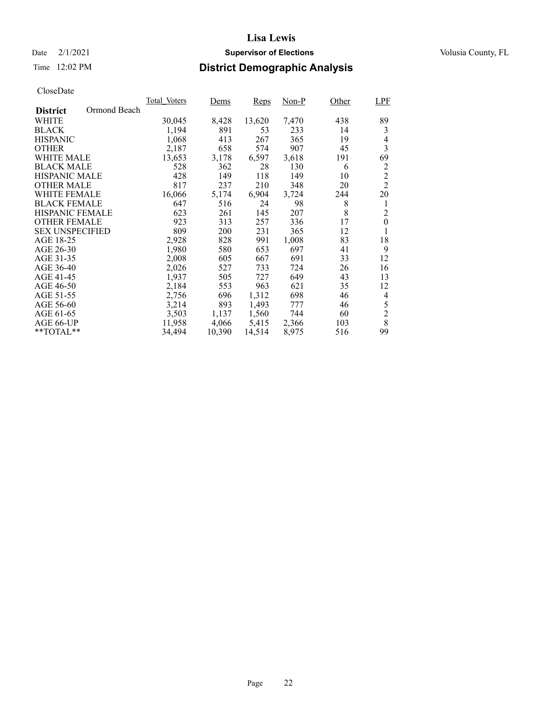## Date  $2/1/2021$  **Supervisor of Elections** Volusia County, FL

### Time 12:02 PM **District Demographic Analysis**

|                                 | Total Voters | Dems   | Reps   | $Non-P$ | Other | LPF              |
|---------------------------------|--------------|--------|--------|---------|-------|------------------|
| Ormond Beach<br><b>District</b> |              |        |        |         |       |                  |
| WHITE                           | 30,045       | 8,428  | 13,620 | 7,470   | 438   | 89               |
| <b>BLACK</b>                    | 1,194        | 891    | 53     | 233     | 14    | 3                |
| <b>HISPANIC</b>                 | 1,068        | 413    | 267    | 365     | 19    | 4                |
| <b>OTHER</b>                    | 2,187        | 658    | 574    | 907     | 45    | 3                |
| WHITE MALE                      | 13,653       | 3,178  | 6,597  | 3,618   | 191   | 69               |
| <b>BLACK MALE</b>               | 528          | 362    | 28     | 130     | 6     | 2                |
| <b>HISPANIC MALE</b>            | 428          | 149    | 118    | 149     | 10    | $\overline{c}$   |
| <b>OTHER MALE</b>               | 817          | 237    | 210    | 348     | 20    | $\overline{2}$   |
| <b>WHITE FEMALE</b>             | 16,066       | 5,174  | 6,904  | 3,724   | 244   | 20               |
| <b>BLACK FEMALE</b>             | 647          | 516    | 24     | 98      | 8     | 1                |
| <b>HISPANIC FEMALE</b>          | 623          | 261    | 145    | 207     | 8     | 2                |
| <b>OTHER FEMALE</b>             | 923          | 313    | 257    | 336     | 17    | $\boldsymbol{0}$ |
| <b>SEX UNSPECIFIED</b>          | 809          | 200    | 231    | 365     | 12    | 1                |
| AGE 18-25                       | 2,928        | 828    | 991    | 1,008   | 83    | 18               |
| AGE 26-30                       | 1,980        | 580    | 653    | 697     | 41    | 9                |
| AGE 31-35                       | 2,008        | 605    | 667    | 691     | 33    | 12               |
| AGE 36-40                       | 2,026        | 527    | 733    | 724     | 26    | 16               |
| AGE 41-45                       | 1,937        | 505    | 727    | 649     | 43    | 13               |
| AGE 46-50                       | 2,184        | 553    | 963    | 621     | 35    | 12               |
| AGE 51-55                       | 2,756        | 696    | 1,312  | 698     | 46    | 4                |
| AGE 56-60                       | 3,214        | 893    | 1,493  | 777     | 46    | 5                |
| AGE 61-65                       | 3,503        | 1,137  | 1,560  | 744     | 60    | $\overline{2}$   |
| AGE 66-UP                       | 11,958       | 4,066  | 5,415  | 2,366   | 103   | 8                |
| $*$ $TOTAL**$                   | 34,494       | 10,390 | 14,514 | 8,975   | 516   | 99               |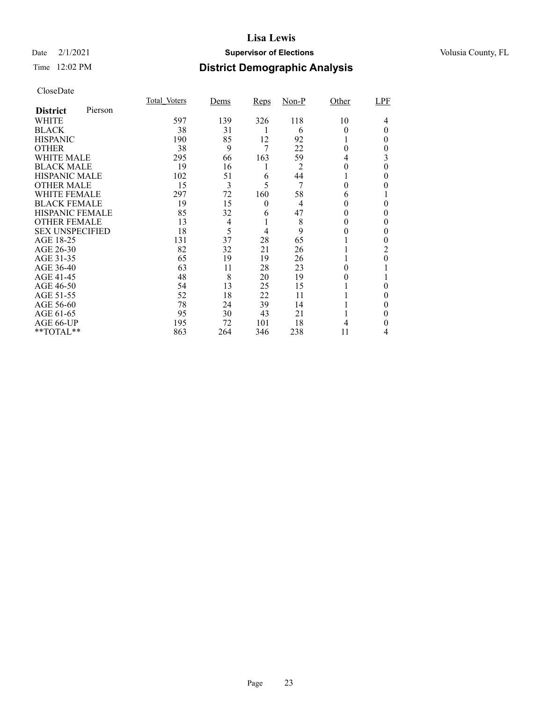### Date  $2/1/2021$  **Supervisor of Elections** Volusia County, FL

### Time 12:02 PM **District Demographic Analysis**

|                        |         | Total Voters | Dems | Reps     | $Non-P$        | Other | LPF |
|------------------------|---------|--------------|------|----------|----------------|-------|-----|
| <b>District</b>        | Pierson |              |      |          |                |       |     |
| WHITE                  |         | 597          | 139  | 326      | 118            | 10    | 4   |
| <b>BLACK</b>           |         | 38           | 31   |          | 6              | 0     | 0   |
| <b>HISPANIC</b>        |         | 190          | 85   | 12       | 92             |       | 0   |
| <b>OTHER</b>           |         | 38           | 9    | 7        | 22             | 0     | 0   |
| WHITE MALE             |         | 295          | 66   | 163      | 59             | 4     | 3   |
| <b>BLACK MALE</b>      |         | 19           | 16   | 1        | $\overline{2}$ | 0     | 0   |
| <b>HISPANIC MALE</b>   |         | 102          | 51   | 6        | 44             |       | 0   |
| <b>OTHER MALE</b>      |         | 15           | 3    | 5        | 7              | 0     | 0   |
| <b>WHITE FEMALE</b>    |         | 297          | 72   | 160      | 58             | 6     |     |
| <b>BLACK FEMALE</b>    |         | 19           | 15   | $\theta$ | 4              | 0     | 0   |
| HISPANIC FEMALE        |         | 85           | 32   | 6        | 47             | 0     | 0   |
| <b>OTHER FEMALE</b>    |         | 13           | 4    |          | 8              | 0     | 0   |
| <b>SEX UNSPECIFIED</b> |         | 18           | 5    | 4        | 9              |       | 0   |
| AGE 18-25              |         | 131          | 37   | 28       | 65             |       | 0   |
| AGE 26-30              |         | 82           | 32   | 21       | 26             |       | 2   |
| AGE 31-35              |         | 65           | 19   | 19       | 26             |       | 0   |
| AGE 36-40              |         | 63           | 11   | 28       | 23             | 0     |     |
| AGE 41-45              |         | 48           | 8    | 20       | 19             |       |     |
| AGE 46-50              |         | 54           | 13   | 25       | 15             |       | 0   |
| AGE 51-55              |         | 52           | 18   | 22       | 11             |       | 0   |
| AGE 56-60              |         | 78           | 24   | 39       | 14             |       |     |
| AGE 61-65              |         | 95           | 30   | 43       | 21             |       | 0   |
| AGE 66-UP              |         | 195          | 72   | 101      | 18             |       | 0   |
| **TOTAL**              |         | 863          | 264  | 346      | 238            | 11    | 4   |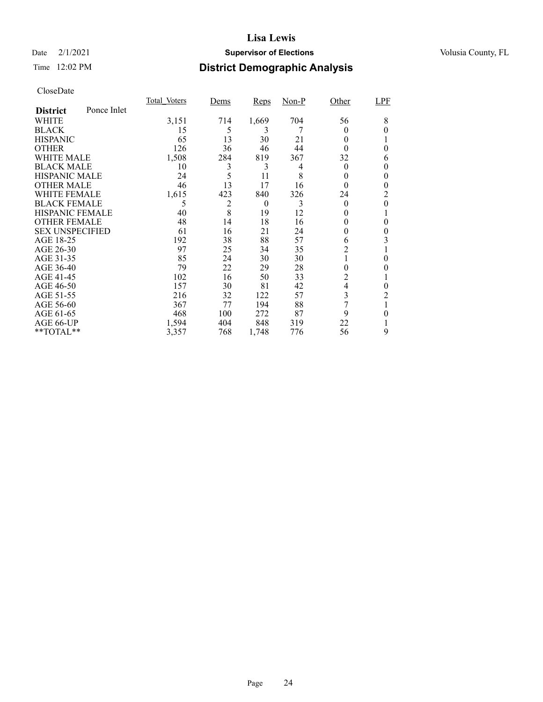## Date  $2/1/2021$  **Supervisor of Elections** Volusia County, FL

## Time 12:02 PM **District Demographic Analysis**

|                        |             | <b>Total Voters</b> | Dems | Reps     | $Non-P$ | Other        | LPF |
|------------------------|-------------|---------------------|------|----------|---------|--------------|-----|
| <b>District</b>        | Ponce Inlet |                     |      |          |         |              |     |
| WHITE                  |             | 3,151               | 714  | 1,669    | 704     | 56           | 8   |
| <b>BLACK</b>           |             | 15                  | 5    | 3        | 7       | $\theta$     | 0   |
| <b>HISPANIC</b>        |             | 65                  | 13   | 30       | 21      | $\Omega$     |     |
| <b>OTHER</b>           |             | 126                 | 36   | 46       | 44      | $\Omega$     | 0   |
| WHITE MALE             |             | 1,508               | 284  | 819      | 367     | 32           | 6   |
| <b>BLACK MALE</b>      |             | 10                  | 3    | 3        | 4       | $\theta$     |     |
| <b>HISPANIC MALE</b>   |             | 24                  | 5    | 11       | 8       | $^{(1)}$     | 0   |
| <b>OTHER MALE</b>      |             | 46                  | 13   | 17       | 16      | $\theta$     | 0   |
| <b>WHITE FEMALE</b>    |             | 1,615               | 423  | 840      | 326     | 24           | 2   |
| <b>BLACK FEMALE</b>    |             | 5                   | 2    | $\theta$ | 3       | $\theta$     | 0   |
| HISPANIC FEMALE        |             | 40                  | 8    | 19       | 12      | $\mathbf{0}$ |     |
| <b>OTHER FEMALE</b>    |             | 48                  | 14   | 18       | 16      | $_{0}$       | 0   |
| <b>SEX UNSPECIFIED</b> |             | 61                  | 16   | 21       | 24      | $\theta$     | 0   |
| AGE 18-25              |             | 192                 | 38   | 88       | 57      | 6            | 3   |
| AGE 26-30              |             | 97                  | 25   | 34       | 35      | 2            |     |
| AGE 31-35              |             | 85                  | 24   | 30       | 30      |              | 0   |
| AGE 36-40              |             | 79                  | 22   | 29       | 28      | 0            | 0   |
| AGE 41-45              |             | 102                 | 16   | 50       | 33      | 2            |     |
| AGE 46-50              |             | 157                 | 30   | 81       | 42      | 4            | 0   |
| AGE 51-55              |             | 216                 | 32   | 122      | 57      | 3            | 2   |
| AGE 56-60              |             | 367                 | 77   | 194      | 88      | 7            |     |
| AGE 61-65              |             | 468                 | 100  | 272      | 87      | 9            | 0   |
| AGE 66-UP              |             | 1,594               | 404  | 848      | 319     | 22           |     |
| **TOTAL**              |             | 3,357               | 768  | 1,748    | 776     | 56           | 9   |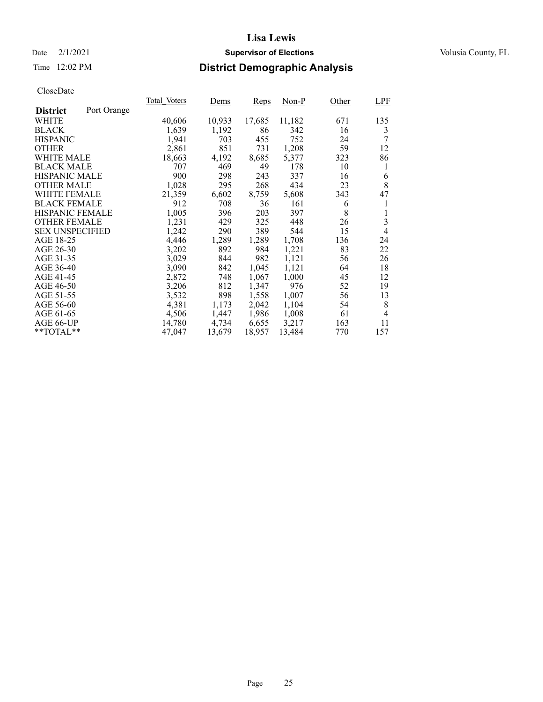### Date  $2/1/2021$  **Supervisor of Elections** Volusia County, FL

### Time 12:02 PM **District Demographic Analysis**

|                        |             | <b>Total Voters</b> | Dems   | Reps   | $Non-P$ | Other | LPF |
|------------------------|-------------|---------------------|--------|--------|---------|-------|-----|
| <b>District</b>        | Port Orange |                     |        |        |         |       |     |
| WHITE                  |             | 40,606              | 10,933 | 17,685 | 11,182  | 671   | 135 |
| <b>BLACK</b>           |             | 1,639               | 1,192  | 86     | 342     | 16    | 3   |
| <b>HISPANIC</b>        |             | 1,941               | 703    | 455    | 752     | 24    | 7   |
| <b>OTHER</b>           |             | 2,861               | 851    | 731    | 1,208   | 59    | 12  |
| WHITE MALE             |             | 18,663              | 4,192  | 8,685  | 5,377   | 323   | 86  |
| <b>BLACK MALE</b>      |             | 707                 | 469    | 49     | 178     | 10    | 1   |
| <b>HISPANIC MALE</b>   |             | 900                 | 298    | 243    | 337     | 16    | 6   |
| <b>OTHER MALE</b>      |             | 1,028               | 295    | 268    | 434     | 23    | 8   |
| <b>WHITE FEMALE</b>    |             | 21,359              | 6,602  | 8,759  | 5,608   | 343   | 47  |
| <b>BLACK FEMALE</b>    |             | 912                 | 708    | 36     | 161     | 6     |     |
| HISPANIC FEMALE        |             | 1,005               | 396    | 203    | 397     | 8     |     |
| <b>OTHER FEMALE</b>    |             | 1,231               | 429    | 325    | 448     | 26    | 3   |
| <b>SEX UNSPECIFIED</b> |             | 1,242               | 290    | 389    | 544     | 15    | 4   |
| AGE 18-25              |             | 4,446               | 1,289  | 1,289  | 1,708   | 136   | 24  |
| AGE 26-30              |             | 3,202               | 892    | 984    | 1,221   | 83    | 22  |
| AGE 31-35              |             | 3,029               | 844    | 982    | 1,121   | 56    | 26  |
| AGE 36-40              |             | 3,090               | 842    | 1,045  | 1,121   | 64    | 18  |
| AGE 41-45              |             | 2,872               | 748    | 1,067  | 1,000   | 45    | 12  |
| AGE 46-50              |             | 3,206               | 812    | 1,347  | 976     | 52    | 19  |
| AGE 51-55              |             | 3,532               | 898    | 1,558  | 1,007   | 56    | 13  |
| AGE 56-60              |             | 4,381               | 1,173  | 2,042  | 1,104   | 54    | 8   |
| AGE 61-65              |             | 4,506               | 1,447  | 1,986  | 1,008   | 61    | 4   |
| AGE 66-UP              |             | 14,780              | 4,734  | 6,655  | 3,217   | 163   | 11  |
| $*$ TOTAL $*$          |             | 47,047              | 13,679 | 18,957 | 13,484  | 770   | 157 |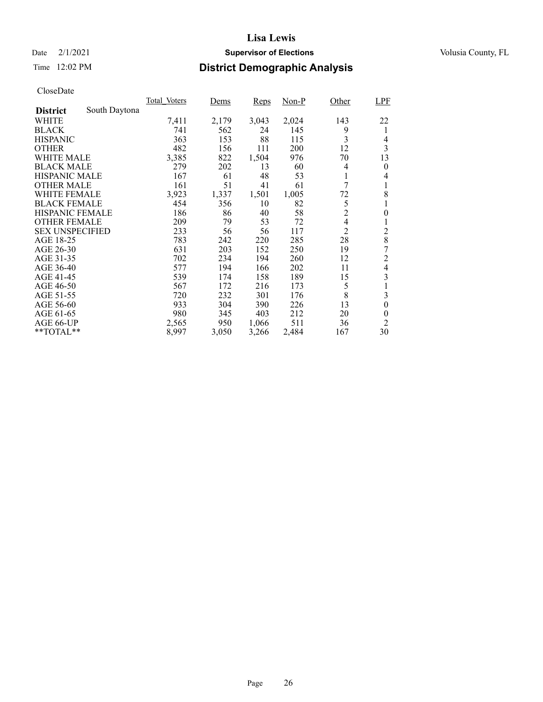## Date  $2/1/2021$  **Supervisor of Elections** Volusia County, FL

### Time 12:02 PM **District Demographic Analysis**

|                        |               | Total Voters | Dems  | Reps  | $Non-P$ | Other          | LPF            |
|------------------------|---------------|--------------|-------|-------|---------|----------------|----------------|
| <b>District</b>        | South Daytona |              |       |       |         |                |                |
| WHITE                  |               | 7,411        | 2,179 | 3,043 | 2,024   | 143            | 22             |
| <b>BLACK</b>           |               | 741          | 562   | 24    | 145     | 9              | 1              |
| <b>HISPANIC</b>        |               | 363          | 153   | 88    | 115     | 3              | 4              |
| <b>OTHER</b>           |               | 482          | 156   | 111   | 200     | 12             | 3              |
| WHITE MALE             |               | 3,385        | 822   | 1,504 | 976     | 70             | 13             |
| <b>BLACK MALE</b>      |               | 279          | 202   | 13    | 60      | 4              | $\theta$       |
| <b>HISPANIC MALE</b>   |               | 167          | 61    | 48    | 53      | 1              | 4              |
| <b>OTHER MALE</b>      |               | 161          | 51    | 41    | 61      | 7              |                |
| <b>WHITE FEMALE</b>    |               | 3,923        | 1,337 | 1,501 | 1,005   | 72             | 8              |
| <b>BLACK FEMALE</b>    |               | 454          | 356   | 10    | 82      | 5              |                |
| <b>HISPANIC FEMALE</b> |               | 186          | 86    | 40    | 58      | $\overline{c}$ | 0              |
| <b>OTHER FEMALE</b>    |               | 209          | 79    | 53    | 72      | $\overline{4}$ | 1              |
| <b>SEX UNSPECIFIED</b> |               | 233          | 56    | 56    | 117     | $\overline{c}$ | $\overline{c}$ |
| AGE 18-25              |               | 783          | 242   | 220   | 285     | 28             | 8              |
| AGE 26-30              |               | 631          | 203   | 152   | 250     | 19             | 7              |
| AGE 31-35              |               | 702          | 234   | 194   | 260     | 12             | $\overline{c}$ |
| AGE 36-40              |               | 577          | 194   | 166   | 202     | 11             | 4              |
| AGE 41-45              |               | 539          | 174   | 158   | 189     | 15             | 3              |
| AGE 46-50              |               | 567          | 172   | 216   | 173     | 5              |                |
| AGE 51-55              |               | 720          | 232   | 301   | 176     | 8              | 3              |
| AGE 56-60              |               | 933          | 304   | 390   | 226     | 13             | 0              |
| AGE 61-65              |               | 980          | 345   | 403   | 212     | 20             | $\theta$       |
| AGE 66-UP              |               | 2,565        | 950   | 1,066 | 511     | 36             | $\overline{2}$ |
| **TOTAL**              |               | 8,997        | 3,050 | 3,266 | 2,484   | 167            | 30             |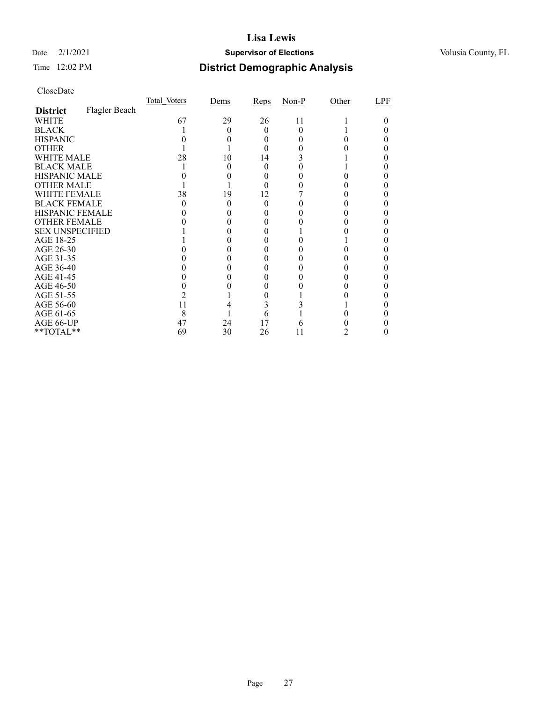## Date  $2/1/2021$  **Supervisor of Elections** Volusia County, FL

### Time 12:02 PM **District Demographic Analysis**

|                        |               | Total Voters | Dems | Reps     | $Non-P$ | Other | LPF |
|------------------------|---------------|--------------|------|----------|---------|-------|-----|
| <b>District</b>        | Flagler Beach |              |      |          |         |       |     |
| WHITE                  |               | 67           | 29   | 26       | 11      |       |     |
| <b>BLACK</b>           |               |              |      | 0        | 0       |       |     |
| <b>HISPANIC</b>        |               |              |      |          |         |       |     |
| <b>OTHER</b>           |               |              |      |          |         |       |     |
| WHITE MALE             |               | 28           | 10   | 14       |         |       |     |
| <b>BLACK MALE</b>      |               |              |      |          |         |       |     |
| <b>HISPANIC MALE</b>   |               |              |      |          |         |       |     |
| <b>OTHER MALE</b>      |               |              |      |          |         |       |     |
| WHITE FEMALE           |               | 38           | 19   | 12       |         |       |     |
| <b>BLACK FEMALE</b>    |               |              |      | $\theta$ |         |       |     |
| HISPANIC FEMALE        |               |              |      |          |         |       |     |
| <b>OTHER FEMALE</b>    |               |              |      |          |         |       |     |
| <b>SEX UNSPECIFIED</b> |               |              |      |          |         |       |     |
| AGE 18-25              |               |              |      |          |         |       |     |
| AGE 26-30              |               |              |      |          |         |       |     |
| AGE 31-35              |               |              |      |          |         |       |     |
| AGE 36-40              |               |              |      |          |         |       |     |
| AGE 41-45              |               |              |      |          |         |       |     |
| AGE 46-50              |               |              |      |          |         |       |     |
| AGE 51-55              |               |              |      |          |         |       |     |
| AGE 56-60              |               | 11           |      |          |         |       |     |
| AGE 61-65              |               | 8            |      | n        |         |       |     |
| AGE 66-UP              |               | 47           | 24   | 17       |         |       |     |
| **TOTAL**              |               | 69           | 30   | 26       | 11      |       |     |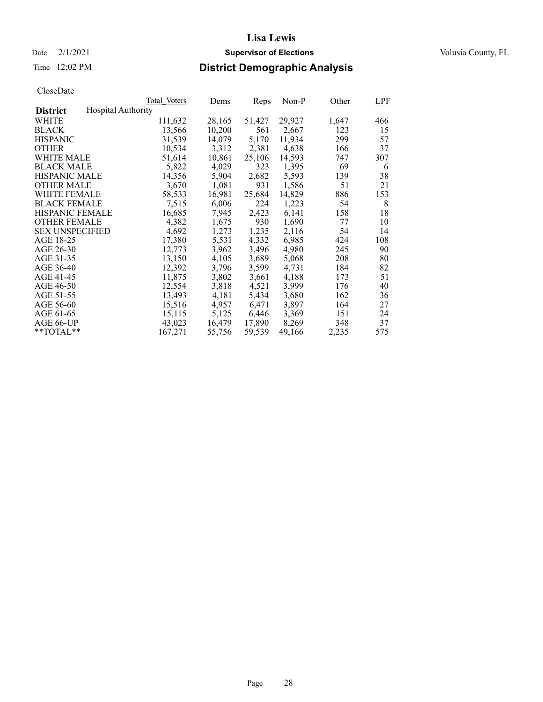## Date  $2/1/2021$  **Supervisor of Elections** Volusia County, FL

### Time 12:02 PM **District Demographic Analysis**

|                        |                           | Total Voters | Dems   | Reps   | $Non-P$ | Other | LPF |
|------------------------|---------------------------|--------------|--------|--------|---------|-------|-----|
| <b>District</b>        | <b>Hospital Authority</b> |              |        |        |         |       |     |
| WHITE                  |                           | 111,632      | 28,165 | 51,427 | 29,927  | 1,647 | 466 |
| <b>BLACK</b>           |                           | 13,566       | 10,200 | 561    | 2,667   | 123   | 15  |
| <b>HISPANIC</b>        |                           | 31,539       | 14,079 | 5,170  | 11,934  | 299   | 57  |
| <b>OTHER</b>           |                           | 10,534       | 3.312  | 2,381  | 4,638   | 166   | 37  |
| <b>WHITE MALE</b>      |                           | 51,614       | 10,861 | 25,106 | 14.593  | 747   | 307 |
| <b>BLACK MALE</b>      |                           | 5,822        | 4,029  | 323    | 1,395   | 69    | 6   |
| <b>HISPANIC MALE</b>   |                           | 14,356       | 5,904  | 2,682  | 5,593   | 139   | 38  |
| <b>OTHER MALE</b>      |                           | 3,670        | 1,081  | 931    | 1,586   | 51    | 21  |
| WHITE FEMALE           |                           | 58,533       | 16,981 | 25,684 | 14,829  | 886   | 153 |
| <b>BLACK FEMALE</b>    |                           | 7,515        | 6,006  | 224    | 1,223   | 54    | 8   |
| <b>HISPANIC FEMALE</b> |                           | 16,685       | 7,945  | 2,423  | 6,141   | 158   | 18  |
| <b>OTHER FEMALE</b>    |                           | 4,382        | 1,675  | 930    | 1,690   | 77    | 10  |
| <b>SEX UNSPECIFIED</b> |                           | 4,692        | 1,273  | 1,235  | 2,116   | 54    | 14  |
| AGE 18-25              |                           | 17,380       | 5,531  | 4,332  | 6,985   | 424   | 108 |
| AGE 26-30              |                           | 12,773       | 3,962  | 3,496  | 4,980   | 245   | 90  |
| AGE 31-35              |                           | 13,150       | 4,105  | 3,689  | 5,068   | 208   | 80  |
| AGE 36-40              |                           | 12,392       | 3,796  | 3,599  | 4.731   | 184   | 82  |
| AGE 41-45              |                           | 11,875       | 3,802  | 3,661  | 4,188   | 173   | 51  |
| AGE 46-50              |                           | 12,554       | 3,818  | 4,521  | 3,999   | 176   | 40  |
| AGE 51-55              |                           | 13,493       | 4,181  | 5,434  | 3,680   | 162   | 36  |
| AGE 56-60              |                           | 15,516       | 4,957  | 6,471  | 3,897   | 164   | 27  |
| AGE 61-65              |                           | 15,115       | 5,125  | 6,446  | 3,369   | 151   | 24  |
| AGE 66-UP              |                           | 43,023       | 16,479 | 17,890 | 8,269   | 348   | 37  |
| $*$ TOTAL $*$          |                           | 167,271      | 55,756 | 59,539 | 49,166  | 2,235 | 575 |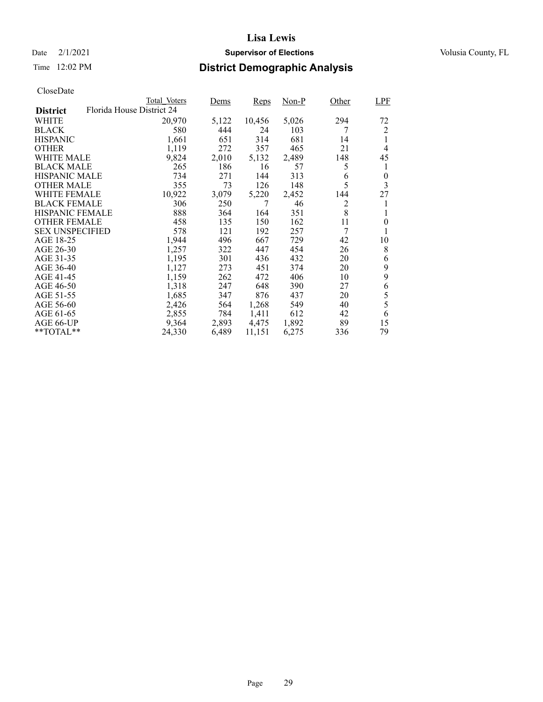## Date  $2/1/2021$  **Supervisor of Elections** Volusia County, FL

### Time 12:02 PM **District Demographic Analysis**

|                        |                           | Total Voters | Dems  | Reps   | $Non-P$ | Other | LPF              |
|------------------------|---------------------------|--------------|-------|--------|---------|-------|------------------|
| <b>District</b>        | Florida House District 24 |              |       |        |         |       |                  |
| WHITE                  |                           | 20,970       | 5,122 | 10,456 | 5,026   | 294   | 72               |
| <b>BLACK</b>           |                           | 580          | 444   | 24     | 103     | 7     | $\overline{c}$   |
| <b>HISPANIC</b>        |                           | 1,661        | 651   | 314    | 681     | 14    |                  |
| <b>OTHER</b>           |                           | 1,119        | 272   | 357    | 465     | 21    | 4                |
| WHITE MALE             |                           | 9,824        | 2,010 | 5,132  | 2,489   | 148   | 45               |
| <b>BLACK MALE</b>      |                           | 265          | 186   | 16     | 57      | 5     | 1                |
| <b>HISPANIC MALE</b>   |                           | 734          | 271   | 144    | 313     | 6     | $\boldsymbol{0}$ |
| <b>OTHER MALE</b>      |                           | 355          | 73    | 126    | 148     | 5     | 3                |
| <b>WHITE FEMALE</b>    |                           | 10,922       | 3,079 | 5,220  | 2,452   | 144   | 27               |
| <b>BLACK FEMALE</b>    |                           | 306          | 250   | 7      | 46      | 2     | 1                |
| HISPANIC FEMALE        |                           | 888          | 364   | 164    | 351     | 8     | 1                |
| <b>OTHER FEMALE</b>    |                           | 458          | 135   | 150    | 162     | 11    | $\theta$         |
| <b>SEX UNSPECIFIED</b> |                           | 578          | 121   | 192    | 257     | 7     | 1                |
| AGE 18-25              |                           | 1,944        | 496   | 667    | 729     | 42    | 10               |
| AGE 26-30              |                           | 1,257        | 322   | 447    | 454     | 26    | 8                |
| AGE 31-35              |                           | 1,195        | 301   | 436    | 432     | 20    | 6                |
| AGE 36-40              |                           | 1,127        | 273   | 451    | 374     | 20    | 9                |
| AGE 41-45              |                           | 1,159        | 262   | 472    | 406     | 10    | 9                |
| AGE 46-50              |                           | 1,318        | 247   | 648    | 390     | 27    | 6                |
| AGE 51-55              |                           | 1,685        | 347   | 876    | 437     | 20    | 5                |
| AGE 56-60              |                           | 2,426        | 564   | 1,268  | 549     | 40    | 5                |
| AGE 61-65              |                           | 2,855        | 784   | 1,411  | 612     | 42    | 6                |
| AGE 66-UP              |                           | 9,364        | 2,893 | 4,475  | 1,892   | 89    | 15               |
| $*$ TOTAL $*$          |                           | 24,330       | 6,489 | 11,151 | 6,275   | 336   | 79               |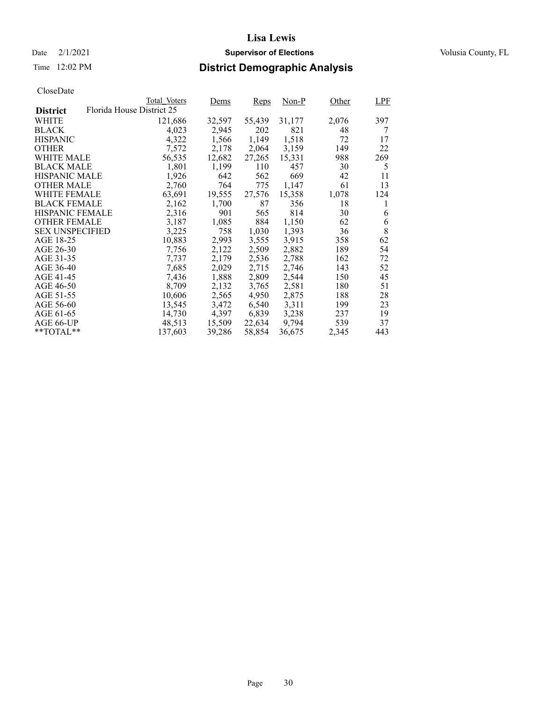## Date  $2/1/2021$  **Supervisor of Elections** Volusia County, FL

### Time 12:02 PM **District Demographic Analysis**

|                        |                           | Total Voters | Dems   | Reps   | $Non-P$ | Other | LPF |
|------------------------|---------------------------|--------------|--------|--------|---------|-------|-----|
| <b>District</b>        | Florida House District 25 |              |        |        |         |       |     |
| WHITE                  |                           | 121,686      | 32,597 | 55,439 | 31,177  | 2,076 | 397 |
| <b>BLACK</b>           |                           | 4,023        | 2,945  | 202    | 821     | 48    | 7   |
| <b>HISPANIC</b>        |                           | 4,322        | 1,566  | 1,149  | 1,518   | 72    | 17  |
| <b>OTHER</b>           |                           | 7,572        | 2,178  | 2,064  | 3,159   | 149   | 22  |
| WHITE MALE             |                           | 56,535       | 12,682 | 27,265 | 15,331  | 988   | 269 |
| <b>BLACK MALE</b>      |                           | 1,801        | 1,199  | 110    | 457     | 30    | 5   |
| <b>HISPANIC MALE</b>   |                           | 1,926        | 642    | 562    | 669     | 42    | 11  |
| <b>OTHER MALE</b>      |                           | 2,760        | 764    | 775    | 1,147   | 61    | 13  |
| <b>WHITE FEMALE</b>    |                           | 63,691       | 19,555 | 27,576 | 15,358  | 1,078 | 124 |
| <b>BLACK FEMALE</b>    |                           | 2,162        | 1,700  | 87     | 356     | 18    | 1   |
| <b>HISPANIC FEMALE</b> |                           | 2,316        | 901    | 565    | 814     | 30    | 6   |
| <b>OTHER FEMALE</b>    |                           | 3,187        | 1,085  | 884    | 1,150   | 62    | 6   |
| <b>SEX UNSPECIFIED</b> |                           | 3,225        | 758    | 1,030  | 1,393   | 36    | 8   |
| AGE 18-25              |                           | 10,883       | 2,993  | 3,555  | 3,915   | 358   | 62  |
| AGE 26-30              |                           | 7,756        | 2,122  | 2,509  | 2,882   | 189   | 54  |
| AGE 31-35              |                           | 7,737        | 2,179  | 2,536  | 2,788   | 162   | 72  |
| AGE 36-40              |                           | 7,685        | 2,029  | 2,715  | 2,746   | 143   | 52  |
| AGE 41-45              |                           | 7,436        | 1,888  | 2,809  | 2,544   | 150   | 45  |
| AGE 46-50              |                           | 8,709        | 2,132  | 3,765  | 2,581   | 180   | 51  |
| AGE 51-55              |                           | 10,606       | 2,565  | 4,950  | 2,875   | 188   | 28  |
| AGE 56-60              |                           | 13,545       | 3,472  | 6,540  | 3,311   | 199   | 23  |
| AGE 61-65              |                           | 14,730       | 4,397  | 6,839  | 3,238   | 237   | 19  |
| AGE 66-UP              |                           | 48,513       | 15,509 | 22,634 | 9,794   | 539   | 37  |
| $*$ $TOTAL**$          |                           | 137,603      | 39,286 | 58,854 | 36,675  | 2,345 | 443 |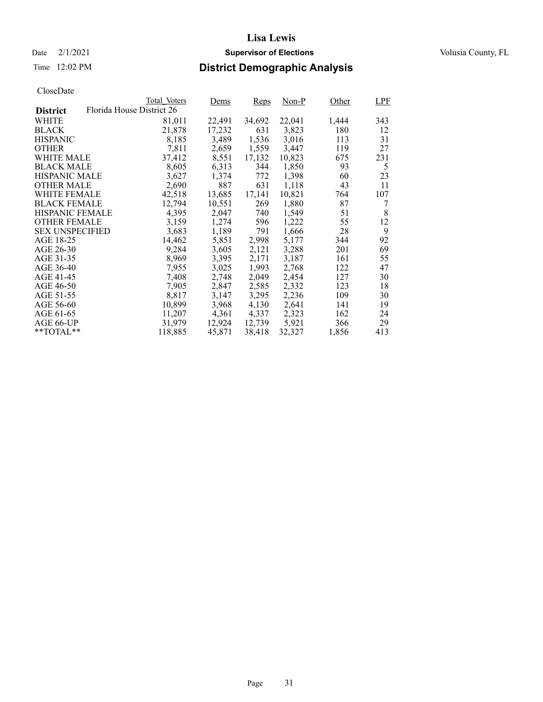## Date  $2/1/2021$  **Supervisor of Elections** Volusia County, FL

### Time 12:02 PM **District Demographic Analysis**

|                        |                           | Total Voters | Dems   | Reps   | $Non-P$ | Other | LPF |
|------------------------|---------------------------|--------------|--------|--------|---------|-------|-----|
| <b>District</b>        | Florida House District 26 |              |        |        |         |       |     |
| WHITE                  |                           | 81,011       | 22,491 | 34,692 | 22,041  | 1,444 | 343 |
| <b>BLACK</b>           |                           | 21,878       | 17,232 | 631    | 3,823   | 180   | 12  |
| <b>HISPANIC</b>        |                           | 8,185        | 3,489  | 1,536  | 3,016   | 113   | 31  |
| <b>OTHER</b>           |                           | 7,811        | 2,659  | 1,559  | 3,447   | 119   | 27  |
| <b>WHITE MALE</b>      |                           | 37,412       | 8,551  | 17,132 | 10,823  | 675   | 231 |
| <b>BLACK MALE</b>      |                           | 8,605        | 6,313  | 344    | 1,850   | 93    | 5   |
| <b>HISPANIC MALE</b>   |                           | 3,627        | 1,374  | 772    | 1,398   | 60    | 23  |
| <b>OTHER MALE</b>      |                           | 2,690        | 887    | 631    | 1,118   | 43    | 11  |
| WHITE FEMALE           |                           | 42,518       | 13,685 | 17,141 | 10,821  | 764   | 107 |
| <b>BLACK FEMALE</b>    |                           | 12,794       | 10,551 | 269    | 1,880   | 87    | 7   |
| <b>HISPANIC FEMALE</b> |                           | 4,395        | 2,047  | 740    | 1,549   | 51    | 8   |
| <b>OTHER FEMALE</b>    |                           | 3,159        | 1,274  | 596    | 1,222   | 55    | 12  |
| <b>SEX UNSPECIFIED</b> |                           | 3,683        | 1,189  | 791    | 1,666   | 28    | 9   |
| AGE 18-25              |                           | 14,462       | 5,851  | 2,998  | 5,177   | 344   | 92  |
| AGE 26-30              |                           | 9,284        | 3,605  | 2,121  | 3,288   | 201   | 69  |
| AGE 31-35              |                           | 8,969        | 3,395  | 2,171  | 3,187   | 161   | 55  |
| AGE 36-40              |                           | 7,955        | 3,025  | 1,993  | 2,768   | 122   | 47  |
| AGE 41-45              |                           | 7,408        | 2,748  | 2,049  | 2,454   | 127   | 30  |
| AGE 46-50              |                           | 7,905        | 2,847  | 2,585  | 2,332   | 123   | 18  |
| AGE 51-55              |                           | 8,817        | 3,147  | 3,295  | 2,236   | 109   | 30  |
| AGE 56-60              |                           | 10,899       | 3,968  | 4,130  | 2,641   | 141   | 19  |
| AGE 61-65              |                           | 11,207       | 4,361  | 4,337  | 2,323   | 162   | 24  |
| AGE 66-UP              |                           | 31,979       | 12,924 | 12,739 | 5,921   | 366   | 29  |
| $*$ TOTAL $*$          |                           | 118,885      | 45,871 | 38,418 | 32,327  | 1,856 | 413 |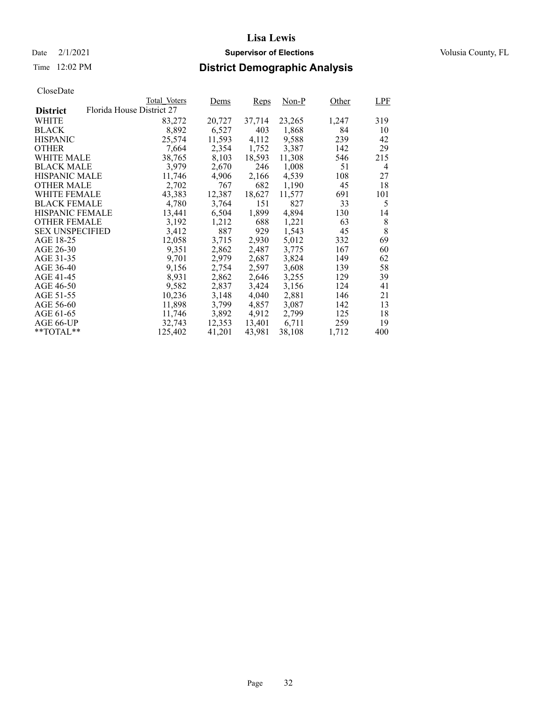## Date  $2/1/2021$  **Supervisor of Elections** Volusia County, FL

### Time 12:02 PM **District Demographic Analysis**

|                        | Total Voters              | Dems   | Reps   | $Non-P$ | Other | LPF   |
|------------------------|---------------------------|--------|--------|---------|-------|-------|
| <b>District</b>        | Florida House District 27 |        |        |         |       |       |
| WHITE                  | 83,272                    | 20,727 | 37,714 | 23,265  | 1,247 | 319   |
| <b>BLACK</b>           | 8,892                     | 6,527  | 403    | 1,868   | 84    | 10    |
| <b>HISPANIC</b>        | 25,574                    | 11,593 | 4,112  | 9,588   | 239   | 42    |
| <b>OTHER</b>           | 7,664                     | 2,354  | 1,752  | 3,387   | 142   | 29    |
| WHITE MALE             | 38,765                    | 8,103  | 18,593 | 11,308  | 546   | 215   |
| <b>BLACK MALE</b>      | 3,979                     | 2,670  | 246    | 1,008   | 51    | 4     |
| <b>HISPANIC MALE</b>   | 11,746                    | 4,906  | 2,166  | 4,539   | 108   | 27    |
| <b>OTHER MALE</b>      | 2,702                     | 767    | 682    | 1,190   | 45    | 18    |
| <b>WHITE FEMALE</b>    | 43,383                    | 12,387 | 18,627 | 11,577  | 691   | 101   |
| <b>BLACK FEMALE</b>    | 4,780                     | 3,764  | 151    | 827     | 33    | 5     |
| <b>HISPANIC FEMALE</b> | 13,441                    | 6,504  | 1,899  | 4,894   | 130   | 14    |
| <b>OTHER FEMALE</b>    | 3,192                     | 1,212  | 688    | 1,221   | 63    | $8\,$ |
| <b>SEX UNSPECIFIED</b> | 3,412                     | 887    | 929    | 1,543   | 45    | 8     |
| AGE 18-25              | 12,058                    | 3,715  | 2,930  | 5,012   | 332   | 69    |
| AGE 26-30              | 9,351                     | 2,862  | 2,487  | 3,775   | 167   | 60    |
| AGE 31-35              | 9,701                     | 2,979  | 2,687  | 3,824   | 149   | 62    |
| AGE 36-40              | 9,156                     | 2,754  | 2,597  | 3,608   | 139   | 58    |
| AGE 41-45              | 8,931                     | 2,862  | 2,646  | 3,255   | 129   | 39    |
| AGE 46-50              | 9,582                     | 2,837  | 3,424  | 3,156   | 124   | 41    |
| AGE 51-55              | 10,236                    | 3,148  | 4,040  | 2,881   | 146   | 21    |
| AGE 56-60              | 11,898                    | 3,799  | 4,857  | 3,087   | 142   | 13    |
| AGE 61-65              | 11,746                    | 3,892  | 4.912  | 2.799   | 125   | 18    |
| AGE 66-UP              | 32,743                    | 12,353 | 13,401 | 6,711   | 259   | 19    |
| $*$ $TOTAL**$          | 125,402                   | 41,201 | 43,981 | 38,108  | 1,712 | 400   |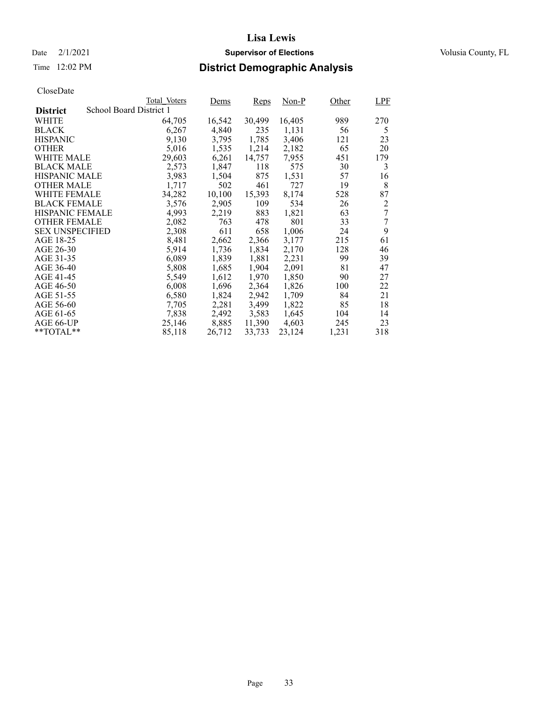## Date  $2/1/2021$  **Supervisor of Elections** Volusia County, FL

### Time 12:02 PM **District Demographic Analysis**

|                        |                         | Total Voters | Dems   | Reps   | $Non-P$ | Other | LPF     |
|------------------------|-------------------------|--------------|--------|--------|---------|-------|---------|
| <b>District</b>        | School Board District 1 |              |        |        |         |       |         |
| WHITE                  |                         | 64,705       | 16,542 | 30,499 | 16,405  | 989   | 270     |
| <b>BLACK</b>           |                         | 6,267        | 4,840  | 235    | 1,131   | 56    | 5       |
| <b>HISPANIC</b>        |                         | 9,130        | 3,795  | 1,785  | 3,406   | 121   | 23      |
| <b>OTHER</b>           |                         | 5,016        | 1,535  | 1,214  | 2,182   | 65    | 20      |
| <b>WHITE MALE</b>      |                         | 29,603       | 6,261  | 14.757 | 7,955   | 451   | 179     |
| <b>BLACK MALE</b>      |                         | 2,573        | 1,847  | 118    | 575     | 30    | 3       |
| <b>HISPANIC MALE</b>   |                         | 3,983        | 1,504  | 875    | 1,531   | 57    | 16      |
| <b>OTHER MALE</b>      |                         | 1,717        | 502    | 461    | 727     | 19    | $\,8\,$ |
| WHITE FEMALE           |                         | 34,282       | 10,100 | 15,393 | 8,174   | 528   | 87      |
| <b>BLACK FEMALE</b>    |                         | 3,576        | 2,905  | 109    | 534     | 26    | 2       |
| <b>HISPANIC FEMALE</b> |                         | 4,993        | 2,219  | 883    | 1,821   | 63    | 7       |
| <b>OTHER FEMALE</b>    |                         | 2,082        | 763    | 478    | 801     | 33    | 7       |
| <b>SEX UNSPECIFIED</b> |                         | 2,308        | 611    | 658    | 1,006   | 24    | 9       |
| AGE 18-25              |                         | 8,481        | 2,662  | 2,366  | 3,177   | 215   | 61      |
| AGE 26-30              |                         | 5,914        | 1,736  | 1,834  | 2,170   | 128   | 46      |
| AGE 31-35              |                         | 6,089        | 1,839  | 1,881  | 2,231   | 99    | 39      |
| AGE 36-40              |                         | 5,808        | 1,685  | 1,904  | 2,091   | 81    | 47      |
| AGE 41-45              |                         | 5,549        | 1,612  | 1,970  | 1,850   | 90    | 27      |
| AGE 46-50              |                         | 6,008        | 1,696  | 2,364  | 1,826   | 100   | 22      |
| AGE 51-55              |                         | 6,580        | 1,824  | 2,942  | 1,709   | 84    | 21      |
| AGE 56-60              |                         | 7,705        | 2,281  | 3,499  | 1,822   | 85    | 18      |
| AGE 61-65              |                         | 7,838        | 2,492  | 3,583  | 1,645   | 104   | 14      |
| AGE 66-UP              |                         | 25,146       | 8,885  | 11,390 | 4,603   | 245   | 23      |
| $*$ TOTAL $*$          |                         | 85,118       | 26,712 | 33,733 | 23,124  | 1,231 | 318     |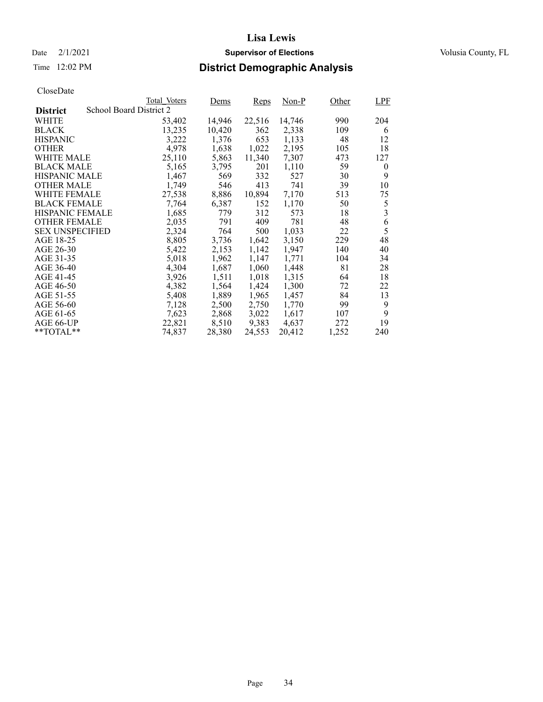## Date  $2/1/2021$  **Supervisor of Elections** Volusia County, FL

### Time 12:02 PM **District Demographic Analysis**

|                        |                         | Total Voters | Dems   | <b>Reps</b> | $Non-P$ | Other | LPF            |
|------------------------|-------------------------|--------------|--------|-------------|---------|-------|----------------|
| <b>District</b>        | School Board District 2 |              |        |             |         |       |                |
| WHITE                  |                         | 53,402       | 14,946 | 22,516      | 14,746  | 990   | 204            |
| <b>BLACK</b>           |                         | 13,235       | 10,420 | 362         | 2,338   | 109   | 6              |
| <b>HISPANIC</b>        |                         | 3,222        | 1,376  | 653         | 1,133   | 48    | 12             |
| <b>OTHER</b>           |                         | 4,978        | 1,638  | 1,022       | 2,195   | 105   | 18             |
| <b>WHITE MALE</b>      |                         | 25,110       | 5,863  | 11,340      | 7.307   | 473   | 127            |
| <b>BLACK MALE</b>      |                         | 5,165        | 3,795  | 201         | 1,110   | 59    | $\overline{0}$ |
| <b>HISPANIC MALE</b>   |                         | 1,467        | 569    | 332         | 527     | 30    | 9              |
| <b>OTHER MALE</b>      |                         | 1,749        | 546    | 413         | 741     | 39    | 10             |
| <b>WHITE FEMALE</b>    |                         | 27,538       | 8,886  | 10,894      | 7,170   | 513   | 75             |
| <b>BLACK FEMALE</b>    |                         | 7,764        | 6,387  | 152         | 1,170   | 50    | 5              |
| <b>HISPANIC FEMALE</b> |                         | 1,685        | 779    | 312         | 573     | 18    | 3              |
| <b>OTHER FEMALE</b>    |                         | 2,035        | 791    | 409         | 781     | 48    | 6              |
| <b>SEX UNSPECIFIED</b> |                         | 2,324        | 764    | 500         | 1,033   | 22    | 5              |
| AGE 18-25              |                         | 8,805        | 3,736  | 1,642       | 3,150   | 229   | 48             |
| AGE 26-30              |                         | 5,422        | 2,153  | 1,142       | 1,947   | 140   | 40             |
| AGE 31-35              |                         | 5,018        | 1,962  | 1,147       | 1,771   | 104   | 34             |
| AGE 36-40              |                         | 4,304        | 1,687  | 1,060       | 1,448   | 81    | 28             |
| AGE 41-45              |                         | 3,926        | 1,511  | 1,018       | 1,315   | 64    | 18             |
| AGE 46-50              |                         | 4,382        | 1,564  | 1,424       | 1,300   | 72    | 22             |
| AGE 51-55              |                         | 5,408        | 1,889  | 1,965       | 1,457   | 84    | 13             |
| AGE 56-60              |                         | 7,128        | 2,500  | 2,750       | 1,770   | 99    | 9              |
| AGE 61-65              |                         | 7,623        | 2,868  | 3,022       | 1,617   | 107   | 9              |
| AGE 66-UP              |                         | 22,821       | 8,510  | 9,383       | 4,637   | 272   | 19             |
| $*$ TOTAL $*$          |                         | 74,837       | 28,380 | 24,553      | 20,412  | 1,252 | 240            |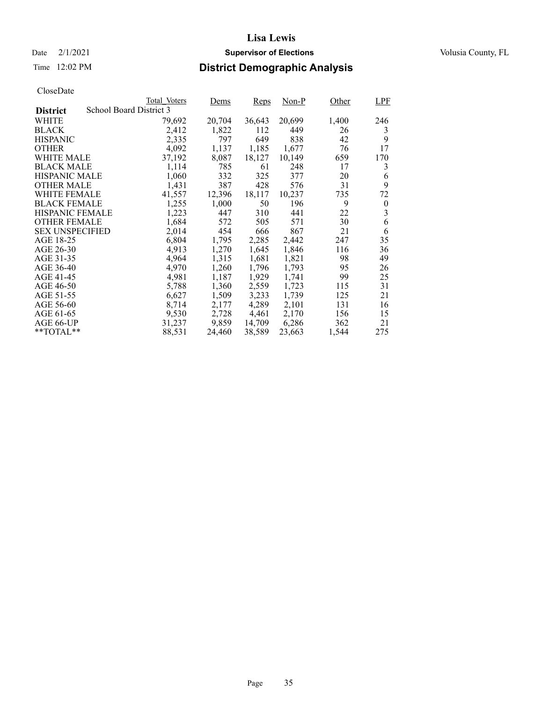## Date  $2/1/2021$  **Supervisor of Elections** Volusia County, FL

### Time 12:02 PM **District Demographic Analysis**

|                        |                         | Total Voters | Dems   | Reps   | $Non-P$ | Other | LPF              |
|------------------------|-------------------------|--------------|--------|--------|---------|-------|------------------|
| <b>District</b>        | School Board District 3 |              |        |        |         |       |                  |
| WHITE                  |                         | 79,692       | 20,704 | 36,643 | 20,699  | 1,400 | 246              |
| <b>BLACK</b>           |                         | 2,412        | 1,822  | 112    | 449     | 26    | 3                |
| <b>HISPANIC</b>        |                         | 2,335        | 797    | 649    | 838     | 42    | 9                |
| <b>OTHER</b>           |                         | 4,092        | 1,137  | 1,185  | 1,677   | 76    | 17               |
| <b>WHITE MALE</b>      |                         | 37,192       | 8,087  | 18,127 | 10,149  | 659   | 170              |
| <b>BLACK MALE</b>      |                         | 1,114        | 785    | 61     | 248     | 17    | 3                |
| <b>HISPANIC MALE</b>   |                         | 1,060        | 332    | 325    | 377     | 20    | 6                |
| <b>OTHER MALE</b>      |                         | 1,431        | 387    | 428    | 576     | 31    | 9                |
| WHITE FEMALE           |                         | 41,557       | 12,396 | 18,117 | 10,237  | 735   | 72               |
| <b>BLACK FEMALE</b>    |                         | 1,255        | 1,000  | 50     | 196     | 9     | $\boldsymbol{0}$ |
| <b>HISPANIC FEMALE</b> |                         | 1,223        | 447    | 310    | 441     | 22    | 3                |
| <b>OTHER FEMALE</b>    |                         | 1,684        | 572    | 505    | 571     | 30    | 6                |
| <b>SEX UNSPECIFIED</b> |                         | 2,014        | 454    | 666    | 867     | 21    | 6                |
| AGE 18-25              |                         | 6,804        | 1,795  | 2,285  | 2,442   | 247   | 35               |
| AGE 26-30              |                         | 4,913        | 1,270  | 1,645  | 1,846   | 116   | 36               |
| AGE 31-35              |                         | 4,964        | 1,315  | 1,681  | 1,821   | 98    | 49               |
| AGE 36-40              |                         | 4,970        | 1,260  | 1,796  | 1,793   | 95    | 26               |
| AGE 41-45              |                         | 4,981        | 1,187  | 1,929  | 1,741   | 99    | 25               |
| AGE 46-50              |                         | 5,788        | 1,360  | 2,559  | 1,723   | 115   | 31               |
| AGE 51-55              |                         | 6,627        | 1,509  | 3,233  | 1,739   | 125   | 21               |
| AGE 56-60              |                         | 8,714        | 2,177  | 4,289  | 2,101   | 131   | 16               |
| AGE 61-65              |                         | 9,530        | 2,728  | 4,461  | 2,170   | 156   | 15               |
| AGE 66-UP              |                         | 31,237       | 9,859  | 14,709 | 6,286   | 362   | 21               |
| $*$ $TOTAL**$          |                         | 88,531       | 24,460 | 38,589 | 23,663  | 1,544 | 275              |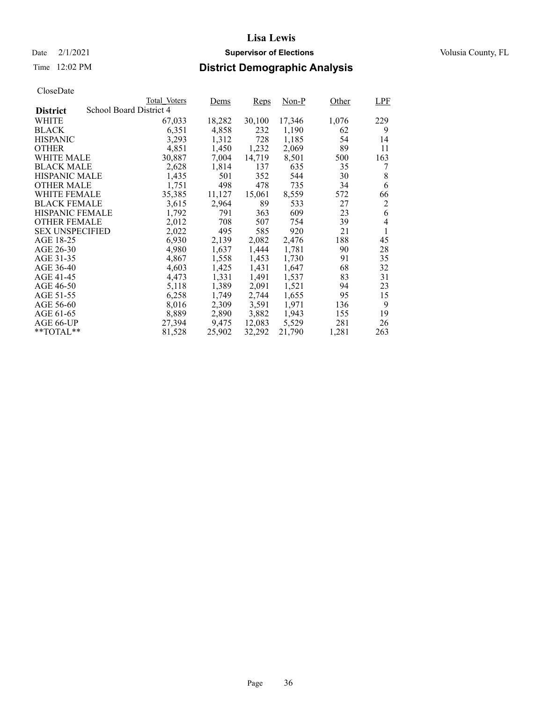## Date  $2/1/2021$  **Supervisor of Elections** Volusia County, FL

### Time 12:02 PM **District Demographic Analysis**

|                        |                         | Total Voters | Dems   | <b>Reps</b> | $Non-P$ | Other | LPF            |
|------------------------|-------------------------|--------------|--------|-------------|---------|-------|----------------|
| <b>District</b>        | School Board District 4 |              |        |             |         |       |                |
| WHITE                  |                         | 67,033       | 18,282 | 30,100      | 17,346  | 1,076 | 229            |
| <b>BLACK</b>           |                         | 6,351        | 4,858  | 232         | 1,190   | 62    | 9              |
| <b>HISPANIC</b>        |                         | 3,293        | 1,312  | 728         | 1,185   | 54    | 14             |
| <b>OTHER</b>           |                         | 4,851        | 1,450  | 1,232       | 2,069   | 89    | 11             |
| <b>WHITE MALE</b>      |                         | 30,887       | 7,004  | 14,719      | 8,501   | 500   | 163            |
| <b>BLACK MALE</b>      |                         | 2,628        | 1,814  | 137         | 635     | 35    | 7              |
| <b>HISPANIC MALE</b>   |                         | 1,435        | 501    | 352         | 544     | 30    | 8              |
| <b>OTHER MALE</b>      |                         | 1,751        | 498    | 478         | 735     | 34    | 6              |
| <b>WHITE FEMALE</b>    |                         | 35,385       | 11,127 | 15,061      | 8,559   | 572   | 66             |
| <b>BLACK FEMALE</b>    |                         | 3,615        | 2,964  | 89          | 533     | 27    | 2              |
| <b>HISPANIC FEMALE</b> |                         | 1,792        | 791    | 363         | 609     | 23    | 6              |
| <b>OTHER FEMALE</b>    |                         | 2,012        | 708    | 507         | 754     | 39    | $\overline{4}$ |
| <b>SEX UNSPECIFIED</b> |                         | 2,022        | 495    | 585         | 920     | 21    | 1              |
| AGE 18-25              |                         | 6,930        | 2,139  | 2,082       | 2,476   | 188   | 45             |
| AGE 26-30              |                         | 4,980        | 1,637  | 1,444       | 1,781   | 90    | 28             |
| AGE 31-35              |                         | 4,867        | 1,558  | 1,453       | 1,730   | 91    | 35             |
| AGE 36-40              |                         | 4,603        | 1,425  | 1,431       | 1,647   | 68    | 32             |
| AGE 41-45              |                         | 4,473        | 1,331  | 1,491       | 1,537   | 83    | 31             |
| AGE 46-50              |                         | 5,118        | 1,389  | 2,091       | 1,521   | 94    | 23             |
| AGE 51-55              |                         | 6,258        | 1,749  | 2,744       | 1,655   | 95    | 15             |
| AGE 56-60              |                         | 8,016        | 2,309  | 3,591       | 1,971   | 136   | 9              |
| AGE 61-65              |                         | 8,889        | 2,890  | 3,882       | 1,943   | 155   | 19             |
| AGE 66-UP              |                         | 27,394       | 9,475  | 12,083      | 5,529   | 281   | 26             |
| $*$ $TOTAL**$          |                         | 81,528       | 25,902 | 32,292      | 21,790  | 1,281 | 263            |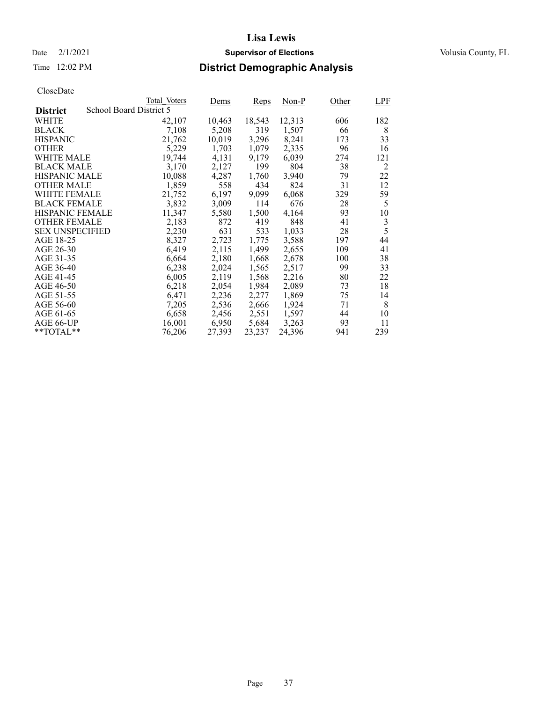# Date  $2/1/2021$  **Supervisor of Elections** Volusia County, FL

## Time 12:02 PM **District Demographic Analysis**

|                        |                         | Total Voters | Dems   | Reps   | $Non-P$ | Other | LPF            |
|------------------------|-------------------------|--------------|--------|--------|---------|-------|----------------|
| <b>District</b>        | School Board District 5 |              |        |        |         |       |                |
| WHITE                  |                         | 42,107       | 10,463 | 18,543 | 12,313  | 606   | 182            |
| <b>BLACK</b>           |                         | 7,108        | 5,208  | 319    | 1,507   | 66    | 8              |
| <b>HISPANIC</b>        |                         | 21,762       | 10,019 | 3,296  | 8,241   | 173   | 33             |
| <b>OTHER</b>           |                         | 5,229        | 1,703  | 1,079  | 2,335   | 96    | 16             |
| WHITE MALE             |                         | 19.744       | 4.131  | 9.179  | 6.039   | 274   | 121            |
| <b>BLACK MALE</b>      |                         | 3,170        | 2,127  | 199    | 804     | 38    | 2              |
| <b>HISPANIC MALE</b>   |                         | 10,088       | 4,287  | 1,760  | 3,940   | 79    | 22             |
| <b>OTHER MALE</b>      |                         | 1,859        | 558    | 434    | 824     | 31    | 12             |
| <b>WHITE FEMALE</b>    |                         | 21,752       | 6,197  | 9,099  | 6,068   | 329   | 59             |
| <b>BLACK FEMALE</b>    |                         | 3,832        | 3,009  | 114    | 676     | 28    | 5              |
| HISPANIC FEMALE        |                         | 11,347       | 5,580  | 1,500  | 4,164   | 93    | 10             |
| <b>OTHER FEMALE</b>    |                         | 2,183        | 872    | 419    | 848     | 41    | $\mathfrak{Z}$ |
| <b>SEX UNSPECIFIED</b> |                         | 2,230        | 631    | 533    | 1,033   | 28    | 5              |
| AGE 18-25              |                         | 8,327        | 2,723  | 1,775  | 3,588   | 197   | 44             |
| AGE 26-30              |                         | 6,419        | 2,115  | 1,499  | 2,655   | 109   | 41             |
| AGE 31-35              |                         | 6,664        | 2,180  | 1,668  | 2,678   | 100   | 38             |
| AGE 36-40              |                         | 6,238        | 2,024  | 1,565  | 2,517   | 99    | 33             |
| AGE 41-45              |                         | 6,005        | 2,119  | 1,568  | 2,216   | 80    | 22             |
| AGE 46-50              |                         | 6,218        | 2,054  | 1,984  | 2,089   | 73    | 18             |
| AGE 51-55              |                         | 6,471        | 2,236  | 2,277  | 1,869   | 75    | 14             |
| AGE 56-60              |                         | 7,205        | 2,536  | 2,666  | 1,924   | 71    | 8              |
| AGE 61-65              |                         | 6,658        | 2,456  | 2,551  | 1,597   | 44    | 10             |
| AGE 66-UP              |                         | 16,001       | 6,950  | 5,684  | 3,263   | 93    | 11             |
| $*$ TOTAL $*$          |                         | 76,206       | 27,393 | 23,237 | 24,396  | 941   | 239            |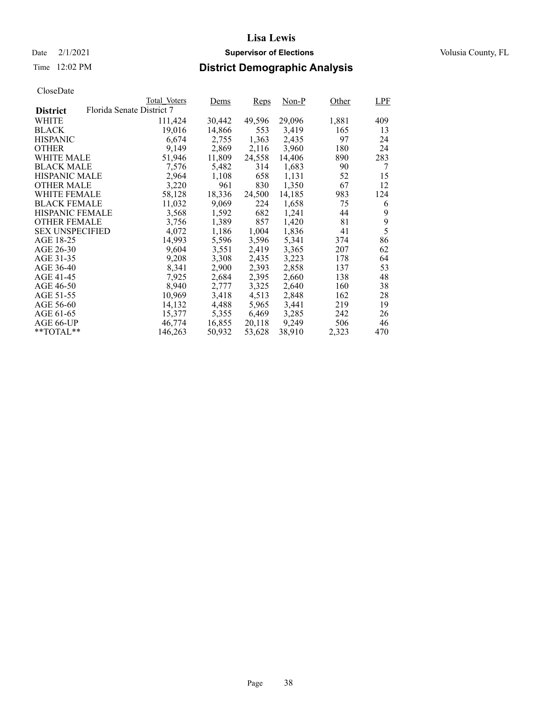# Date  $2/1/2021$  **Supervisor of Elections** Volusia County, FL

## Time 12:02 PM **District Demographic Analysis**

|                        |                           | Total Voters | Dems   | Reps   | $Non-P$ | Other | LPF |
|------------------------|---------------------------|--------------|--------|--------|---------|-------|-----|
| <b>District</b>        | Florida Senate District 7 |              |        |        |         |       |     |
| WHITE                  |                           | 111,424      | 30,442 | 49,596 | 29,096  | 1,881 | 409 |
| <b>BLACK</b>           |                           | 19,016       | 14,866 | 553    | 3,419   | 165   | 13  |
| <b>HISPANIC</b>        |                           | 6,674        | 2,755  | 1,363  | 2,435   | 97    | 24  |
| <b>OTHER</b>           |                           | 9,149        | 2,869  | 2,116  | 3,960   | 180   | 24  |
| WHITE MALE             |                           | 51,946       | 11,809 | 24,558 | 14,406  | 890   | 283 |
| <b>BLACK MALE</b>      |                           | 7,576        | 5,482  | 314    | 1,683   | 90    | 7   |
| <b>HISPANIC MALE</b>   |                           | 2,964        | 1,108  | 658    | 1,131   | 52    | 15  |
| <b>OTHER MALE</b>      |                           | 3,220        | 961    | 830    | 1,350   | 67    | 12  |
| WHITE FEMALE           |                           | 58,128       | 18,336 | 24,500 | 14,185  | 983   | 124 |
| <b>BLACK FEMALE</b>    |                           | 11,032       | 9,069  | 224    | 1,658   | 75    | 6   |
| <b>HISPANIC FEMALE</b> |                           | 3,568        | 1,592  | 682    | 1,241   | 44    | 9   |
| <b>OTHER FEMALE</b>    |                           | 3,756        | 1,389  | 857    | 1,420   | 81    | 9   |
| <b>SEX UNSPECIFIED</b> |                           | 4,072        | 1,186  | 1,004  | 1,836   | 41    | 5   |
| AGE 18-25              |                           | 14,993       | 5,596  | 3,596  | 5,341   | 374   | 86  |
| AGE 26-30              |                           | 9,604        | 3,551  | 2,419  | 3,365   | 207   | 62  |
| AGE 31-35              |                           | 9,208        | 3,308  | 2,435  | 3,223   | 178   | 64  |
| AGE 36-40              |                           | 8,341        | 2,900  | 2,393  | 2,858   | 137   | 53  |
| AGE 41-45              |                           | 7,925        | 2,684  | 2,395  | 2,660   | 138   | 48  |
| AGE 46-50              |                           | 8,940        | 2,777  | 3,325  | 2,640   | 160   | 38  |
| AGE 51-55              |                           | 10,969       | 3,418  | 4,513  | 2,848   | 162   | 28  |
| AGE 56-60              |                           | 14,132       | 4,488  | 5,965  | 3,441   | 219   | 19  |
| AGE 61-65              |                           | 15,377       | 5,355  | 6,469  | 3,285   | 242   | 26  |
| AGE 66-UP              |                           | 46,774       | 16,855 | 20,118 | 9,249   | 506   | 46  |
| $*$ $TOTAL**$          |                           | 146,263      | 50,932 | 53,628 | 38,910  | 2,323 | 470 |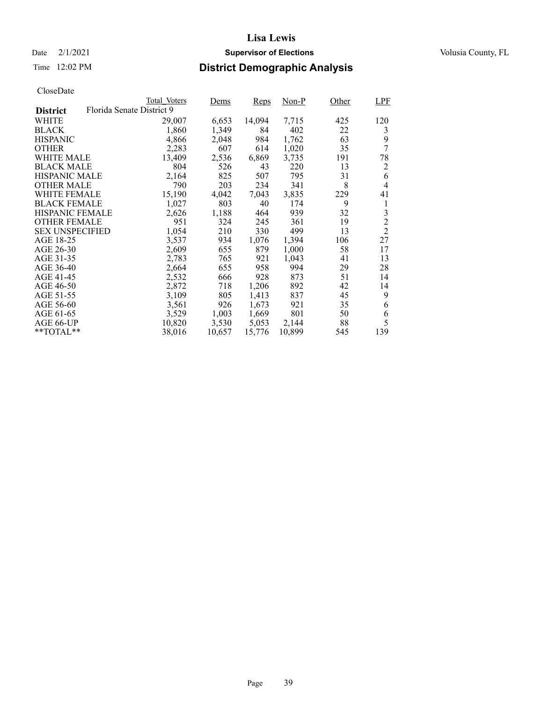# Date  $2/1/2021$  **Supervisor of Elections** Volusia County, FL

## Time 12:02 PM **District Demographic Analysis**

|                        | Total Voters              | Dems   | Reps   | $Non-P$ | Other | LPF            |
|------------------------|---------------------------|--------|--------|---------|-------|----------------|
| <b>District</b>        | Florida Senate District 9 |        |        |         |       |                |
| WHITE                  | 29,007                    | 6,653  | 14,094 | 7,715   | 425   | 120            |
| <b>BLACK</b>           | 1,860                     | 1,349  | 84     | 402     | 22    | 3              |
| <b>HISPANIC</b>        | 4,866                     | 2,048  | 984    | 1,762   | 63    | 9              |
| <b>OTHER</b>           | 2,283                     | 607    | 614    | 1,020   | 35    | 7              |
| WHITE MALE             | 13,409                    | 2,536  | 6,869  | 3,735   | 191   | 78             |
| <b>BLACK MALE</b>      | 804                       | 526    | 43     | 220     | 13    | 2              |
| <b>HISPANIC MALE</b>   | 2,164                     | 825    | 507    | 795     | 31    | 6              |
| <b>OTHER MALE</b>      | 790                       | 203    | 234    | 341     | 8     | 4              |
| <b>WHITE FEMALE</b>    | 15,190                    | 4,042  | 7.043  | 3,835   | 229   | 41             |
| <b>BLACK FEMALE</b>    | 1,027                     | 803    | 40     | 174     | 9     | 1              |
| <b>HISPANIC FEMALE</b> | 2,626                     | 1,188  | 464    | 939     | 32    | 3              |
| <b>OTHER FEMALE</b>    | 951                       | 324    | 245    | 361     | 19    | $\overline{c}$ |
| <b>SEX UNSPECIFIED</b> | 1,054                     | 210    | 330    | 499     | 13    | $\overline{2}$ |
| AGE 18-25              | 3,537                     | 934    | 1,076  | 1,394   | 106   | 27             |
| AGE 26-30              | 2,609                     | 655    | 879    | 1,000   | 58    | 17             |
| AGE 31-35              | 2,783                     | 765    | 921    | 1,043   | 41    | 13             |
| AGE 36-40              | 2,664                     | 655    | 958    | 994     | 29    | 28             |
| AGE 41-45              | 2,532                     | 666    | 928    | 873     | 51    | 14             |
| AGE 46-50              | 2,872                     | 718    | 1,206  | 892     | 42    | 14             |
| AGE 51-55              | 3,109                     | 805    | 1,413  | 837     | 45    | 9              |
| AGE 56-60              | 3,561                     | 926    | 1,673  | 921     | 35    | 6              |
| AGE 61-65              | 3.529                     | 1,003  | 1,669  | 801     | 50    | 6              |
| AGE 66-UP              | 10,820                    | 3,530  | 5,053  | 2,144   | 88    | 5              |
| $*$ $TOTAL**$          | 38,016                    | 10,657 | 15,776 | 10,899  | 545   | 139            |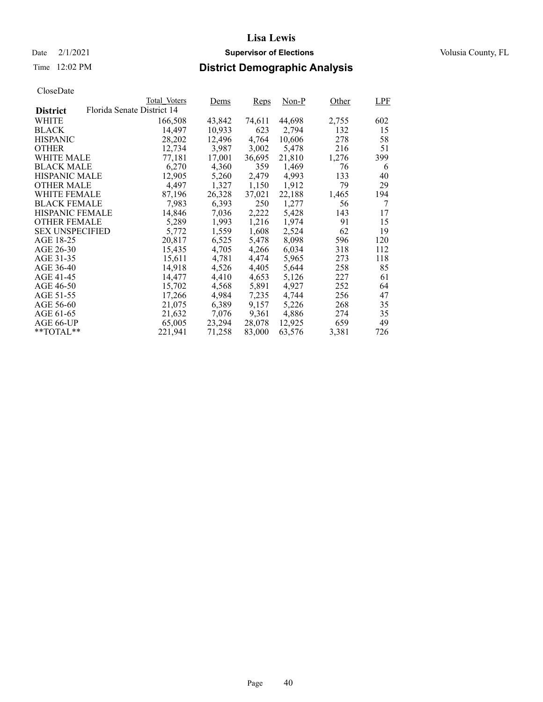# Date  $2/1/2021$  **Supervisor of Elections** Volusia County, FL

## Time 12:02 PM **District Demographic Analysis**

|                        |                            | Total Voters | Dems   | Reps   | $Non-P$ | Other | LPF |
|------------------------|----------------------------|--------------|--------|--------|---------|-------|-----|
| <b>District</b>        | Florida Senate District 14 |              |        |        |         |       |     |
| WHITE                  |                            | 166,508      | 43,842 | 74,611 | 44,698  | 2,755 | 602 |
| <b>BLACK</b>           |                            | 14,497       | 10,933 | 623    | 2,794   | 132   | 15  |
| <b>HISPANIC</b>        |                            | 28,202       | 12,496 | 4,764  | 10,606  | 278   | 58  |
| <b>OTHER</b>           |                            | 12,734       | 3,987  | 3,002  | 5,478   | 216   | 51  |
| WHITE MALE             |                            | 77,181       | 17,001 | 36,695 | 21,810  | 1,276 | 399 |
| <b>BLACK MALE</b>      |                            | 6,270        | 4,360  | 359    | 1,469   | 76    | 6   |
| <b>HISPANIC MALE</b>   |                            | 12,905       | 5,260  | 2,479  | 4,993   | 133   | 40  |
| <b>OTHER MALE</b>      |                            | 4,497        | 1,327  | 1,150  | 1,912   | 79    | 29  |
| <b>WHITE FEMALE</b>    |                            | 87,196       | 26,328 | 37,021 | 22,188  | 1,465 | 194 |
| <b>BLACK FEMALE</b>    |                            | 7,983        | 6,393  | 250    | 1,277   | 56    | 7   |
| <b>HISPANIC FEMALE</b> |                            | 14,846       | 7,036  | 2,222  | 5,428   | 143   | 17  |
| <b>OTHER FEMALE</b>    |                            | 5,289        | 1,993  | 1,216  | 1,974   | 91    | 15  |
| <b>SEX UNSPECIFIED</b> |                            | 5,772        | 1,559  | 1,608  | 2,524   | 62    | 19  |
| AGE 18-25              |                            | 20,817       | 6,525  | 5,478  | 8,098   | 596   | 120 |
| AGE 26-30              |                            | 15,435       | 4,705  | 4,266  | 6,034   | 318   | 112 |
| AGE 31-35              |                            | 15,611       | 4,781  | 4,474  | 5,965   | 273   | 118 |
| AGE 36-40              |                            | 14,918       | 4,526  | 4,405  | 5,644   | 258   | 85  |
| AGE 41-45              |                            | 14,477       | 4,410  | 4,653  | 5,126   | 227   | 61  |
| AGE 46-50              |                            | 15,702       | 4,568  | 5,891  | 4,927   | 252   | 64  |
| AGE 51-55              |                            | 17,266       | 4,984  | 7,235  | 4,744   | 256   | 47  |
| AGE 56-60              |                            | 21,075       | 6,389  | 9,157  | 5,226   | 268   | 35  |
| AGE 61-65              |                            | 21,632       | 7,076  | 9,361  | 4,886   | 274   | 35  |
| AGE 66-UP              |                            | 65,005       | 23,294 | 28,078 | 12,925  | 659   | 49  |
| $*$ $TOTAL**$          |                            | 221,941      | 71,258 | 83,000 | 63,576  | 3,381 | 726 |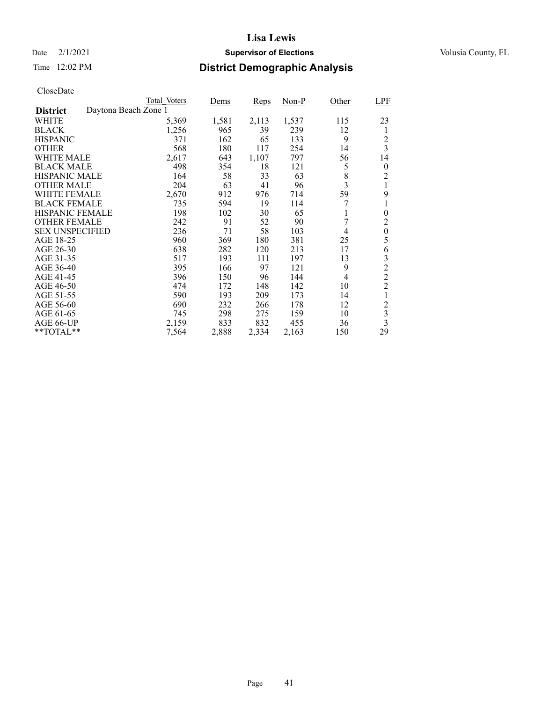# Date  $2/1/2021$  **Supervisor of Elections** Volusia County, FL

## Time 12:02 PM **District Demographic Analysis**

| <b>Total Voters</b> | Dems                        | Reps              | $Non-P$ | Other | LPF              |
|---------------------|-----------------------------|-------------------|---------|-------|------------------|
|                     |                             |                   |         |       |                  |
| 5,369               | 1,581                       | 2,113             | 1,537   | 115   | 23               |
| 1,256               | 965                         | 39                | 239     | 12    | 1                |
| 371                 | 162                         | 65                | 133     | 9     | 2                |
| 568                 | 180                         | 117               | 254     | 14    | $\overline{3}$   |
| 2,617               | 643                         | 1,107             | 797     | 56    | 14               |
| 498                 | 354                         | 18                | 121     | 5     | $\boldsymbol{0}$ |
| 164                 | 58                          | 33                | 63      |       | 2                |
| 204                 | 63                          | 41                | 96      |       |                  |
| 2,670               | 912                         | 976               | 714     | 59    | 9                |
| 735                 | 594                         | 19                | 114     | 7     |                  |
| 198                 | 102                         | 30                | 65      | 1     | $\overline{0}$   |
| 242                 | 91                          | 52                | 90      | 7     | $\overline{2}$   |
| 236                 | 71                          | 58                | 103     | 4     | $\boldsymbol{0}$ |
| 960                 | 369                         |                   | 381     | 25    | 5                |
|                     |                             | 120               | 213     | 17    | 6                |
| 517                 |                             | 111               | 197     | 13    | 3                |
| 395                 | 166                         | 97                | 121     | 9     | $\overline{2}$   |
| 396                 | 150                         | 96                | 144     | 4     | $\overline{c}$   |
| 474                 | 172                         | 148               | 142     | 10    | $\overline{c}$   |
| 590                 | 193                         | 209               | 173     | 14    |                  |
| 690                 | 232                         | 266               | 178     | 12    | $\overline{c}$   |
| 745                 |                             | 275               | 159     | 10    | 3                |
| 2,159               | 833                         | 832               | 455     | 36    | $\overline{3}$   |
| 7,564               | 2,888                       | 2,334             | 2,163   | 150   | 29               |
|                     | Daytona Beach Zone 1<br>638 | 282<br>193<br>298 | 180     |       | 8<br>3           |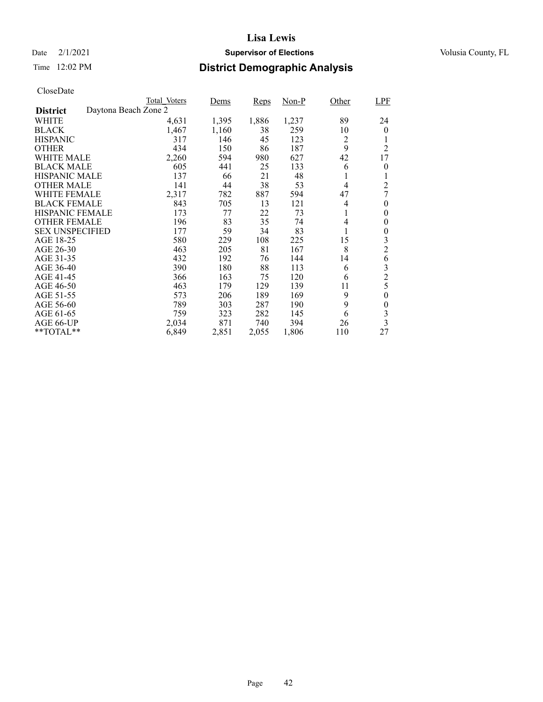# Date  $2/1/2021$  **Supervisor of Elections** Volusia County, FL

## Time 12:02 PM **District Demographic Analysis**

|                        |                      | Total Voters | Dems  | Reps  | $Non-P$ | Other | <b>LPF</b>       |
|------------------------|----------------------|--------------|-------|-------|---------|-------|------------------|
| <b>District</b>        | Daytona Beach Zone 2 |              |       |       |         |       |                  |
| WHITE                  |                      | 4,631        | 1,395 | 1,886 | 1,237   | 89    | 24               |
| <b>BLACK</b>           |                      | 1,467        | 1,160 | 38    | 259     | 10    | $\theta$         |
| <b>HISPANIC</b>        |                      | 317          | 146   | 45    | 123     | 2     | 1                |
| <b>OTHER</b>           |                      | 434          | 150   | 86    | 187     | 9     | $\overline{c}$   |
| <b>WHITE MALE</b>      |                      | 2,260        | 594   | 980   | 627     | 42    | 17               |
| <b>BLACK MALE</b>      |                      | 605          | 441   | 25    | 133     | 6     | 0                |
| <b>HISPANIC MALE</b>   |                      | 137          | 66    | 21    | 48      |       |                  |
| <b>OTHER MALE</b>      |                      | 141          | 44    | 38    | 53      | 4     | 2                |
| WHITE FEMALE           |                      | 2,317        | 782   | 887   | 594     | 47    | 7                |
| <b>BLACK FEMALE</b>    |                      | 843          | 705   | 13    | 121     | 4     | $\theta$         |
| <b>HISPANIC FEMALE</b> |                      | 173          | 77    | 22    | 73      | 1     | $\boldsymbol{0}$ |
| <b>OTHER FEMALE</b>    |                      | 196          | 83    | 35    | 74      | 4     | $\boldsymbol{0}$ |
| <b>SEX UNSPECIFIED</b> |                      | 177          | 59    | 34    | 83      |       | 0                |
| AGE 18-25              |                      | 580          | 229   | 108   | 225     | 15    | 3                |
| AGE 26-30              |                      | 463          | 205   | 81    | 167     | 8     | $\overline{c}$   |
| AGE 31-35              |                      | 432          | 192   | 76    | 144     | 14    | 6                |
| AGE 36-40              |                      | 390          | 180   | 88    | 113     | 6     | 3                |
| AGE 41-45              |                      | 366          | 163   | 75    | 120     | 6     | $\overline{2}$   |
| AGE 46-50              |                      | 463          | 179   | 129   | 139     | 11    | 5                |
| AGE 51-55              |                      | 573          | 206   | 189   | 169     | 9     | $\overline{0}$   |
| AGE 56-60              |                      | 789          | 303   | 287   | 190     | 9     | $\boldsymbol{0}$ |
| AGE 61-65              |                      | 759          | 323   | 282   | 145     | 6     | 3                |
| AGE 66-UP              |                      | 2,034        | 871   | 740   | 394     | 26    | 3                |
| **TOTAL**              |                      | 6,849        | 2,851 | 2,055 | 1,806   | 110   | 27               |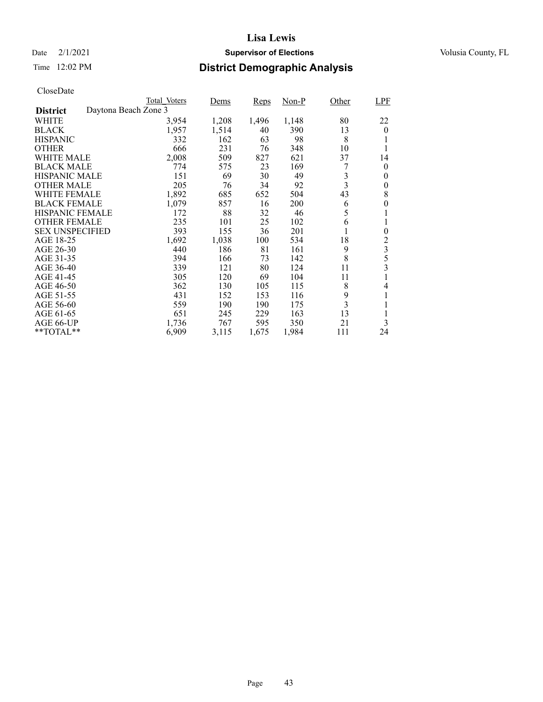# Date  $2/1/2021$  **Supervisor of Elections** Volusia County, FL

## Time 12:02 PM **District Demographic Analysis**

|                        |                      | Total Voters | Dems  | <b>Reps</b> | $Non-P$ | Other          | LPF              |
|------------------------|----------------------|--------------|-------|-------------|---------|----------------|------------------|
| <b>District</b>        | Daytona Beach Zone 3 |              |       |             |         |                |                  |
| WHITE                  |                      | 3,954        | 1,208 | 1,496       | 1,148   | 80             | 22               |
| <b>BLACK</b>           |                      | 1,957        | 1,514 | 40          | 390     | 13             | $\theta$         |
| <b>HISPANIC</b>        |                      | 332          | 162   | 63          | 98      | 8              |                  |
| <b>OTHER</b>           |                      | 666          | 231   | 76          | 348     | 10             |                  |
| <b>WHITE MALE</b>      |                      | 2,008        | 509   | 827         | 621     | 37             | 14               |
| <b>BLACK MALE</b>      |                      | 774          | 575   | 23          | 169     | 7              | $\overline{0}$   |
| <b>HISPANIC MALE</b>   |                      | 151          | 69    | 30          | 49      | 3              | 0                |
| <b>OTHER MALE</b>      |                      | 205          | 76    | 34          | 92      | $\mathfrak{Z}$ | $\boldsymbol{0}$ |
| <b>WHITE FEMALE</b>    |                      | 1,892        | 685   | 652         | 504     | 43             | 8                |
| <b>BLACK FEMALE</b>    |                      | 1,079        | 857   | 16          | 200     | 6              | $\theta$         |
| HISPANIC FEMALE        |                      | 172          | 88    | 32          | 46      | 5              |                  |
| <b>OTHER FEMALE</b>    |                      | 235          | 101   | 25          | 102     | 6              |                  |
| <b>SEX UNSPECIFIED</b> |                      | 393          | 155   | 36          | 201     |                | $\theta$         |
| AGE 18-25              |                      | 1,692        | 1,038 | 100         | 534     | 18             | $\overline{c}$   |
| AGE 26-30              |                      | 440          | 186   | 81          | 161     | 9              | 3                |
| AGE 31-35              |                      | 394          | 166   | 73          | 142     | 8              | 5                |
| AGE 36-40              |                      | 339          | 121   | 80          | 124     | 11             | $\overline{3}$   |
| AGE 41-45              |                      | 305          | 120   | 69          | 104     | 11             |                  |
| AGE 46-50              |                      | 362          | 130   | 105         | 115     | 8              | 4                |
| AGE 51-55              |                      | 431          | 152   | 153         | 116     | 9              |                  |
| AGE 56-60              |                      | 559          | 190   | 190         | 175     | 3              |                  |
| AGE 61-65              |                      | 651          | 245   | 229         | 163     | 13             |                  |
| AGE 66-UP              |                      | 1,736        | 767   | 595         | 350     | 21             | 3                |
| **TOTAL**              |                      | 6,909        | 3,115 | 1,675       | 1,984   | 111            | 24               |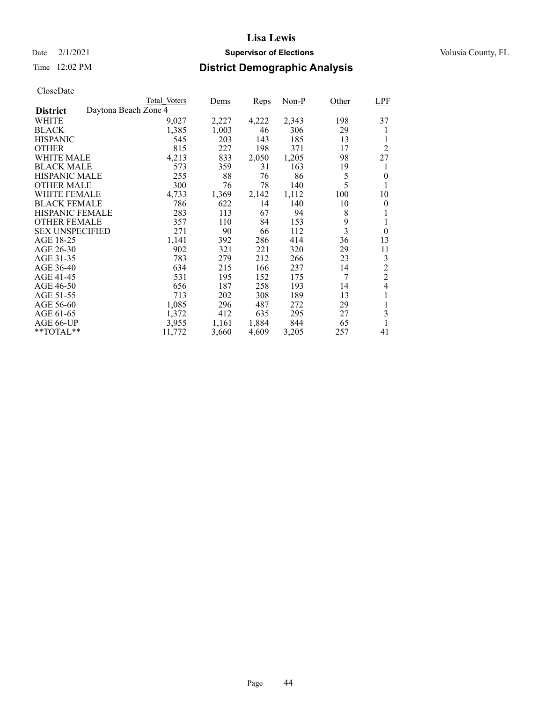# Date  $2/1/2021$  **Supervisor of Elections** Volusia County, FL

## Time 12:02 PM **District Demographic Analysis**

|                                         | Total Voters | Dems  | Reps  | $Non-P$ | Other | LPF            |
|-----------------------------------------|--------------|-------|-------|---------|-------|----------------|
| Daytona Beach Zone 4<br><b>District</b> |              |       |       |         |       |                |
| WHITE                                   | 9,027        | 2,227 | 4,222 | 2,343   | 198   | 37             |
| <b>BLACK</b>                            | 1,385        | 1,003 | 46    | 306     | 29    | 1              |
| <b>HISPANIC</b>                         | 545          | 203   | 143   | 185     | 13    | 1              |
| <b>OTHER</b>                            | 815          | 227   | 198   | 371     | 17    | $\overline{2}$ |
| WHITE MALE                              | 4,213        | 833   | 2,050 | 1,205   | 98    | 27             |
| <b>BLACK MALE</b>                       | 573          | 359   | 31    | 163     | 19    | 1              |
| <b>HISPANIC MALE</b>                    | 255          | 88    | 76    | 86      | 5     | $\theta$       |
| <b>OTHER MALE</b>                       | 300          | 76    | 78    | 140     | 5     |                |
| <b>WHITE FEMALE</b>                     | 4,733        | 1,369 | 2,142 | 1,112   | 100   | 10             |
| <b>BLACK FEMALE</b>                     | 786          | 622   | 14    | 140     | 10    | $\theta$       |
| <b>HISPANIC FEMALE</b>                  | 283          | 113   | 67    | 94      | 8     | 1              |
| <b>OTHER FEMALE</b>                     | 357          | 110   | 84    | 153     | 9     | 1              |
| <b>SEX UNSPECIFIED</b>                  | 271          | 90    | 66    | 112     | 3     | $\theta$       |
| AGE 18-25                               | 1,141        | 392   | 286   | 414     | 36    | 13             |
| AGE 26-30                               | 902          | 321   | 221   | 320     | 29    | 11             |
| AGE 31-35                               | 783          | 279   | 212   | 266     | 23    | 3              |
| AGE 36-40                               | 634          | 215   | 166   | 237     | 14    | $\overline{2}$ |
| AGE 41-45                               | 531          | 195   | 152   | 175     | 7     | $\overline{c}$ |
| AGE 46-50                               | 656          | 187   | 258   | 193     | 14    | $\overline{4}$ |
| AGE 51-55                               | 713          | 202   | 308   | 189     | 13    | 1              |
| AGE 56-60                               | 1,085        | 296   | 487   | 272     | 29    | 1              |
| AGE 61-65                               | 1,372        | 412   | 635   | 295     | 27    | 3              |
| AGE 66-UP                               | 3,955        | 1,161 | 1,884 | 844     | 65    |                |
| $*$ $TOTAL**$                           | 11,772       | 3,660 | 4,609 | 3,205   | 257   | 41             |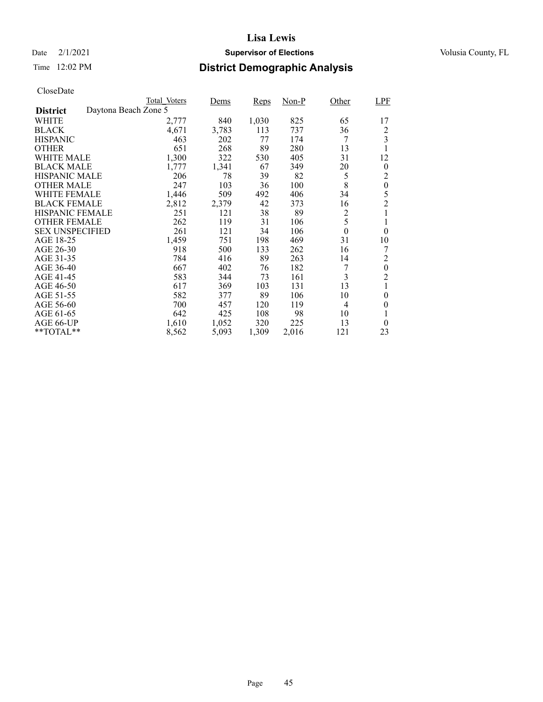# Date  $2/1/2021$  **Supervisor of Elections** Volusia County, FL

## Time 12:02 PM **District Demographic Analysis**

|                                         | Total Voters | Dems  | Reps  | $Non-P$ | Other          | <b>LPF</b>       |
|-----------------------------------------|--------------|-------|-------|---------|----------------|------------------|
| Daytona Beach Zone 5<br><b>District</b> |              |       |       |         |                |                  |
| WHITE                                   | 2,777        | 840   | 1,030 | 825     | 65             | 17               |
| <b>BLACK</b>                            | 4,671        | 3,783 | 113   | 737     | 36             | 2                |
| <b>HISPANIC</b>                         | 463          | 202   | 77    | 174     | 7              | 3                |
| <b>OTHER</b>                            | 651          | 268   | 89    | 280     | 13             |                  |
| WHITE MALE                              | 1,300        | 322   | 530   | 405     | 31             | 12               |
| <b>BLACK MALE</b>                       | 1,777        | 1,341 | 67    | 349     | 20             | $\boldsymbol{0}$ |
| <b>HISPANIC MALE</b>                    | 206          | 78    | 39    | 82      | 5              | 2                |
| <b>OTHER MALE</b>                       | 247          | 103   | 36    | 100     | 8              | $\boldsymbol{0}$ |
| <b>WHITE FEMALE</b>                     | 1,446        | 509   | 492   | 406     | 34             | 5                |
| <b>BLACK FEMALE</b>                     | 2,812        | 2,379 | 42    | 373     | 16             | $\overline{2}$   |
| <b>HISPANIC FEMALE</b>                  | 251          | 121   | 38    | 89      | $\overline{c}$ | 1                |
| <b>OTHER FEMALE</b>                     | 262          | 119   | 31    | 106     | 5              |                  |
| <b>SEX UNSPECIFIED</b>                  | 261          | 121   | 34    | 106     | $\overline{0}$ | $\theta$         |
| AGE 18-25                               | 1,459        | 751   | 198   | 469     | 31             | 10               |
| AGE 26-30                               | 918          | 500   | 133   | 262     | 16             |                  |
| AGE 31-35                               | 784          | 416   | 89    | 263     | 14             | 2                |
| AGE 36-40                               | 667          | 402   | 76    | 182     | 7              | $\theta$         |
| AGE 41-45                               | 583          | 344   | 73    | 161     | 3              | $\overline{2}$   |
| AGE 46-50                               | 617          | 369   | 103   | 131     | 13             | 1                |
| AGE 51-55                               | 582          | 377   | 89    | 106     | 10             | 0                |
| AGE 56-60                               | 700          | 457   | 120   | 119     | $\overline{4}$ | $\theta$         |
| AGE 61-65                               | 642          | 425   | 108   | 98      | 10             | 1                |
| AGE 66-UP                               | 1,610        | 1,052 | 320   | 225     | 13             | $\theta$         |
| **TOTAL**                               | 8,562        | 5,093 | 1,309 | 2,016   | 121            | 23               |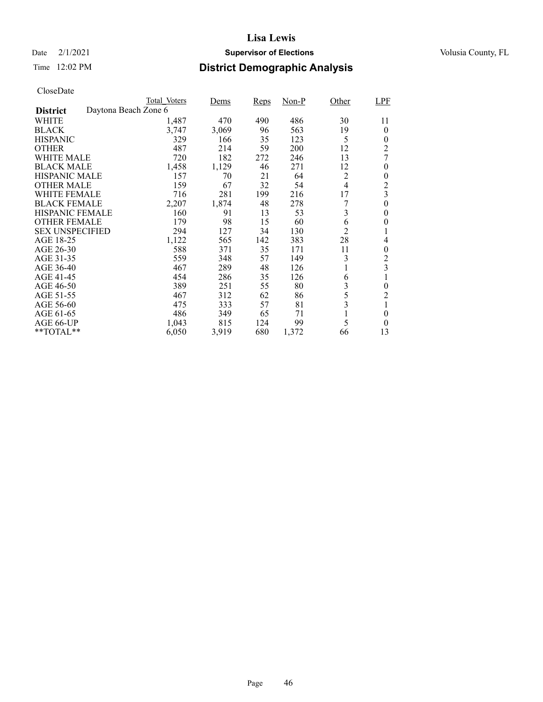# Date  $2/1/2021$  **Supervisor of Elections** Volusia County, FL

## Time 12:02 PM **District Demographic Analysis**

|                        |                      | Total Voters | Dems  | Reps | $Non-P$ | Other          | <b>LPF</b>     |
|------------------------|----------------------|--------------|-------|------|---------|----------------|----------------|
| <b>District</b>        | Daytona Beach Zone 6 |              |       |      |         |                |                |
| WHITE                  |                      | 1,487        | 470   | 490  | 486     | 30             | 11             |
| <b>BLACK</b>           |                      | 3,747        | 3,069 | 96   | 563     | 19             | $\theta$       |
| <b>HISPANIC</b>        |                      | 329          | 166   | 35   | 123     | 5              | 0              |
| <b>OTHER</b>           |                      | 487          | 214   | 59   | 200     | 12             | $\overline{c}$ |
| WHITE MALE             |                      | 720          | 182   | 272  | 246     | 13             | 7              |
| <b>BLACK MALE</b>      |                      | 1,458        | 1,129 | 46   | 271     | 12             | 0              |
| <b>HISPANIC MALE</b>   |                      | 157          | 70    | 21   | 64      | $\overline{c}$ | 0              |
| <b>OTHER MALE</b>      |                      | 159          | 67    | 32   | 54      | $\overline{4}$ | $\overline{c}$ |
| <b>WHITE FEMALE</b>    |                      | 716          | 281   | 199  | 216     | 17             | 3              |
| <b>BLACK FEMALE</b>    |                      | 2,207        | 1,874 | 48   | 278     |                | 0              |
| <b>HISPANIC FEMALE</b> |                      | 160          | 91    | 13   | 53      | 3              | 0              |
| <b>OTHER FEMALE</b>    |                      | 179          | 98    | 15   | 60      | 6              | 0              |
| <b>SEX UNSPECIFIED</b> |                      | 294          | 127   | 34   | 130     | $\overline{2}$ |                |
| AGE 18-25              |                      | 1,122        | 565   | 142  | 383     | 28             | 4              |
| AGE 26-30              |                      | 588          | 371   | 35   | 171     | 11             | $\theta$       |
| AGE 31-35              |                      | 559          | 348   | 57   | 149     | 3              | $\overline{c}$ |
| AGE 36-40              |                      | 467          | 289   | 48   | 126     | 1              | 3              |
| AGE 41-45              |                      | 454          | 286   | 35   | 126     | 6              | 1              |
| AGE 46-50              |                      | 389          | 251   | 55   | 80      | 3              | 0              |
| AGE 51-55              |                      | 467          | 312   | 62   | 86      | 5              | $\overline{2}$ |
| AGE 56-60              |                      | 475          | 333   | 57   | 81      | 3              | 1              |
| AGE 61-65              |                      | 486          | 349   | 65   | 71      | 1              | $\theta$       |
| AGE 66-UP              |                      | 1,043        | 815   | 124  | 99      | 5              | 0              |
| $*$ $TOTAL**$          |                      | 6,050        | 3,919 | 680  | 1,372   | 66             | 13             |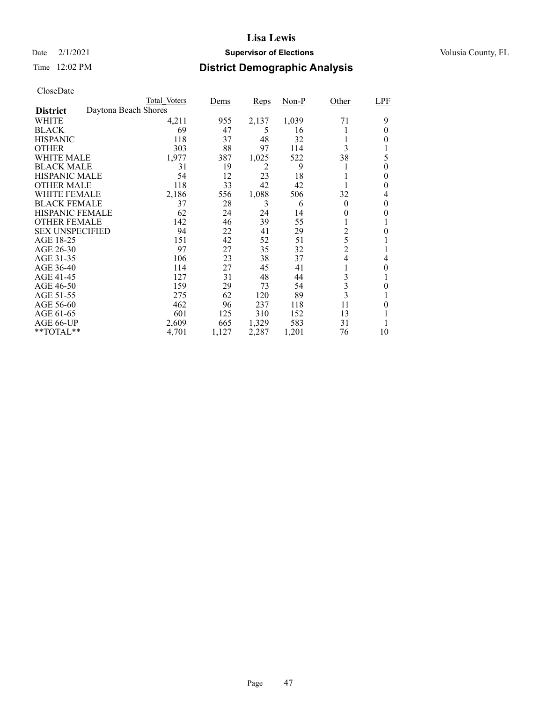# Date  $2/1/2021$  **Supervisor of Elections** Volusia County, FL

### Time 12:02 PM **District Demographic Analysis**

|                        |                      | Total Voters | Dems  | <b>Reps</b> | $Non-P$ | Other          | LPF      |
|------------------------|----------------------|--------------|-------|-------------|---------|----------------|----------|
| <b>District</b>        | Daytona Beach Shores |              |       |             |         |                |          |
| WHITE                  |                      | 4,211        | 955   | 2,137       | 1,039   | 71             | 9        |
| <b>BLACK</b>           |                      | 69           | 47    | 5           | 16      |                | 0        |
| <b>HISPANIC</b>        |                      | 118          | 37    | 48          | 32      |                | 0        |
| <b>OTHER</b>           |                      | 303          | 88    | 97          | 114     | 3              |          |
| WHITE MALE             |                      | 1,977        | 387   | 1,025       | 522     | 38             | 5        |
| <b>BLACK MALE</b>      |                      | 31           | 19    | 2           | 9       |                | $\theta$ |
| <b>HISPANIC MALE</b>   |                      | 54           | 12    | 23          | 18      |                | 0        |
| <b>OTHER MALE</b>      |                      | 118          | 33    | 42          | 42      |                | 0        |
| <b>WHITE FEMALE</b>    |                      | 2,186        | 556   | 1,088       | 506     | 32             | 4        |
| <b>BLACK FEMALE</b>    |                      | 37           | 28    | 3           | 6       | $\theta$       | $\theta$ |
| <b>HISPANIC FEMALE</b> |                      | 62           | 24    | 24          | 14      | 0              | 0        |
| <b>OTHER FEMALE</b>    |                      | 142          | 46    | 39          | 55      |                |          |
| <b>SEX UNSPECIFIED</b> |                      | 94           | 22    | 41          | 29      | $\overline{c}$ | $\theta$ |
| AGE 18-25              |                      | 151          | 42    | 52          | 51      | 5              |          |
| AGE 26-30              |                      | 97           | 27    | 35          | 32      | $\overline{c}$ |          |
| AGE 31-35              |                      | 106          | 23    | 38          | 37      | $\overline{4}$ | 4        |
| AGE 36-40              |                      | 114          | 27    | 45          | 41      |                | 0        |
| AGE 41-45              |                      | 127          | 31    | 48          | 44      | 3              |          |
| AGE 46-50              |                      | 159          | 29    | 73          | 54      | 3              | 0        |
| AGE 51-55              |                      | 275          | 62    | 120         | 89      | 3              |          |
| AGE 56-60              |                      | 462          | 96    | 237         | 118     | 11             | 0        |
| AGE 61-65              |                      | 601          | 125   | 310         | 152     | 13             |          |
| AGE 66-UP              |                      | 2,609        | 665   | 1,329       | 583     | 31             |          |
| **TOTAL**              |                      | 4,701        | 1,127 | 2,287       | 1,201   | 76             | 10       |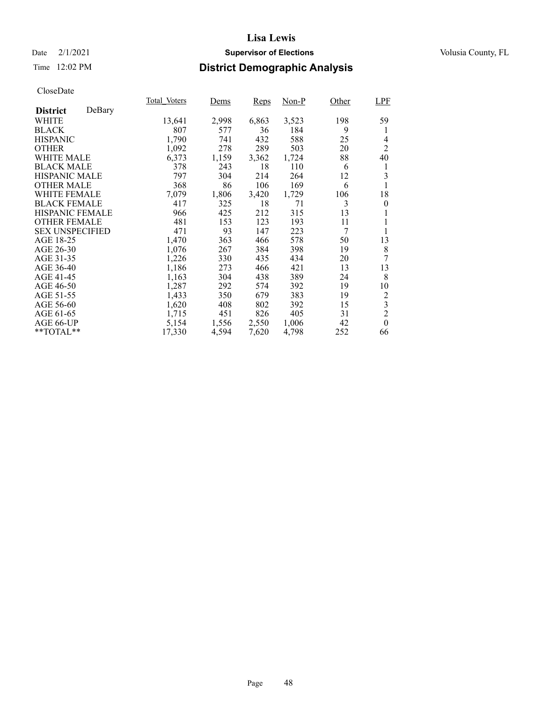### Date  $2/1/2021$  **Supervisor of Elections** Volusia County, FL

## Time 12:02 PM **District Demographic Analysis**

|                        |        | Total Voters | Dems  | Reps  | $Non-P$ | Other | LPF              |
|------------------------|--------|--------------|-------|-------|---------|-------|------------------|
| <b>District</b>        | DeBary |              |       |       |         |       |                  |
| WHITE                  |        | 13,641       | 2,998 | 6,863 | 3,523   | 198   | 59               |
| <b>BLACK</b>           |        | 807          | 577   | 36    | 184     | 9     | 1                |
| <b>HISPANIC</b>        |        | 1,790        | 741   | 432   | 588     | 25    | 4                |
| <b>OTHER</b>           |        | 1,092        | 278   | 289   | 503     | 20    | $\overline{2}$   |
| <b>WHITE MALE</b>      |        | 6,373        | 1,159 | 3,362 | 1,724   | 88    | 40               |
| <b>BLACK MALE</b>      |        | 378          | 243   | 18    | 110     | 6     | 1                |
| <b>HISPANIC MALE</b>   |        | 797          | 304   | 214   | 264     | 12    | 3                |
| <b>OTHER MALE</b>      |        | 368          | 86    | 106   | 169     | 6     |                  |
| <b>WHITE FEMALE</b>    |        | 7,079        | 1,806 | 3,420 | 1,729   | 106   | 18               |
| <b>BLACK FEMALE</b>    |        | 417          | 325   | 18    | 71      | 3     | $\theta$         |
| <b>HISPANIC FEMALE</b> |        | 966          | 425   | 212   | 315     | 13    | 1                |
| <b>OTHER FEMALE</b>    |        | 481          | 153   | 123   | 193     | 11    | 1                |
| <b>SEX UNSPECIFIED</b> |        | 471          | 93    | 147   | 223     | 7     | 1                |
| AGE 18-25              |        | 1,470        | 363   | 466   | 578     | 50    | 13               |
| AGE 26-30              |        | 1,076        | 267   | 384   | 398     | 19    | 8                |
| AGE 31-35              |        | 1,226        | 330   | 435   | 434     | 20    | 7                |
| AGE 36-40              |        | 1,186        | 273   | 466   | 421     | 13    | 13               |
| AGE 41-45              |        | 1,163        | 304   | 438   | 389     | 24    | 8                |
| AGE 46-50              |        | 1,287        | 292   | 574   | 392     | 19    | 10               |
| AGE 51-55              |        | 1,433        | 350   | 679   | 383     | 19    | 2                |
| AGE 56-60              |        | 1,620        | 408   | 802   | 392     | 15    | 3                |
| AGE 61-65              |        | 1,715        | 451   | 826   | 405     | 31    | $\overline{c}$   |
| AGE 66-UP              |        | 5,154        | 1,556 | 2,550 | 1,006   | 42    | $\boldsymbol{0}$ |
| $*$ $TOTAL**$          |        | 17,330       | 4,594 | 7,620 | 4,798   | 252   | 66               |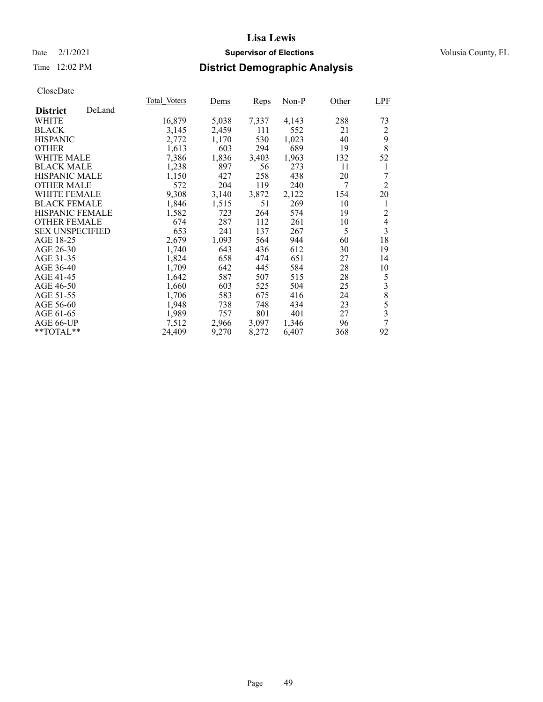#### Date  $2/1/2021$  **Supervisor of Elections** Volusia County, FL

### Time 12:02 PM **District Demographic Analysis**

|                        |        | <b>Total Voters</b> | Dems  | Reps  | $Non-P$ | Other | LPF                     |
|------------------------|--------|---------------------|-------|-------|---------|-------|-------------------------|
| <b>District</b>        | DeLand |                     |       |       |         |       |                         |
| <b>WHITE</b>           |        | 16,879              | 5,038 | 7,337 | 4,143   | 288   | 73                      |
| <b>BLACK</b>           |        | 3,145               | 2,459 | 111   | 552     | 21    | 2                       |
| <b>HISPANIC</b>        |        | 2,772               | 1,170 | 530   | 1,023   | 40    | 9                       |
| <b>OTHER</b>           |        | 1,613               | 603   | 294   | 689     | 19    | 8                       |
| WHITE MALE             |        | 7,386               | 1,836 | 3,403 | 1,963   | 132   | 52                      |
| <b>BLACK MALE</b>      |        | 1,238               | 897   | 56    | 273     | 11    | 1                       |
| <b>HISPANIC MALE</b>   |        | 1,150               | 427   | 258   | 438     | 20    | 7                       |
| <b>OTHER MALE</b>      |        | 572                 | 204   | 119   | 240     | 7     | $\overline{2}$          |
| <b>WHITE FEMALE</b>    |        | 9,308               | 3,140 | 3,872 | 2,122   | 154   | 20                      |
| <b>BLACK FEMALE</b>    |        | 1,846               | 1,515 | 51    | 269     | 10    | 1                       |
| <b>HISPANIC FEMALE</b> |        | 1,582               | 723   | 264   | 574     | 19    | 2                       |
| <b>OTHER FEMALE</b>    |        | 674                 | 287   | 112   | 261     | 10    | $\overline{4}$          |
| <b>SEX UNSPECIFIED</b> |        | 653                 | 241   | 137   | 267     | 5     | $\overline{\mathbf{3}}$ |
| AGE 18-25              |        | 2,679               | 1,093 | 564   | 944     | 60    | 18                      |
| AGE 26-30              |        | 1,740               | 643   | 436   | 612     | 30    | 19                      |
| AGE 31-35              |        | 1,824               | 658   | 474   | 651     | 27    | 14                      |
| AGE 36-40              |        | 1,709               | 642   | 445   | 584     | 28    | 10                      |
| AGE 41-45              |        | 1,642               | 587   | 507   | 515     | 28    | 5                       |
| AGE 46-50              |        | 1,660               | 603   | 525   | 504     | 25    | 3                       |
| AGE 51-55              |        | 1,706               | 583   | 675   | 416     | 24    | 8                       |
| AGE 56-60              |        | 1,948               | 738   | 748   | 434     | 23    | 5                       |
| AGE 61-65              |        | 1,989               | 757   | 801   | 401     | 27    | $\overline{\mathbf{3}}$ |
| AGE 66-UP              |        | 7,512               | 2,966 | 3,097 | 1,346   | 96    | 7                       |
| $*$ TOTAL $*$          |        | 24,409              | 9,270 | 8,272 | 6,407   | 368   | 92                      |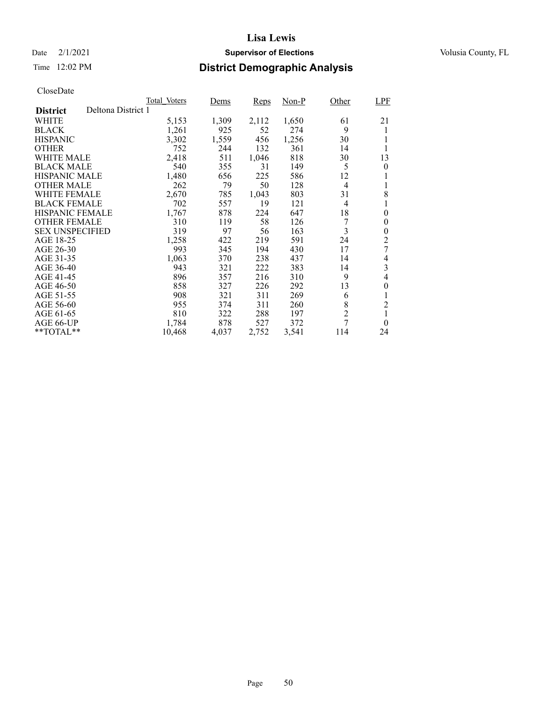# Date  $2/1/2021$  **Supervisor of Elections** Volusia County, FL

## Time 12:02 PM **District Demographic Analysis**

|                        |                    | Total Voters | Dems  | Reps  | $Non-P$ | Other          | LPF              |
|------------------------|--------------------|--------------|-------|-------|---------|----------------|------------------|
| <b>District</b>        | Deltona District 1 |              |       |       |         |                |                  |
| WHITE                  |                    | 5,153        | 1,309 | 2,112 | 1,650   | 61             | 21               |
| <b>BLACK</b>           |                    | 1,261        | 925   | 52    | 274     | 9              | 1                |
| <b>HISPANIC</b>        |                    | 3,302        | 1,559 | 456   | 1,256   | 30             |                  |
| <b>OTHER</b>           |                    | 752          | 244   | 132   | 361     | 14             |                  |
| <b>WHITE MALE</b>      |                    | 2,418        | 511   | 1,046 | 818     | 30             | 13               |
| <b>BLACK MALE</b>      |                    | 540          | 355   | 31    | 149     | 5              | $\theta$         |
| <b>HISPANIC MALE</b>   |                    | 1,480        | 656   | 225   | 586     | 12             |                  |
| <b>OTHER MALE</b>      |                    | 262          | 79    | 50    | 128     | $\overline{4}$ |                  |
| <b>WHITE FEMALE</b>    |                    | 2,670        | 785   | 1,043 | 803     | 31             | 8                |
| <b>BLACK FEMALE</b>    |                    | 702          | 557   | 19    | 121     | $\overline{4}$ |                  |
| <b>HISPANIC FEMALE</b> |                    | 1,767        | 878   | 224   | 647     | 18             | $\boldsymbol{0}$ |
| <b>OTHER FEMALE</b>    |                    | 310          | 119   | 58    | 126     |                | 0                |
| <b>SEX UNSPECIFIED</b> |                    | 319          | 97    | 56    | 163     | 3              | $\overline{0}$   |
| AGE 18-25              |                    | 1,258        | 422   | 219   | 591     | 24             | 2                |
| AGE 26-30              |                    | 993          | 345   | 194   | 430     | 17             | 7                |
| AGE 31-35              |                    | 1,063        | 370   | 238   | 437     | 14             | 4                |
| AGE 36-40              |                    | 943          | 321   | 222   | 383     | 14             | 3                |
| AGE 41-45              |                    | 896          | 357   | 216   | 310     | 9              | 4                |
| AGE 46-50              |                    | 858          | 327   | 226   | 292     | 13             | $\overline{0}$   |
| AGE 51-55              |                    | 908          | 321   | 311   | 269     | 6              |                  |
| AGE 56-60              |                    | 955          | 374   | 311   | 260     | 8              | $\overline{2}$   |
| AGE 61-65              |                    | 810          | 322   | 288   | 197     | $\overline{2}$ | 1                |
| AGE 66-UP              |                    | 1,784        | 878   | 527   | 372     | 7              | $\theta$         |
| **TOTAL**              |                    | 10,468       | 4,037 | 2,752 | 3,541   | 114            | 24               |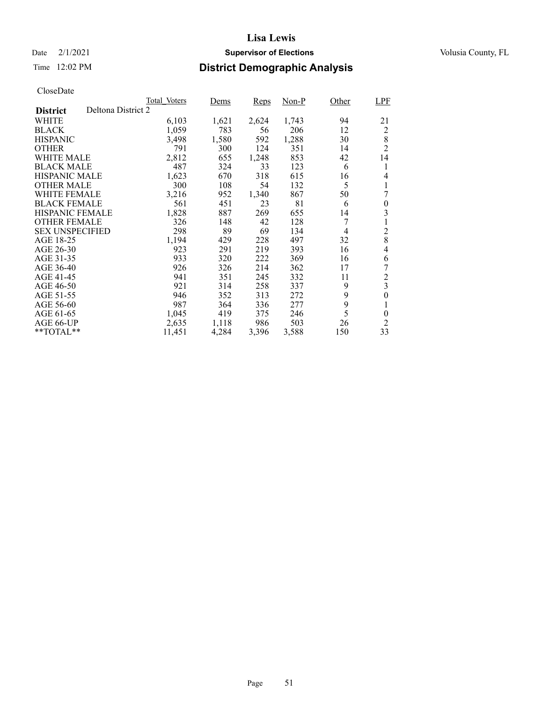# Date  $2/1/2021$  **Supervisor of Elections** Volusia County, FL

## Time 12:02 PM **District Demographic Analysis**

| Total Voters       | Dems                     |       | $Non-P$ | Other | LPF              |
|--------------------|--------------------------|-------|---------|-------|------------------|
| Deltona District 2 |                          |       |         |       |                  |
| 6,103              | 1,621                    |       | 1,743   | 94    | 21               |
| 1,059              | 783                      | 56    | 206     | 12    | 2                |
| 3,498              | 1,580                    | 592   | 1,288   | 30    | 8                |
| 791                | 300                      | 124   | 351     | 14    | $\overline{2}$   |
| 2,812              | 655                      | 1,248 | 853     | 42    | 14               |
| 487                | 324                      | 33    | 123     | 6     | 1                |
| 1,623              | 670                      | 318   | 615     | 16    | 4                |
|                    | 108                      | 54    | 132     | 5     |                  |
| 3,216              | 952                      | 1.340 | 867     | 50    | 7                |
| 561                | 451                      | 23    | 81      | 6     | $\boldsymbol{0}$ |
| 1,828              | 887                      | 269   | 655     | 14    | 3                |
| 326                | 148                      | 42    | 128     |       | 1                |
|                    |                          | 69    | 134     | 4     | $\overline{c}$   |
| 1,194              | 429                      | 228   | 497     | 32    | 8                |
| 923                | 291                      | 219   | 393     | 16    | 4                |
|                    | 320                      | 222   | 369     | 16    | 6                |
|                    | 326                      | 214   | 362     | 17    | 7                |
| 941                | 351                      | 245   | 332     | 11    | $\overline{c}$   |
| 921                | 314                      | 258   | 337     | 9     | 3                |
| 946                | 352                      | 313   | 272     |       | $\boldsymbol{0}$ |
| 987                | 364                      | 336   | 277     |       | 1                |
| 1.045              | 419                      | 375   | 246     | 5     | $\overline{0}$   |
| 2,635              | 1,118                    | 986   | 503     | 26    | $\overline{2}$   |
| 11,451             | 4,284                    | 3,396 | 3,588   | 150   | 33               |
|                    | 300<br>298<br>933<br>926 | 89    | 2,624   | Reps  | 9<br>9           |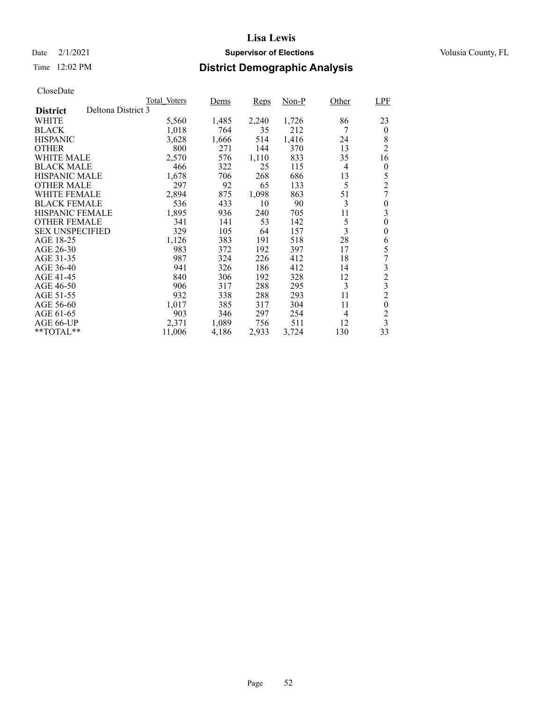# Date  $2/1/2021$  **Supervisor of Elections** Volusia County, FL

## Time 12:02 PM **District Demographic Analysis**

|                                       | Total Voters | Dems  | Reps  | $Non-P$ | Other          | LPF                     |
|---------------------------------------|--------------|-------|-------|---------|----------------|-------------------------|
| Deltona District 3<br><b>District</b> |              |       |       |         |                |                         |
| WHITE                                 | 5,560        | 1,485 | 2,240 | 1,726   | 86             | 23                      |
| <b>BLACK</b>                          | 1,018        | 764   | 35    | 212     |                | $\theta$                |
| <b>HISPANIC</b>                       | 3,628        | 1,666 | 514   | 1,416   | 24             | 8                       |
| <b>OTHER</b>                          | 800          | 271   | 144   | 370     | 13             | $\overline{2}$          |
| WHITE MALE                            | 2,570        | 576   | 1,110 | 833     | 35             | 16                      |
| <b>BLACK MALE</b>                     | 466          | 322   | 25    | 115     | 4              | 0                       |
| <b>HISPANIC MALE</b>                  | 1,678        | 706   | 268   | 686     | 13             | 5                       |
| <b>OTHER MALE</b>                     | 297          | 92    | 65    | 133     | 5              | $\overline{2}$          |
| WHITE FEMALE                          | 2,894        | 875   | 1,098 | 863     | 51             | 7                       |
| <b>BLACK FEMALE</b>                   | 536          | 433   | 10    | 90      | 3              | 0                       |
| <b>HISPANIC FEMALE</b>                | 1,895        | 936   | 240   | 705     | 11             | 3                       |
| <b>OTHER FEMALE</b>                   | 341          | 141   | 53    | 142     | 5              | $\overline{0}$          |
| <b>SEX UNSPECIFIED</b>                | 329          | 105   | 64    | 157     | 3              | 0                       |
| AGE 18-25                             | 1,126        | 383   | 191   | 518     | 28             | 6                       |
| AGE 26-30                             | 983          | 372   | 192   | 397     | 17             | 5                       |
| AGE 31-35                             | 987          | 324   | 226   | 412     | 18             | 7                       |
| AGE 36-40                             | 941          | 326   | 186   | 412     | 14             | 3                       |
| AGE 41-45                             | 840          | 306   | 192   | 328     | 12             | $\overline{c}$          |
| AGE 46-50                             | 906          | 317   | 288   | 295     | 3              | 3                       |
| AGE 51-55                             | 932          | 338   | 288   | 293     | 11             | $\overline{2}$          |
| AGE 56-60                             | 1,017        | 385   | 317   | 304     | 11             | $\boldsymbol{0}$        |
| AGE 61-65                             | 903          | 346   | 297   | 254     | $\overline{4}$ | $\overline{c}$          |
| AGE 66-UP                             | 2,371        | 1,089 | 756   | 511     | 12             | $\overline{\mathbf{3}}$ |
| **TOTAL**                             | 11,006       | 4,186 | 2,933 | 3,724   | 130            | 33                      |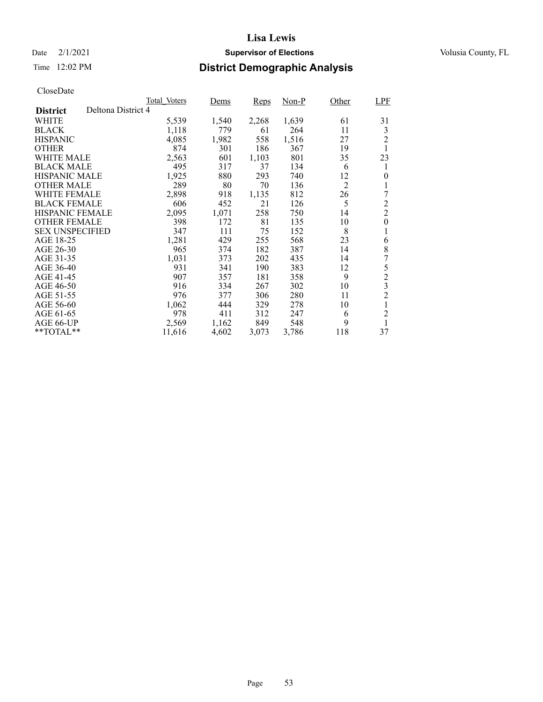# Date  $2/1/2021$  **Supervisor of Elections** Volusia County, FL

## Time 12:02 PM **District Demographic Analysis**

|                        |                    | Total Voters | Dems  | Reps  | $Non-P$ | Other          | LPF                     |
|------------------------|--------------------|--------------|-------|-------|---------|----------------|-------------------------|
| <b>District</b>        | Deltona District 4 |              |       |       |         |                |                         |
| WHITE                  |                    | 5,539        | 1,540 | 2,268 | 1,639   | 61             | 31                      |
| <b>BLACK</b>           |                    | 1,118        | 779   | 61    | 264     | 11             | 3                       |
| <b>HISPANIC</b>        |                    | 4,085        | 1,982 | 558   | 1,516   | 27             | $\overline{2}$          |
| <b>OTHER</b>           |                    | 874          | 301   | 186   | 367     | 19             | 1                       |
| WHITE MALE             |                    | 2,563        | 601   | 1,103 | 801     | 35             | 23                      |
| <b>BLACK MALE</b>      |                    | 495          | 317   | 37    | 134     | 6              | 1                       |
| <b>HISPANIC MALE</b>   |                    | 1,925        | 880   | 293   | 740     | 12             | 0                       |
| <b>OTHER MALE</b>      |                    | 289          | 80    | 70    | 136     | $\overline{2}$ |                         |
| <b>WHITE FEMALE</b>    |                    | 2,898        | 918   | 1,135 | 812     | 26             | 7                       |
| <b>BLACK FEMALE</b>    |                    | 606          | 452   | 21    | 126     | 5              | $\overline{c}$          |
| <b>HISPANIC FEMALE</b> |                    | 2,095        | 1,071 | 258   | 750     | 14             | $\overline{2}$          |
| <b>OTHER FEMALE</b>    |                    | 398          | 172   | 81    | 135     | 10             | $\boldsymbol{0}$        |
| <b>SEX UNSPECIFIED</b> |                    | 347          | 111   | 75    | 152     | 8              | 1                       |
| AGE 18-25              |                    | 1,281        | 429   | 255   | 568     | 23             | 6                       |
| AGE 26-30              |                    | 965          | 374   | 182   | 387     | 14             | 8                       |
| AGE 31-35              |                    | 1,031        | 373   | 202   | 435     | 14             | 7                       |
| AGE 36-40              |                    | 931          | 341   | 190   | 383     | 12             | 5                       |
| AGE 41-45              |                    | 907          | 357   | 181   | 358     | 9              | $\overline{c}$          |
| AGE 46-50              |                    | 916          | 334   | 267   | 302     | 10             | $\overline{\mathbf{3}}$ |
| AGE 51-55              |                    | 976          | 377   | 306   | 280     | 11             | $\overline{2}$          |
| AGE 56-60              |                    | 1,062        | 444   | 329   | 278     | 10             | 1                       |
| AGE 61-65              |                    | 978          | 411   | 312   | 247     | 6              | $\overline{c}$          |
| AGE 66-UP              |                    | 2,569        | 1,162 | 849   | 548     | 9              |                         |
| $*$ TOTAL $*$          |                    | 11,616       | 4,602 | 3,073 | 3,786   | 118            | 37                      |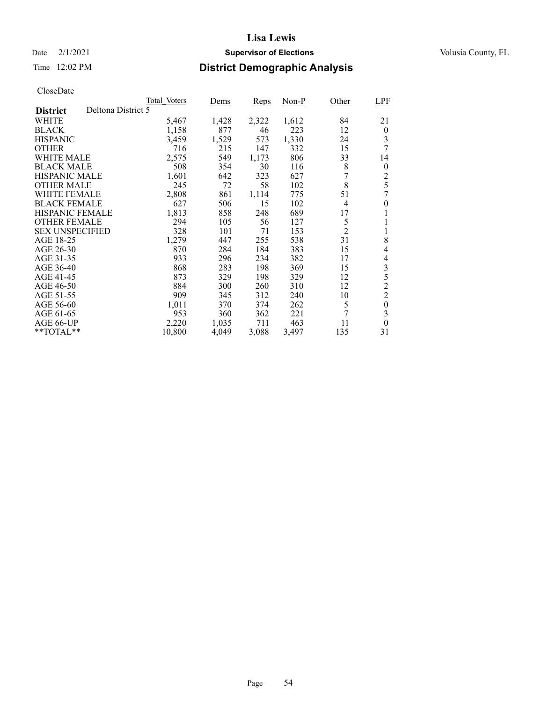# Date  $2/1/2021$  **Supervisor of Elections** Volusia County, FL

## Time 12:02 PM **District Demographic Analysis**

|                        |                    | Total Voters | Dems  | Reps  | $Non-P$ | Other          | LPF              |
|------------------------|--------------------|--------------|-------|-------|---------|----------------|------------------|
| <b>District</b>        | Deltona District 5 |              |       |       |         |                |                  |
| WHITE                  |                    | 5,467        | 1,428 | 2,322 | 1,612   | 84             | 21               |
| <b>BLACK</b>           |                    | 1,158        | 877   | 46    | 223     | 12             | $\boldsymbol{0}$ |
| <b>HISPANIC</b>        |                    | 3,459        | 1,529 | 573   | 1,330   | 24             | 3                |
| <b>OTHER</b>           |                    | 716          | 215   | 147   | 332     | 15             | 7                |
| WHITE MALE             |                    | 2,575        | 549   | 1,173 | 806     | 33             | 14               |
| <b>BLACK MALE</b>      |                    | 508          | 354   | 30    | 116     | 8              | $\theta$         |
| <b>HISPANIC MALE</b>   |                    | 1,601        | 642   | 323   | 627     | 7              | $\overline{c}$   |
| <b>OTHER MALE</b>      |                    | 245          | 72    | 58    | 102     | 8              | 5                |
| <b>WHITE FEMALE</b>    |                    | 2,808        | 861   | 1,114 | 775     | 51             | 7                |
| <b>BLACK FEMALE</b>    |                    | 627          | 506   | 15    | 102     | $\overline{4}$ | 0                |
| <b>HISPANIC FEMALE</b> |                    | 1,813        | 858   | 248   | 689     | 17             |                  |
| <b>OTHER FEMALE</b>    |                    | 294          | 105   | 56    | 127     | 5              |                  |
| <b>SEX UNSPECIFIED</b> |                    | 328          | 101   | 71    | 153     | $\overline{c}$ |                  |
| AGE 18-25              |                    | 1,279        | 447   | 255   | 538     | 31             | 8                |
| AGE 26-30              |                    | 870          | 284   | 184   | 383     | 15             | 4                |
| AGE 31-35              |                    | 933          | 296   | 234   | 382     | 17             | 4                |
| AGE 36-40              |                    | 868          | 283   | 198   | 369     | 15             | 3                |
| AGE 41-45              |                    | 873          | 329   | 198   | 329     | 12             | 5                |
| AGE 46-50              |                    | 884          | 300   | 260   | 310     | 12             | $\overline{c}$   |
| AGE 51-55              |                    | 909          | 345   | 312   | 240     | 10             | $\overline{2}$   |
| AGE 56-60              |                    | 1,011        | 370   | 374   | 262     | 5              | $\boldsymbol{0}$ |
| AGE 61-65              |                    | 953          | 360   | 362   | 221     | 7              | 3                |
| AGE 66-UP              |                    | 2,220        | 1,035 | 711   | 463     | 11             | $\theta$         |
| $*$ TOTAL $*$          |                    | 10,800       | 4,049 | 3,088 | 3,497   | 135            | 31               |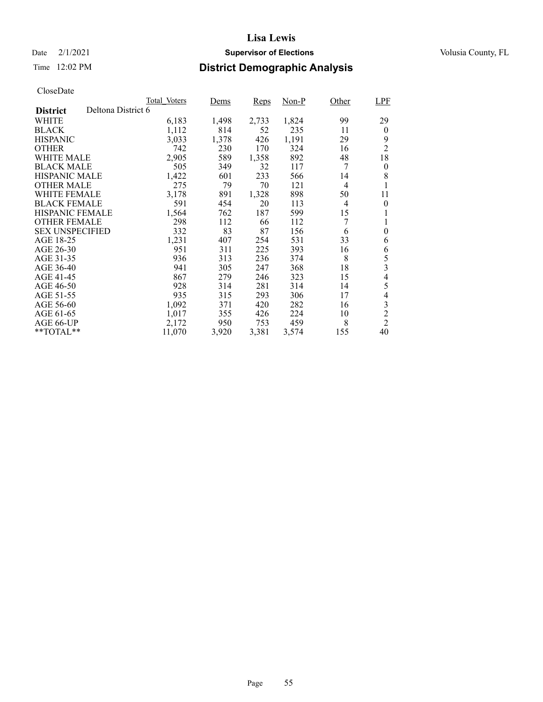# Date  $2/1/2021$  **Supervisor of Elections** Volusia County, FL

## Time 12:02 PM **District Demographic Analysis**

|                        |                    | Total Voters | Dems  | Reps  | $Non-P$ | Other          | LPF            |
|------------------------|--------------------|--------------|-------|-------|---------|----------------|----------------|
| <b>District</b>        | Deltona District 6 |              |       |       |         |                |                |
| WHITE                  |                    | 6,183        | 1,498 | 2,733 | 1,824   | 99             | 29             |
| <b>BLACK</b>           |                    | 1,112        | 814   | 52    | 235     | 11             | $\theta$       |
| <b>HISPANIC</b>        |                    | 3,033        | 1,378 | 426   | 1,191   | 29             | 9              |
| <b>OTHER</b>           |                    | 742          | 230   | 170   | 324     | 16             | $\overline{2}$ |
| WHITE MALE             |                    | 2,905        | 589   | 1,358 | 892     | 48             | 18             |
| <b>BLACK MALE</b>      |                    | 505          | 349   | 32    | 117     | 7              | $\theta$       |
| <b>HISPANIC MALE</b>   |                    | 1,422        | 601   | 233   | 566     | 14             | 8              |
| <b>OTHER MALE</b>      |                    | 275          | 79    | 70    | 121     | $\overline{4}$ |                |
| <b>WHITE FEMALE</b>    |                    | 3,178        | 891   | 1,328 | 898     | 50             | 11             |
| <b>BLACK FEMALE</b>    |                    | 591          | 454   | 20    | 113     | $\overline{4}$ | $\theta$       |
| <b>HISPANIC FEMALE</b> |                    | 1,564        | 762   | 187   | 599     | 15             |                |
| <b>OTHER FEMALE</b>    |                    | 298          | 112   | 66    | 112     | 7              | 1              |
| <b>SEX UNSPECIFIED</b> |                    | 332          | 83    | 87    | 156     | 6              | 0              |
| AGE 18-25              |                    | 1,231        | 407   | 254   | 531     | 33             | 6              |
| AGE 26-30              |                    | 951          | 311   | 225   | 393     | 16             | 6              |
| AGE 31-35              |                    | 936          | 313   | 236   | 374     | 8              | 5              |
| AGE 36-40              |                    | 941          | 305   | 247   | 368     | 18             | 3              |
| AGE 41-45              |                    | 867          | 279   | 246   | 323     | 15             | $\overline{4}$ |
| AGE 46-50              |                    | 928          | 314   | 281   | 314     | 14             | 5              |
| AGE 51-55              |                    | 935          | 315   | 293   | 306     | 17             | $\overline{4}$ |
| AGE 56-60              |                    | 1,092        | 371   | 420   | 282     | 16             | 3              |
| AGE 61-65              |                    | 1,017        | 355   | 426   | 224     | 10             | $\overline{c}$ |
| AGE 66-UP              |                    | 2,172        | 950   | 753   | 459     | 8              | $\overline{2}$ |
| $*$ TOTAL $*$          |                    | 11,070       | 3,920 | 3,381 | 3,574   | 155            | 40             |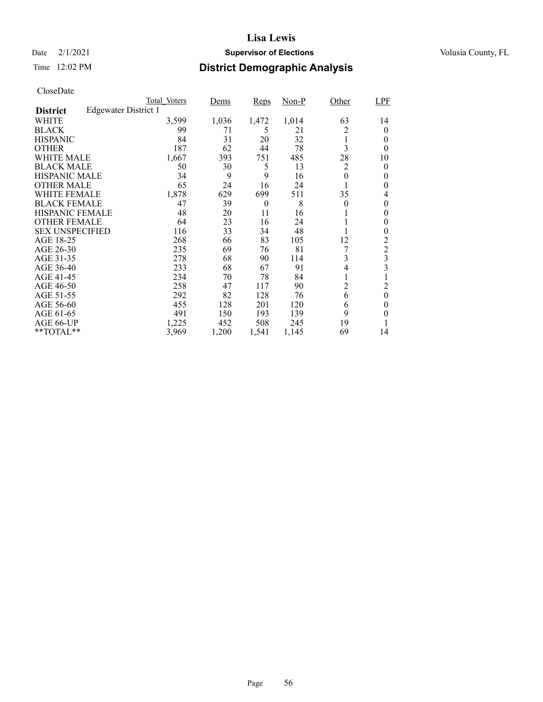# Date  $2/1/2021$  **Supervisor of Elections** Volusia County, FL

| Time $12:02 \text{ PM}$ | <b>District Demographic Analysis</b> |
|-------------------------|--------------------------------------|
|                         |                                      |

|                        |                             | Total Voters | Dems  | Reps     | $Non-P$ | Other          | LPF                     |
|------------------------|-----------------------------|--------------|-------|----------|---------|----------------|-------------------------|
| <b>District</b>        | <b>Edgewater District 1</b> |              |       |          |         |                |                         |
| WHITE                  |                             | 3,599        | 1,036 | 1,472    | 1,014   | 63             | 14                      |
| <b>BLACK</b>           |                             | 99           | 71    | 5        | 21      | $\overline{c}$ | $\theta$                |
| <b>HISPANIC</b>        |                             | 84           | 31    | 20       | 32      | 1              | $\theta$                |
| <b>OTHER</b>           |                             | 187          | 62    | 44       | 78      | 3              | $\theta$                |
| <b>WHITE MALE</b>      |                             | 1,667        | 393   | 751      | 485     | 28             | 10                      |
| <b>BLACK MALE</b>      |                             | 50           | 30    | 5        | 13      | 2              | $\theta$                |
| <b>HISPANIC MALE</b>   |                             | 34           | 9     | 9        | 16      | $\theta$       | 0                       |
| <b>OTHER MALE</b>      |                             | 65           | 24    | 16       | 24      |                | $\theta$                |
| <b>WHITE FEMALE</b>    |                             | 1,878        | 629   | 699      | 511     | 35             | 4                       |
| <b>BLACK FEMALE</b>    |                             | 47           | 39    | $\theta$ | 8       | $\overline{0}$ | 0                       |
| <b>HISPANIC FEMALE</b> |                             | 48           | 20    | 11       | 16      |                | $\bf{0}$                |
| <b>OTHER FEMALE</b>    |                             | 64           | 23    | 16       | 24      |                | 0                       |
| <b>SEX UNSPECIFIED</b> |                             | 116          | 33    | 34       | 48      |                | 0                       |
| AGE 18-25              |                             | 268          | 66    | 83       | 105     | 12             | 2                       |
| AGE 26-30              |                             | 235          | 69    | 76       | 81      | 7              | $\frac{2}{3}$           |
| AGE 31-35              |                             | 278          | 68    | 90       | 114     | 3              |                         |
| AGE 36-40              |                             | 233          | 68    | 67       | 91      | 4              | $\overline{\mathbf{3}}$ |
| AGE 41-45              |                             | 234          | 70    | 78       | 84      | 1              | 1                       |
| AGE 46-50              |                             | 258          | 47    | 117      | 90      | $\overline{c}$ | $\overline{c}$          |
| AGE 51-55              |                             | 292          | 82    | 128      | 76      | 6              | $\theta$                |
| AGE 56-60              |                             | 455          | 128   | 201      | 120     | 6              | $\theta$                |
| AGE 61-65              |                             | 491          | 150   | 193      | 139     | 9              | $\theta$                |
| AGE 66-UP              |                             | 1,225        | 452   | 508      | 245     | 19             |                         |
| $*$ $TOTAL**$          |                             | 3,969        | 1,200 | 1,541    | 1,145   | 69             | 14                      |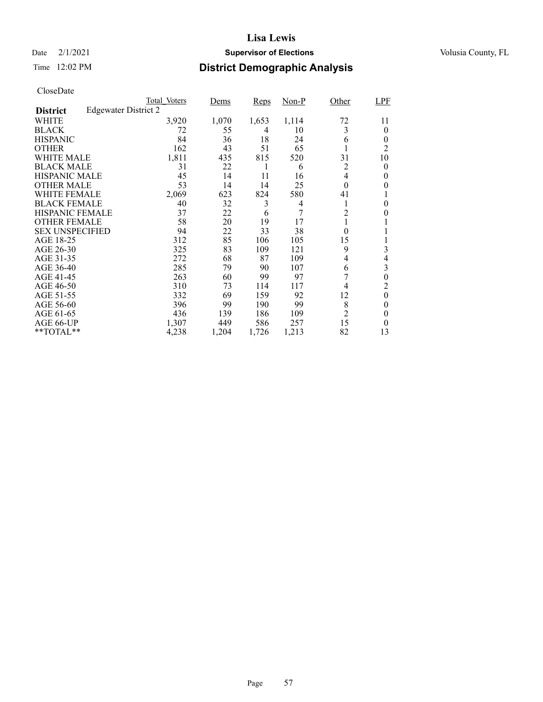## Time 12:02 PM **District Demographic Analysis**

|                        |                             | Total Voters | Dems  | <b>Reps</b> | $Non-P$ | Other          | <b>LPF</b> |
|------------------------|-----------------------------|--------------|-------|-------------|---------|----------------|------------|
| <b>District</b>        | <b>Edgewater District 2</b> |              |       |             |         |                |            |
| WHITE                  |                             | 3,920        | 1,070 | 1,653       | 1,114   | 72             | 11         |
| <b>BLACK</b>           |                             | 72           | 55    | 4           | 10      | 3              | 0          |
| <b>HISPANIC</b>        |                             | 84           | 36    | 18          | 24      | 6              | $\theta$   |
| <b>OTHER</b>           |                             | 162          | 43    | 51          | 65      |                | 2          |
| WHITE MALE             |                             | 1,811        | 435   | 815         | 520     | 31             | 10         |
| <b>BLACK MALE</b>      |                             | 31           | 22    | 1           | 6       | 2              | 0          |
| <b>HISPANIC MALE</b>   |                             | 45           | 14    | 11          | 16      | 4              | 0          |
| <b>OTHER MALE</b>      |                             | 53           | 14    | 14          | 25      | $\theta$       | 0          |
| WHITE FEMALE           |                             | 2,069        | 623   | 824         | 580     | 41             |            |
| <b>BLACK FEMALE</b>    |                             | 40           | 32    | 3           | 4       |                | 0          |
| <b>HISPANIC FEMALE</b> |                             | 37           | 22    | 6           | 7       | 2              | 0          |
| <b>OTHER FEMALE</b>    |                             | 58           | 20    | 19          | 17      | 1              |            |
| <b>SEX UNSPECIFIED</b> |                             | 94           | 22    | 33          | 38      | $\Omega$       |            |
| AGE 18-25              |                             | 312          | 85    | 106         | 105     | 15             |            |
| AGE 26-30              |                             | 325          | 83    | 109         | 121     | 9              | 3          |
| AGE 31-35              |                             | 272          | 68    | 87          | 109     | 4              | 4          |
| AGE 36-40              |                             | 285          | 79    | 90          | 107     | 6              | 3          |
| AGE 41-45              |                             | 263          | 60    | 99          | 97      |                | $\theta$   |
| AGE 46-50              |                             | 310          | 73    | 114         | 117     | 4              | 2          |
| AGE 51-55              |                             | 332          | 69    | 159         | 92      | 12             | $\theta$   |
| AGE 56-60              |                             | 396          | 99    | 190         | 99      | 8              | 0          |
| AGE 61-65              |                             | 436          | 139   | 186         | 109     | $\overline{2}$ | 0          |
| AGE 66-UP              |                             | 1,307        | 449   | 586         | 257     | 15             | 0          |
| **TOTAL**              |                             | 4,238        | 1,204 | 1,726       | 1,213   | 82             | 13         |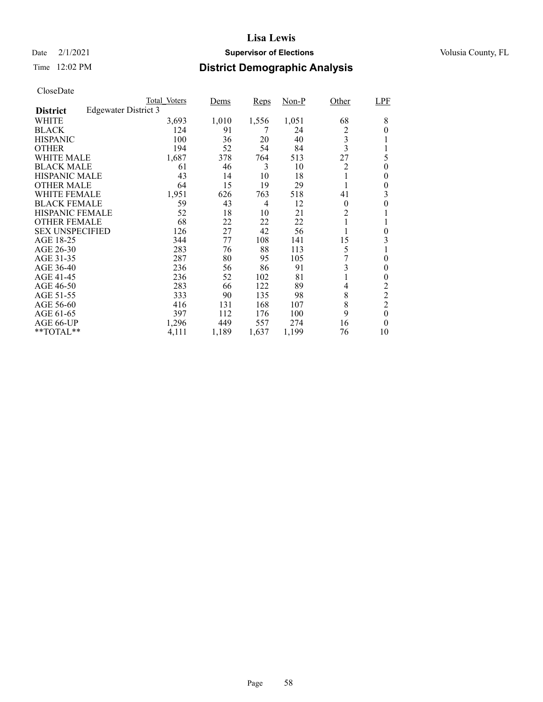# Time 12:02 PM **District Demographic Analysis**

|                        |                             | Total Voters | Dems  | <b>Reps</b> | $Non-P$ | Other                   | <b>LPF</b>       |
|------------------------|-----------------------------|--------------|-------|-------------|---------|-------------------------|------------------|
| <b>District</b>        | <b>Edgewater District 3</b> |              |       |             |         |                         |                  |
| WHITE                  |                             | 3,693        | 1,010 | 1,556       | 1,051   | 68                      | 8                |
| <b>BLACK</b>           |                             | 124          | 91    | 7           | 24      | 2                       | $\theta$         |
| <b>HISPANIC</b>        |                             | 100          | 36    | 20          | 40      | 3                       |                  |
| <b>OTHER</b>           |                             | 194          | 52    | 54          | 84      | $\overline{\mathbf{3}}$ |                  |
| WHITE MALE             |                             | 1,687        | 378   | 764         | 513     | 27                      | 5                |
| <b>BLACK MALE</b>      |                             | 61           | 46    | 3           | 10      | 2                       | $\boldsymbol{0}$ |
| <b>HISPANIC MALE</b>   |                             | 43           | 14    | 10          | 18      |                         | 0                |
| <b>OTHER MALE</b>      |                             | 64           | 15    | 19          | 29      |                         | 0                |
| WHITE FEMALE           |                             | 1,951        | 626   | 763         | 518     | 41                      | 3                |
| <b>BLACK FEMALE</b>    |                             | 59           | 43    | 4           | 12      | $\theta$                | $\theta$         |
| <b>HISPANIC FEMALE</b> |                             | 52           | 18    | 10          | 21      | $\overline{2}$          |                  |
| <b>OTHER FEMALE</b>    |                             | 68           | 22    | 22          | 22      |                         |                  |
| <b>SEX UNSPECIFIED</b> |                             | 126          | 27    | 42          | 56      |                         | $\theta$         |
| AGE 18-25              |                             | 344          | 77    | 108         | 141     | 15                      | 3                |
| AGE 26-30              |                             | 283          | 76    | 88          | 113     | 5                       |                  |
| AGE 31-35              |                             | 287          | 80    | 95          | 105     |                         | 0                |
| AGE 36-40              |                             | 236          | 56    | 86          | 91      | 3                       | $\boldsymbol{0}$ |
| AGE 41-45              |                             | 236          | 52    | 102         | 81      |                         | $\theta$         |
| AGE 46-50              |                             | 283          | 66    | 122         | 89      | 4                       | 2                |
| AGE 51-55              |                             | 333          | 90    | 135         | 98      | 8                       | $\overline{c}$   |
| AGE 56-60              |                             | 416          | 131   | 168         | 107     | 8                       | $\overline{2}$   |
| AGE 61-65              |                             | 397          | 112   | 176         | 100     | 9                       | $\overline{0}$   |
| AGE 66-UP              |                             | 1,296        | 449   | 557         | 274     | 16                      | $\theta$         |
| **TOTAL**              |                             | 4,111        | 1,189 | 1,637       | 1,199   | 76                      | 10               |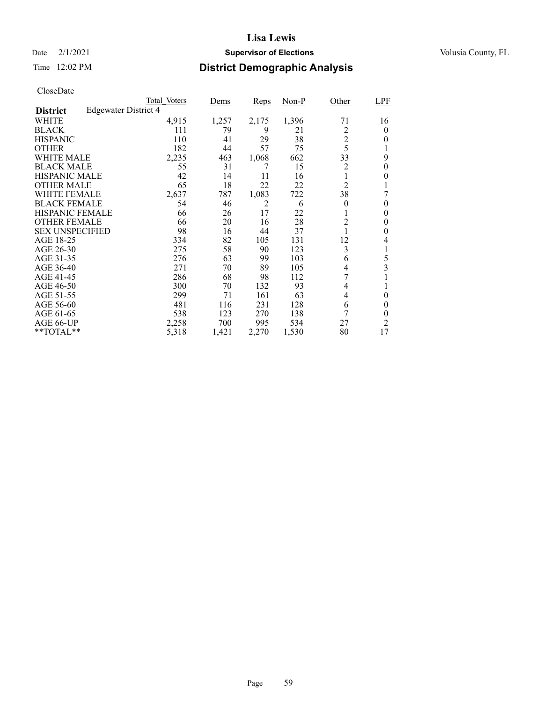# Date  $2/1/2021$  **Supervisor of Elections** Volusia County, FL

# Time 12:02 PM **District Demographic Analysis**

|                        |                             | Total Voters | Dems  | Reps  | $Non-P$ | Other          | <b>LPF</b>       |
|------------------------|-----------------------------|--------------|-------|-------|---------|----------------|------------------|
| <b>District</b>        | <b>Edgewater District 4</b> |              |       |       |         |                |                  |
| WHITE                  |                             | 4,915        | 1,257 | 2,175 | 1,396   | 71             | 16               |
| <b>BLACK</b>           |                             | 111          | 79    | 9     | 21      | 2              | 0                |
| <b>HISPANIC</b>        |                             | 110          | 41    | 29    | 38      | $\overline{c}$ | 0                |
| <b>OTHER</b>           |                             | 182          | 44    | 57    | 75      | 5              |                  |
| WHITE MALE             |                             | 2,235        | 463   | 1,068 | 662     | 33             | 9                |
| <b>BLACK MALE</b>      |                             | 55           | 31    | 7     | 15      | 2              | $\boldsymbol{0}$ |
| <b>HISPANIC MALE</b>   |                             | 42           | 14    | 11    | 16      |                | 0                |
| <b>OTHER MALE</b>      |                             | 65           | 18    | 22    | 22      | $\overline{2}$ |                  |
| WHITE FEMALE           |                             | 2,637        | 787   | 1,083 | 722     | 38             |                  |
| <b>BLACK FEMALE</b>    |                             | 54           | 46    | 2     | 6       | $\theta$       | 0                |
| <b>HISPANIC FEMALE</b> |                             | 66           | 26    | 17    | 22      | 1              | 0                |
| <b>OTHER FEMALE</b>    |                             | 66           | 20    | 16    | 28      | $\overline{2}$ | 0                |
| <b>SEX UNSPECIFIED</b> |                             | 98           | 16    | 44    | 37      |                | 0                |
| AGE 18-25              |                             | 334          | 82    | 105   | 131     | 12             | 4                |
| AGE 26-30              |                             | 275          | 58    | 90    | 123     | 3              |                  |
| AGE 31-35              |                             | 276          | 63    | 99    | 103     | 6              | 5                |
| AGE 36-40              |                             | 271          | 70    | 89    | 105     | 4              | 3                |
| AGE 41-45              |                             | 286          | 68    | 98    | 112     | 7              |                  |
| AGE 46-50              |                             | 300          | 70    | 132   | 93      | 4              |                  |
| AGE 51-55              |                             | 299          | 71    | 161   | 63      | 4              | $\theta$         |
| AGE 56-60              |                             | 481          | 116   | 231   | 128     | 6              | $\theta$         |
| AGE 61-65              |                             | 538          | 123   | 270   | 138     | 7              | 0                |
| AGE 66-UP              |                             | 2,258        | 700   | 995   | 534     | 27             | $\overline{2}$   |
| **TOTAL**              |                             | 5,318        | 1,421 | 2,270 | 1,530   | 80             | 17               |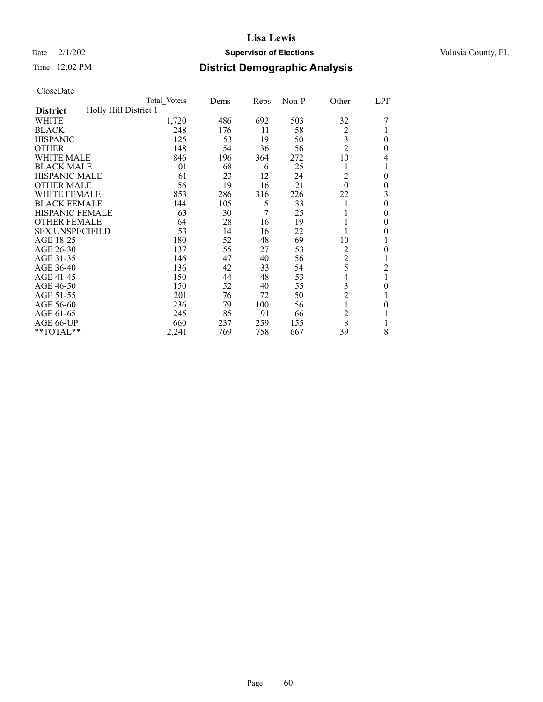# Date  $2/1/2021$  **Supervisor of Elections** Volusia County, FL

| Time $12:02 \text{ PM}$ | <b>District Demographic Analysis</b> |
|-------------------------|--------------------------------------|
|                         |                                      |

|                        |                       | <b>Total Voters</b> | Dems | <b>Reps</b> | $Non-P$ | Other          | LPF            |
|------------------------|-----------------------|---------------------|------|-------------|---------|----------------|----------------|
| <b>District</b>        | Holly Hill District 1 |                     |      |             |         |                |                |
| WHITE                  |                       | 1,720               | 486  | 692         | 503     | 32             |                |
| <b>BLACK</b>           |                       | 248                 | 176  | 11          | 58      | $\overline{c}$ |                |
| <b>HISPANIC</b>        |                       | 125                 | 53   | 19          | 50      | 3              | $\theta$       |
| <b>OTHER</b>           |                       | 148                 | 54   | 36          | 56      | $\overline{2}$ | $\theta$       |
| <b>WHITE MALE</b>      |                       | 846                 | 196  | 364         | 272     | 10             | 4              |
| <b>BLACK MALE</b>      |                       | 101                 | 68   | 6           | 25      | 1              |                |
| <b>HISPANIC MALE</b>   |                       | 61                  | 23   | 12          | 24      | $\overline{2}$ | $\theta$       |
| <b>OTHER MALE</b>      |                       | 56                  | 19   | 16          | 21      | $\theta$       | $\overline{0}$ |
| <b>WHITE FEMALE</b>    |                       | 853                 | 286  | 316         | 226     | 22             | 3              |
| <b>BLACK FEMALE</b>    |                       | 144                 | 105  | 5           | 33      |                | 0              |
| HISPANIC FEMALE        |                       | 63                  | 30   | 7           | 25      |                | $\theta$       |
| <b>OTHER FEMALE</b>    |                       | 64                  | 28   | 16          | 19      |                | 0              |
| <b>SEX UNSPECIFIED</b> |                       | 53                  | 14   | 16          | 22      |                | 0              |
| AGE 18-25              |                       | 180                 | 52   | 48          | 69      | 10             |                |
| AGE 26-30              |                       | 137                 | 55   | 27          | 53      | 2              | 0              |
| AGE 31-35              |                       | 146                 | 47   | 40          | 56      | $\overline{2}$ |                |
| AGE 36-40              |                       | 136                 | 42   | 33          | 54      | 5              | 2              |
| AGE 41-45              |                       | 150                 | 44   | 48          | 53      | 4              |                |
| AGE 46-50              |                       | 150                 | 52   | 40          | 55      | 3              | $\overline{0}$ |
| AGE 51-55              |                       | 201                 | 76   | 72          | 50      | $\overline{c}$ |                |
| AGE 56-60              |                       | 236                 | 79   | 100         | 56      |                | 0              |
| AGE 61-65              |                       | 245                 | 85   | 91          | 66      | $\overline{2}$ |                |
| AGE 66-UP              |                       | 660                 | 237  | 259         | 155     | 8              |                |
| **TOTAL**              |                       | 2,241               | 769  | 758         | 667     | 39             | 8              |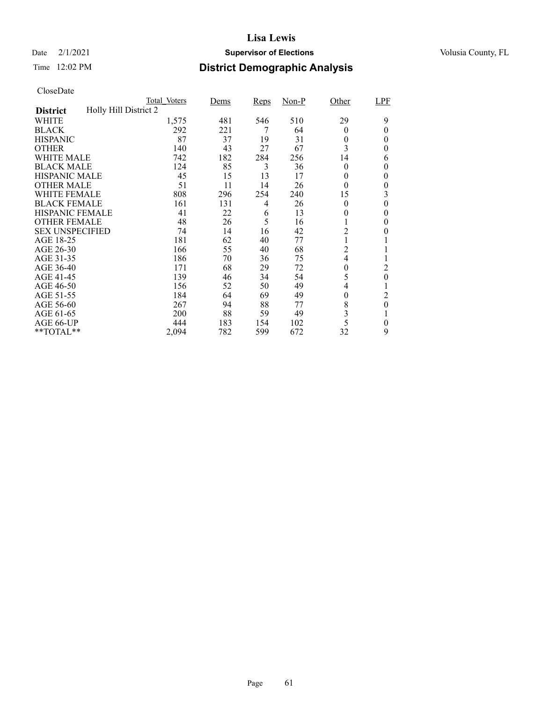# Date  $2/1/2021$  **Supervisor of Elections** Volusia County, FL

## Time 12:02 PM **District Demographic Analysis**

|                        |                       | Total Voters | Dems | <b>Reps</b> | $Non-P$ | Other          | LPF            |
|------------------------|-----------------------|--------------|------|-------------|---------|----------------|----------------|
| <b>District</b>        | Holly Hill District 2 |              |      |             |         |                |                |
| WHITE                  |                       | 1,575        | 481  | 546         | 510     | 29             | 9              |
| <b>BLACK</b>           |                       | 292          | 221  | 7           | 64      | $\theta$       | 0              |
| <b>HISPANIC</b>        |                       | 87           | 37   | 19          | 31      | $\theta$       | $\theta$       |
| <b>OTHER</b>           |                       | 140          | 43   | 27          | 67      | 3              | $\theta$       |
| WHITE MALE             |                       | 742          | 182  | 284         | 256     | 14             | 6              |
| <b>BLACK MALE</b>      |                       | 124          | 85   | 3           | 36      | $\theta$       | 0              |
| <b>HISPANIC MALE</b>   |                       | 45           | 15   | 13          | 17      | 0              | 0              |
| <b>OTHER MALE</b>      |                       | 51           | 11   | 14          | 26      | $\theta$       | 0              |
| <b>WHITE FEMALE</b>    |                       | 808          | 296  | 254         | 240     | 15             | 3              |
| <b>BLACK FEMALE</b>    |                       | 161          | 131  | 4           | 26      | $\theta$       | $\theta$       |
| <b>HISPANIC FEMALE</b> |                       | 41           | 22   | 6           | 13      | 0              | 0              |
| <b>OTHER FEMALE</b>    |                       | 48           | 26   | 5           | 16      |                | 0              |
| <b>SEX UNSPECIFIED</b> |                       | 74           | 14   | 16          | 42      | $\overline{c}$ | 0              |
| AGE 18-25              |                       | 181          | 62   | 40          | 77      |                |                |
| AGE 26-30              |                       | 166          | 55   | 40          | 68      | $\overline{c}$ |                |
| AGE 31-35              |                       | 186          | 70   | 36          | 75      | 4              |                |
| AGE 36-40              |                       | 171          | 68   | 29          | 72      | 0              | 2              |
| AGE 41-45              |                       | 139          | 46   | 34          | 54      | 5              | $\theta$       |
| AGE 46-50              |                       | 156          | 52   | 50          | 49      | 4              |                |
| AGE 51-55              |                       | 184          | 64   | 69          | 49      | $\theta$       | 2              |
| AGE 56-60              |                       | 267          | 94   | 88          | 77      | 8              | $\overline{0}$ |
| AGE 61-65              |                       | 200          | 88   | 59          | 49      | 3              |                |
| AGE 66-UP              |                       | 444          | 183  | 154         | 102     | 5              | 0              |
| **TOTAL**              |                       | 2,094        | 782  | 599         | 672     | 32             | 9              |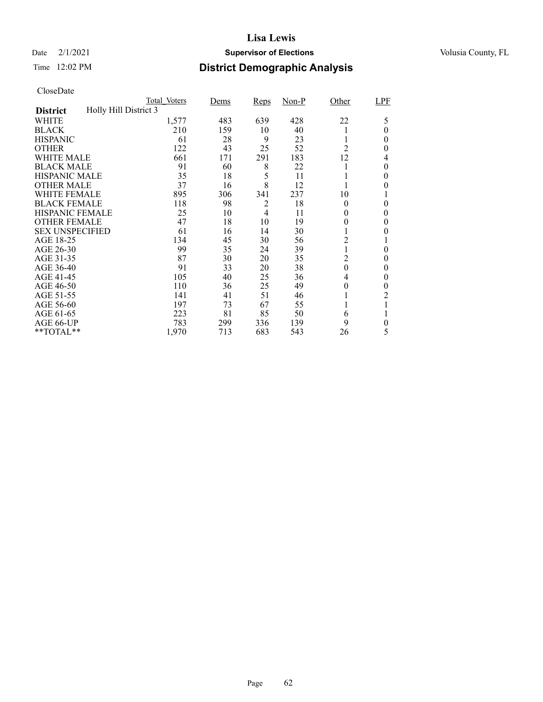# Date  $2/1/2021$  **Supervisor of Elections** Volusia County, FL

## Time 12:02 PM **District Demographic Analysis**

|                        |                       | Total Voters | Dems | Reps | $Non-P$ | Other          | LPF      |
|------------------------|-----------------------|--------------|------|------|---------|----------------|----------|
| <b>District</b>        | Holly Hill District 3 |              |      |      |         |                |          |
| WHITE                  |                       | 1,577        | 483  | 639  | 428     | 22             | 5        |
| <b>BLACK</b>           |                       | 210          | 159  | 10   | 40      |                | $\theta$ |
| <b>HISPANIC</b>        |                       | 61           | 28   | 9    | 23      |                | 0        |
| <b>OTHER</b>           |                       | 122          | 43   | 25   | 52      | 2              | 0        |
| WHITE MALE             |                       | 661          | 171  | 291  | 183     | 12             | 4        |
| <b>BLACK MALE</b>      |                       | 91           | 60   | 8    | 22      |                | $\theta$ |
| <b>HISPANIC MALE</b>   |                       | 35           | 18   | 5    | 11      |                | 0        |
| <b>OTHER MALE</b>      |                       | 37           | 16   | 8    | 12      |                | 0        |
| WHITE FEMALE           |                       | 895          | 306  | 341  | 237     | 10             |          |
| <b>BLACK FEMALE</b>    |                       | 118          | 98   | 2    | 18      | $\theta$       | $\theta$ |
| <b>HISPANIC FEMALE</b> |                       | 25           | 10   | 4    | 11      | 0              | 0        |
| <b>OTHER FEMALE</b>    |                       | 47           | 18   | 10   | 19      | 0              | 0        |
| <b>SEX UNSPECIFIED</b> |                       | 61           | 16   | 14   | 30      |                | 0        |
| AGE 18-25              |                       | 134          | 45   | 30   | 56      | 2              |          |
| AGE 26-30              |                       | 99           | 35   | 24   | 39      |                | 0        |
| AGE 31-35              |                       | 87           | 30   | 20   | 35      | $\overline{c}$ | 0        |
| AGE 36-40              |                       | 91           | 33   | 20   | 38      | $\overline{0}$ | $\theta$ |
| AGE 41-45              |                       | 105          | 40   | 25   | 36      | 4              | $\theta$ |
| AGE 46-50              |                       | 110          | 36   | 25   | 49      | 0              | 0        |
| AGE 51-55              |                       | 141          | 41   | 51   | 46      |                | 2        |
| AGE 56-60              |                       | 197          | 73   | 67   | 55      |                |          |
| AGE 61-65              |                       | 223          | 81   | 85   | 50      | 6              |          |
| AGE 66-UP              |                       | 783          | 299  | 336  | 139     | 9              | 0        |
| **TOTAL**              |                       | 1,970        | 713  | 683  | 543     | 26             | 5        |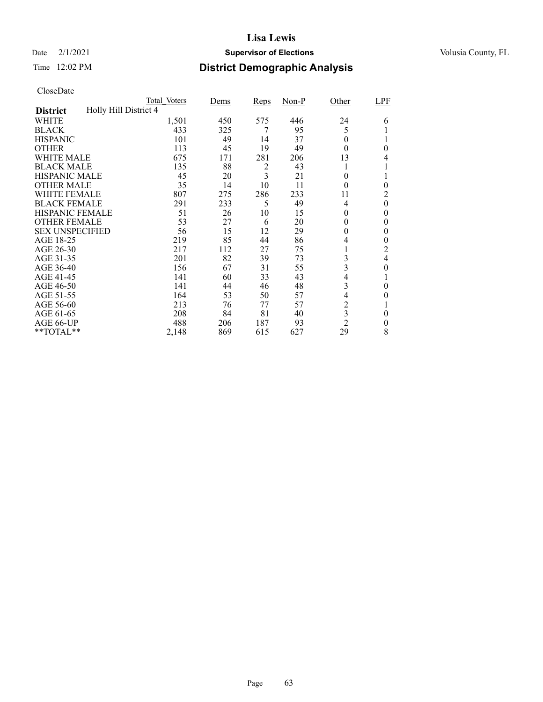# Date  $2/1/2021$  **Supervisor of Elections** Volusia County, FL

## Time 12:02 PM **District Demographic Analysis**

|                        |                       | Total Voters | Dems | <b>Reps</b> | $Non-P$ | Other                   | LPF              |
|------------------------|-----------------------|--------------|------|-------------|---------|-------------------------|------------------|
| <b>District</b>        | Holly Hill District 4 |              |      |             |         |                         |                  |
| WHITE                  |                       | 1,501        | 450  | 575         | 446     | 24                      | 6                |
| <b>BLACK</b>           |                       | 433          | 325  | 7           | 95      | 5                       |                  |
| <b>HISPANIC</b>        |                       | 101          | 49   | 14          | 37      | $\theta$                |                  |
| <b>OTHER</b>           |                       | 113          | 45   | 19          | 49      | $\Omega$                | 0                |
| WHITE MALE             |                       | 675          | 171  | 281         | 206     | 13                      | 4                |
| <b>BLACK MALE</b>      |                       | 135          | 88   | 2           | 43      |                         |                  |
| <b>HISPANIC MALE</b>   |                       | 45           | 20   | 3           | 21      | $\theta$                |                  |
| <b>OTHER MALE</b>      |                       | 35           | 14   | 10          | 11      | $\theta$                | $\theta$         |
| WHITE FEMALE           |                       | 807          | 275  | 286         | 233     | 11                      | 2                |
| <b>BLACK FEMALE</b>    |                       | 291          | 233  | 5           | 49      | 4                       | $\boldsymbol{0}$ |
| <b>HISPANIC FEMALE</b> |                       | 51           | 26   | 10          | 15      | $\theta$                | 0                |
| <b>OTHER FEMALE</b>    |                       | 53           | 27   | 6           | 20      | 0                       | $\theta$         |
| <b>SEX UNSPECIFIED</b> |                       | 56           | 15   | 12          | 29      | $\theta$                | 0                |
| AGE 18-25              |                       | 219          | 85   | 44          | 86      | 4                       | $\theta$         |
| AGE 26-30              |                       | 217          | 112  | 27          | 75      |                         | $\overline{c}$   |
| AGE 31-35              |                       | 201          | 82   | 39          | 73      | 3                       | 4                |
| AGE 36-40              |                       | 156          | 67   | 31          | 55      | 3                       | 0                |
| AGE 41-45              |                       | 141          | 60   | 33          | 43      | 4                       |                  |
| AGE 46-50              |                       | 141          | 44   | 46          | 48      | 3                       | 0                |
| AGE 51-55              |                       | 164          | 53   | 50          | 57      | 4                       | 0                |
| AGE 56-60              |                       | 213          | 76   | 77          | 57      | $\overline{c}$          |                  |
| AGE 61-65              |                       | 208          | 84   | 81          | 40      | $\overline{\mathbf{3}}$ | 0                |
| AGE 66-UP              |                       | 488          | 206  | 187         | 93      | $\overline{2}$          | 0                |
| **TOTAL**              |                       | 2,148        | 869  | 615         | 627     | 29                      | 8                |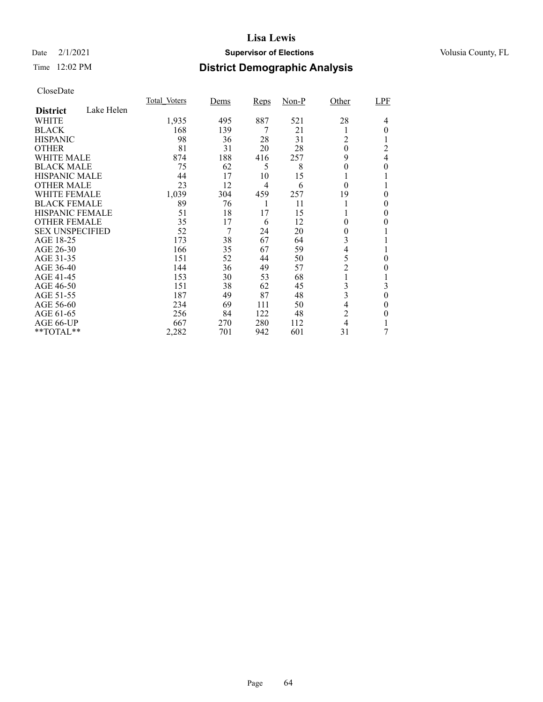# Date  $2/1/2021$  **Supervisor of Elections** Volusia County, FL

## Time 12:02 PM **District Demographic Analysis**

|                        |            | <b>Total Voters</b> | Dems | <b>Reps</b> | $Non-P$ | Other          | LPF      |
|------------------------|------------|---------------------|------|-------------|---------|----------------|----------|
| <b>District</b>        | Lake Helen |                     |      |             |         |                |          |
| WHITE                  |            | 1,935               | 495  | 887         | 521     | 28             | 4        |
| <b>BLACK</b>           |            | 168                 | 139  | 7           | 21      |                | $\theta$ |
| <b>HISPANIC</b>        |            | 98                  | 36   | 28          | 31      | 2              |          |
| <b>OTHER</b>           |            | 81                  | 31   | 20          | 28      | $\theta$       | 2        |
| WHITE MALE             |            | 874                 | 188  | 416         | 257     | 9              | 4        |
| <b>BLACK MALE</b>      |            | 75                  | 62   | 5           | 8       | 0              | 0        |
| <b>HISPANIC MALE</b>   |            | 44                  | 17   | 10          | 15      |                |          |
| <b>OTHER MALE</b>      |            | 23                  | 12   | 4           | 6       | $\theta$       |          |
| <b>WHITE FEMALE</b>    |            | 1,039               | 304  | 459         | 257     | 19             | 0        |
| <b>BLACK FEMALE</b>    |            | 89                  | 76   |             | 11      |                | 0        |
| HISPANIC FEMALE        |            | 51                  | 18   | 17          | 15      |                | 0        |
| <b>OTHER FEMALE</b>    |            | 35                  | 17   | 6           | 12      | 0              | 0        |
| <b>SEX UNSPECIFIED</b> |            | 52                  | 7    | 24          | 20      | 0              |          |
| AGE 18-25              |            | 173                 | 38   | 67          | 64      | 3              |          |
| AGE 26-30              |            | 166                 | 35   | 67          | 59      | 4              |          |
| AGE 31-35              |            | 151                 | 52   | 44          | 50      | 5              | 0        |
| AGE 36-40              |            | 144                 | 36   | 49          | 57      | $\overline{c}$ | 0        |
| AGE 41-45              |            | 153                 | 30   | 53          | 68      |                |          |
| AGE 46-50              |            | 151                 | 38   | 62          | 45      | 3              | 3        |
| AGE 51-55              |            | 187                 | 49   | 87          | 48      | 3              | $\Omega$ |
| AGE 56-60              |            | 234                 | 69   | 111         | 50      | 4              | $\theta$ |
| AGE 61-65              |            | 256                 | 84   | 122         | 48      | $\overline{c}$ | 0        |
| AGE 66-UP              |            | 667                 | 270  | 280         | 112     | 4              |          |
| **TOTAL**              |            | 2,282               | 701  | 942         | 601     | 31             | 7        |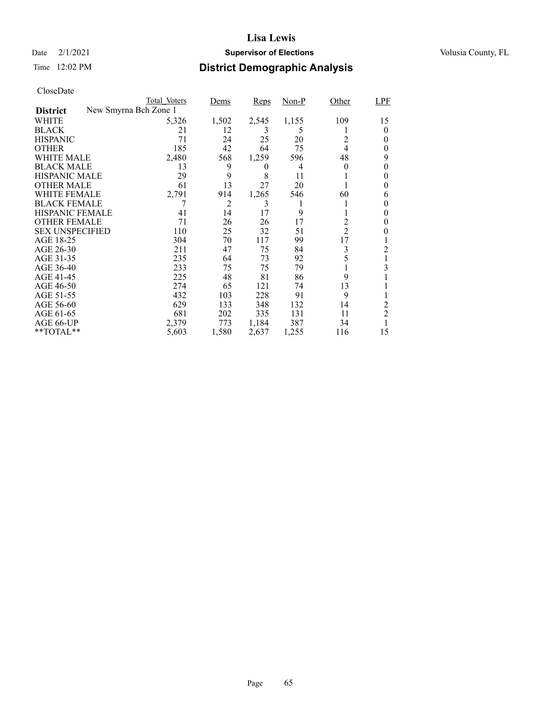# Date  $2/1/2021$  **Supervisor of Elections** Volusia County, FL

# Time 12:02 PM **District Demographic Analysis**

| CloseDate |
|-----------|
|-----------|

|                                          | <b>Total Voters</b> | Dems  | Reps  | $Non-P$ | Other          | LPF            |
|------------------------------------------|---------------------|-------|-------|---------|----------------|----------------|
| New Smyrna Bch Zone 1<br><b>District</b> |                     |       |       |         |                |                |
| WHITE                                    | 5,326               | 1,502 | 2,545 | 1,155   | 109            | 15             |
| <b>BLACK</b>                             | 21                  | 12    | 3     | 5       |                | $\theta$       |
| <b>HISPANIC</b>                          | 71                  | 24    | 25    | 20      | 2              | 0              |
| <b>OTHER</b>                             | 185                 | 42    | 64    | 75      | 4              | 0              |
| <b>WHITE MALE</b>                        | 2,480               | 568   | 1,259 | 596     | 48             | 9              |
| <b>BLACK MALE</b>                        | 13                  | 9     | 0     | 4       | $\theta$       | 0              |
| <b>HISPANIC MALE</b>                     | 29                  | 9     | 8     | 11      |                | 0              |
| <b>OTHER MALE</b>                        | 61                  | 13    | 27    | 20      |                | 0              |
| <b>WHITE FEMALE</b>                      | 2,791               | 914   | 1,265 | 546     | 60             | 6              |
| <b>BLACK FEMALE</b>                      |                     | 2     | 3     |         |                | 0              |
| HISPANIC FEMALE                          | 41                  | 14    | 17    | 9       |                | 0              |
| <b>OTHER FEMALE</b>                      | 71                  | 26    | 26    | 17      | 2              | 0              |
| <b>SEX UNSPECIFIED</b>                   | 110                 | 25    | 32    | 51      | $\overline{2}$ | 0              |
| AGE 18-25                                | 304                 | 70    | 117   | 99      | 17             |                |
| AGE 26-30                                | 211                 | 47    | 75    | 84      | 3              | 2              |
| AGE 31-35                                | 235                 | 64    | 73    | 92      | 5              |                |
| AGE 36-40                                | 233                 | 75    | 75    | 79      |                | 3              |
| AGE 41-45                                | 225                 | 48    | 81    | 86      | 9              |                |
| AGE 46-50                                | 274                 | 65    | 121   | 74      | 13             |                |
| AGE 51-55                                | 432                 | 103   | 228   | 91      | 9              |                |
| AGE 56-60                                | 629                 | 133   | 348   | 132     | 14             | 2              |
| AGE 61-65                                | 681                 | 202   | 335   | 131     | 11             | $\overline{2}$ |
| AGE 66-UP                                | 2,379               | 773   | 1,184 | 387     | 34             |                |
| $*$ TOTAL $*$                            | 5,603               | 1,580 | 2,637 | 1,255   | 116            | 15             |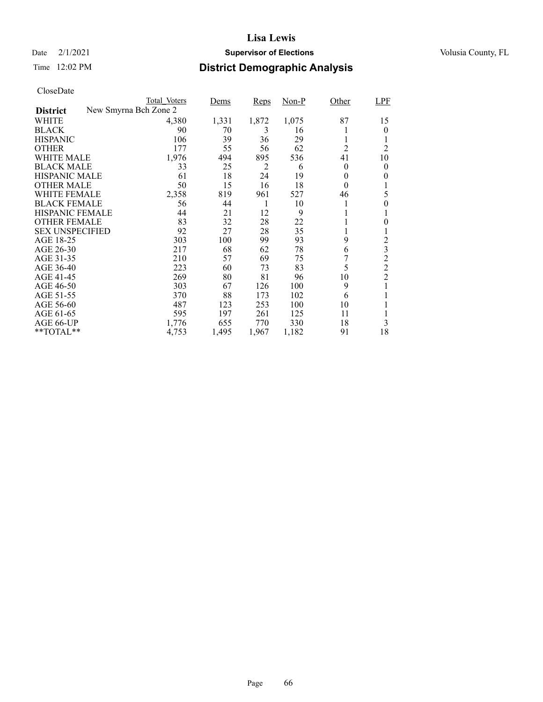Time 12:02 PM

# Date  $2/1/2021$  **Supervisor of Elections** Volusia County, FL

| <b>District Demographic Analysis</b> |  |
|--------------------------------------|--|

|                        |                       | <b>Total Voters</b> | Dems  | <b>Reps</b> | $Non-P$ | Other          | LPF            |
|------------------------|-----------------------|---------------------|-------|-------------|---------|----------------|----------------|
| <b>District</b>        | New Smyrna Bch Zone 2 |                     |       |             |         |                |                |
| WHITE                  |                       | 4,380               | 1,331 | 1,872       | 1,075   | 87             | 15             |
| <b>BLACK</b>           |                       | 90                  | 70    | 3           | 16      |                | 0              |
| <b>HISPANIC</b>        |                       | 106                 | 39    | 36          | 29      |                |                |
| <b>OTHER</b>           |                       | 177                 | 55    | 56          | 62      | 2              | 2              |
| <b>WHITE MALE</b>      |                       | 1,976               | 494   | 895         | 536     | 41             | 10             |
| <b>BLACK MALE</b>      |                       | 33                  | 25    | 2           | 6       | $\theta$       | $\theta$       |
| <b>HISPANIC MALE</b>   |                       | 61                  | 18    | 24          | 19      | 0              | 0              |
| <b>OTHER MALE</b>      |                       | 50                  | 15    | 16          | 18      | $\overline{0}$ |                |
| <b>WHITE FEMALE</b>    |                       | 2,358               | 819   | 961         | 527     | 46             | 5              |
| <b>BLACK FEMALE</b>    |                       | 56                  | 44    | 1           | 10      |                | 0              |
| HISPANIC FEMALE        |                       | 44                  | 21    | 12          | 9       |                |                |
| <b>OTHER FEMALE</b>    |                       | 83                  | 32    | 28          | 22      |                | 0              |
| <b>SEX UNSPECIFIED</b> |                       | 92                  | 27    | 28          | 35      |                |                |
| AGE 18-25              |                       | 303                 | 100   | 99          | 93      | 9              | 2              |
| AGE 26-30              |                       | 217                 | 68    | 62          | 78      | 6              | 3              |
| AGE 31-35              |                       | 210                 | 57    | 69          | 75      |                | $\overline{2}$ |
| AGE 36-40              |                       | 223                 | 60    | 73          | 83      | 5              | $\overline{c}$ |
| AGE 41-45              |                       | 269                 | 80    | 81          | 96      | 10             | $\overline{2}$ |
| AGE 46-50              |                       | 303                 | 67    | 126         | 100     | 9              |                |
| AGE 51-55              |                       | 370                 | 88    | 173         | 102     | 6              |                |
| AGE 56-60              |                       | 487                 | 123   | 253         | 100     | 10             |                |
| AGE 61-65              |                       | 595                 | 197   | 261         | 125     | 11             |                |
| AGE 66-UP              |                       | 1,776               | 655   | 770         | 330     | 18             | 3              |
| **TOTAL**              |                       | 4,753               | 1,495 | 1,967       | 1,182   | 91             | 18             |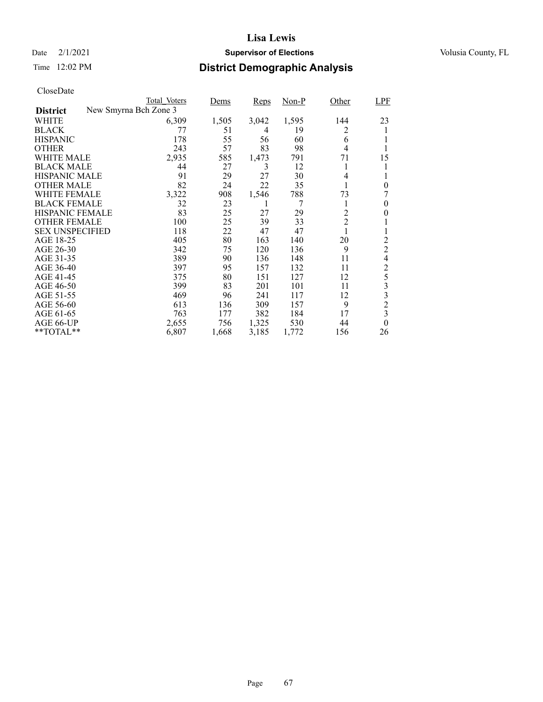# Date  $2/1/2021$  **Supervisor of Elections** Volusia County, FL

## Time 12:02 PM **District Demographic Analysis**

|                        |                       | Total Voters | Dems  | Reps  | $Non-P$ | Other          | LPF                     |
|------------------------|-----------------------|--------------|-------|-------|---------|----------------|-------------------------|
| <b>District</b>        | New Smyrna Bch Zone 3 |              |       |       |         |                |                         |
| WHITE                  |                       | 6,309        | 1,505 | 3,042 | 1,595   | 144            | 23                      |
| <b>BLACK</b>           |                       | 77           | 51    | 4     | 19      | 2              |                         |
| <b>HISPANIC</b>        |                       | 178          | 55    | 56    | 60      | 6              |                         |
| <b>OTHER</b>           |                       | 243          | 57    | 83    | 98      | $\overline{4}$ |                         |
| <b>WHITE MALE</b>      |                       | 2,935        | 585   | 1,473 | 791     | 71             | 15                      |
| <b>BLACK MALE</b>      |                       | 44           | 27    | 3     | 12      | 1              |                         |
| <b>HISPANIC MALE</b>   |                       | 91           | 29    | 27    | 30      | 4              |                         |
| <b>OTHER MALE</b>      |                       | 82           | 24    | 22    | 35      |                | $\theta$                |
| <b>WHITE FEMALE</b>    |                       | 3,322        | 908   | 1,546 | 788     | 73             |                         |
| <b>BLACK FEMALE</b>    |                       | 32           | 23    | 1     | 7       |                | 0                       |
| <b>HISPANIC FEMALE</b> |                       | 83           | 25    | 27    | 29      | $\overline{c}$ | 0                       |
| <b>OTHER FEMALE</b>    |                       | 100          | 25    | 39    | 33      | $\overline{c}$ |                         |
| <b>SEX UNSPECIFIED</b> |                       | 118          | 22    | 47    | 47      |                |                         |
| AGE 18-25              |                       | 405          | 80    | 163   | 140     | 20             | $\overline{c}$          |
| AGE 26-30              |                       | 342          | 75    | 120   | 136     | 9              | $\overline{c}$          |
| AGE 31-35              |                       | 389          | 90    | 136   | 148     | 11             | 4                       |
| AGE 36-40              |                       | 397          | 95    | 157   | 132     | 11             | $\overline{c}$          |
| AGE 41-45              |                       | 375          | 80    | 151   | 127     | 12             | 5                       |
| AGE 46-50              |                       | 399          | 83    | 201   | 101     | 11             | 3                       |
| AGE 51-55              |                       | 469          | 96    | 241   | 117     | 12             | 3                       |
| AGE 56-60              |                       | 613          | 136   | 309   | 157     | 9              | $\overline{c}$          |
| AGE 61-65              |                       | 763          | 177   | 382   | 184     | 17             | $\overline{\mathbf{3}}$ |
| AGE 66-UP              |                       | 2,655        | 756   | 1,325 | 530     | 44             | $\theta$                |
| $*$ $TOTAL**$          |                       | 6,807        | 1,668 | 3,185 | 1,772   | 156            | 26                      |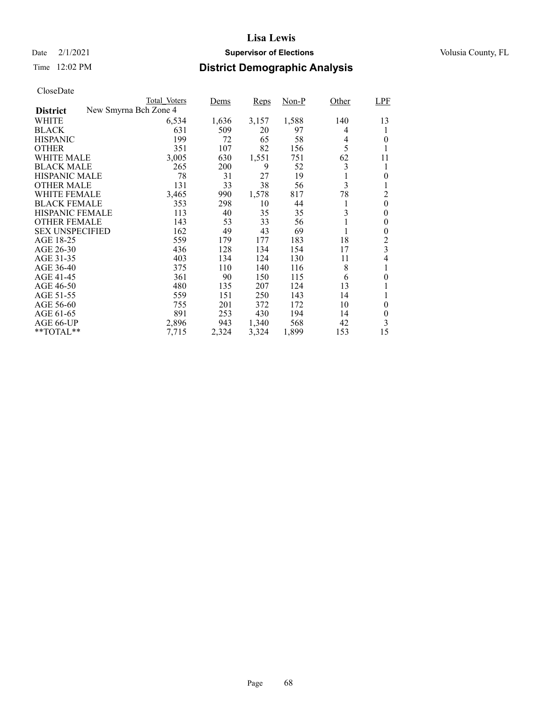# Date  $2/1/2021$  **Supervisor of Elections** Volusia County, FL

## Time 12:02 PM **District Demographic Analysis**

|                                          | Total Voters | Dems  | Reps  | $Non-P$ | Other | LPF            |
|------------------------------------------|--------------|-------|-------|---------|-------|----------------|
| New Smyrna Bch Zone 4<br><b>District</b> |              |       |       |         |       |                |
| WHITE                                    | 6,534        | 1,636 | 3,157 | 1,588   | 140   | 13             |
| <b>BLACK</b>                             | 631          | 509   | 20    | 97      | 4     | 1              |
| <b>HISPANIC</b>                          | 199          | 72    | 65    | 58      | 4     | 0              |
| <b>OTHER</b>                             | 351          | 107   | 82    | 156     | 5     | 1              |
| WHITE MALE                               | 3,005        | 630   | 1,551 | 751     | 62    | 11             |
| <b>BLACK MALE</b>                        | 265          | 200   | 9     | 52      | 3     | 1              |
| <b>HISPANIC MALE</b>                     | 78           | 31    | 27    | 19      | 1     | 0              |
| <b>OTHER MALE</b>                        | 131          | 33    | 38    | 56      | 3     |                |
| WHITE FEMALE                             | 3,465        | 990   | 1,578 | 817     | 78    | $\overline{2}$ |
| <b>BLACK FEMALE</b>                      | 353          | 298   | 10    | 44      | 1     | $\overline{0}$ |
| <b>HISPANIC FEMALE</b>                   | 113          | 40    | 35    | 35      | 3     | 0              |
| <b>OTHER FEMALE</b>                      | 143          | 53    | 33    | 56      | 1     | 0              |
| <b>SEX UNSPECIFIED</b>                   | 162          | 49    | 43    | 69      | 1     | 0              |
| AGE 18-25                                | 559          | 179   | 177   | 183     | 18    | $\overline{c}$ |
| AGE 26-30                                | 436          | 128   | 134   | 154     | 17    | 3              |
| AGE 31-35                                | 403          | 134   | 124   | 130     | 11    | 4              |
| AGE 36-40                                | 375          | 110   | 140   | 116     | 8     | 1              |
| AGE 41-45                                | 361          | 90    | 150   | 115     | 6     | 0              |
| AGE 46-50                                | 480          | 135   | 207   | 124     | 13    |                |
| AGE 51-55                                | 559          | 151   | 250   | 143     | 14    |                |
| AGE 56-60                                | 755          | 201   | 372   | 172     | 10    | $\theta$       |
| AGE 61-65                                | 891          | 253   | 430   | 194     | 14    | 0              |
| AGE 66-UP                                | 2,896        | 943   | 1,340 | 568     | 42    | 3              |
| $*$ $TOTAL**$                            | 7,715        | 2,324 | 3,324 | 1,899   | 153   | 15             |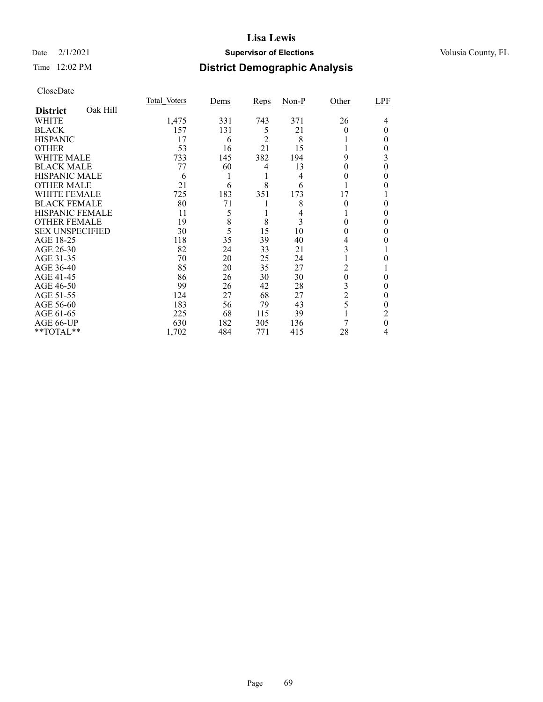## Date  $2/1/2021$  **Supervisor of Elections** Volusia County, FL

## Time 12:02 PM **District Demographic Analysis**

|                        |          | Total Voters | Dems | Reps           | $Non-P$ | Other          | LPF |
|------------------------|----------|--------------|------|----------------|---------|----------------|-----|
| <b>District</b>        | Oak Hill |              |      |                |         |                |     |
| WHITE                  |          | 1,475        | 331  | 743            | 371     | 26             | 4   |
| <b>BLACK</b>           |          | 157          | 131  | 5              | 21      | 0              | 0   |
| <b>HISPANIC</b>        |          | 17           | 6    | $\overline{2}$ | 8       |                | 0   |
| <b>OTHER</b>           |          | 53           | 16   | 21             | 15      |                | 0   |
| WHITE MALE             |          | 733          | 145  | 382            | 194     | 9              | 3   |
| <b>BLACK MALE</b>      |          | 77           | 60   | 4              | 13      | 0              | 0   |
| <b>HISPANIC MALE</b>   |          | 6            |      |                | 4       | 0              | 0   |
| <b>OTHER MALE</b>      |          | 21           | 6    | 8              | 6       |                | 0   |
| <b>WHITE FEMALE</b>    |          | 725          | 183  | 351            | 173     | 17             |     |
| <b>BLACK FEMALE</b>    |          | 80           | 71   |                | 8       | $\theta$       | 0   |
| HISPANIC FEMALE        |          | 11           | 5    |                | 4       |                | 0   |
| <b>OTHER FEMALE</b>    |          | 19           | 8    | 8              | 3       | 0              | 0   |
| <b>SEX UNSPECIFIED</b> |          | 30           | 5    | 15             | 10      | $_{0}$         | 0   |
| AGE 18-25              |          | 118          | 35   | 39             | 40      | 4              |     |
| AGE 26-30              |          | 82           | 24   | 33             | 21      | 3              |     |
| AGE 31-35              |          | 70           | 20   | 25             | 24      |                |     |
| AGE 36-40              |          | 85           | 20   | 35             | 27      | 2              |     |
| AGE 41-45              |          | 86           | 26   | 30             | 30      | $\theta$       | 0   |
| AGE 46-50              |          | 99           | 26   | 42             | 28      | 3              | 0   |
| AGE 51-55              |          | 124          | 27   | 68             | 27      | $\overline{c}$ | 0   |
| AGE 56-60              |          | 183          | 56   | 79             | 43      | 5              | 0   |
| AGE 61-65              |          | 225          | 68   | 115            | 39      |                | 2   |
| AGE 66-UP              |          | 630          | 182  | 305            | 136     |                | 0   |
| **TOTAL**              |          | 1,702        | 484  | 771            | 415     | 28             | 4   |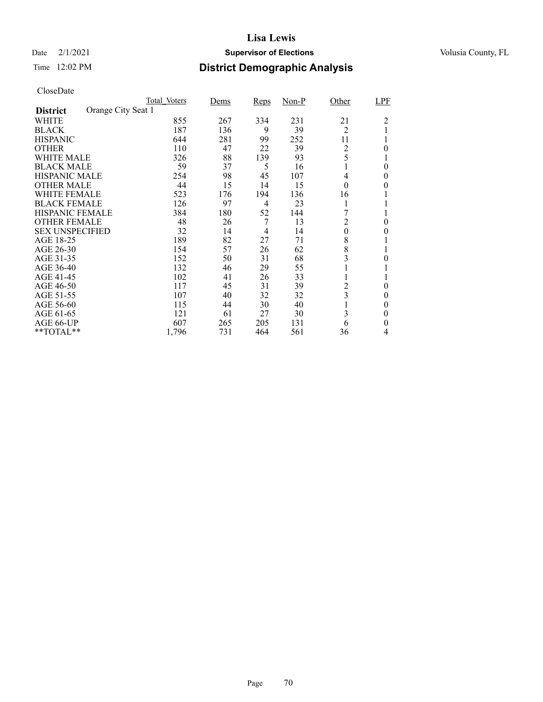# Date  $2/1/2021$  **Supervisor of Elections** Volusia County, FL

## Time 12:02 PM **District Demographic Analysis**

|                        | <b>Total Voters</b> | Dems | Reps | $Non-P$ | Other          | LPF      |
|------------------------|---------------------|------|------|---------|----------------|----------|
| <b>District</b>        | Orange City Seat 1  |      |      |         |                |          |
| WHITE                  | 855                 | 267  | 334  | 231     | 21             | 2        |
| <b>BLACK</b>           | 187                 | 136  | 9    | 39      | 2              |          |
| <b>HISPANIC</b>        | 644                 | 281  | 99   | 252     | 11             |          |
| <b>OTHER</b>           | 110                 | 47   | 22   | 39      | 2              | $\Omega$ |
| WHITE MALE             | 326                 | 88   | 139  | 93      | 5              |          |
| <b>BLACK MALE</b>      | 59                  | 37   | 5    | 16      |                | $\theta$ |
| <b>HISPANIC MALE</b>   | 254                 | 98   | 45   | 107     | 4              | 0        |
| <b>OTHER MALE</b>      | 44                  | 15   | 14   | 15      | $\overline{0}$ | 0        |
| <b>WHITE FEMALE</b>    | 523                 | 176  | 194  | 136     | 16             |          |
| <b>BLACK FEMALE</b>    | 126                 | 97   | 4    | 23      |                |          |
| <b>HISPANIC FEMALE</b> | 384                 | 180  | 52   | 144     | 7              |          |
| <b>OTHER FEMALE</b>    | 48                  | 26   | 7    | 13      | 2              | 0        |
| <b>SEX UNSPECIFIED</b> | 32                  | 14   | 4    | 14      | $\overline{0}$ | 0        |
| AGE 18-25              | 189                 | 82   | 27   | 71      | 8              |          |
| AGE 26-30              | 154                 | 57   | 26   | 62      | 8              | 1        |
| AGE 31-35              | 152                 | 50   | 31   | 68      | 3              | 0        |
| AGE 36-40              | 132                 | 46   | 29   | 55      |                |          |
| AGE 41-45              | 102                 | 41   | 26   | 33      |                |          |
| AGE 46-50              | 117                 | 45   | 31   | 39      | 2              | 0        |
| AGE 51-55              | 107                 | 40   | 32   | 32      | 3              | $\theta$ |
| AGE 56-60              | 115                 | 44   | 30   | 40      |                | 0        |
| AGE 61-65              | 121                 | 61   | 27   | 30      | 3              | $\theta$ |
| AGE 66-UP              | 607                 | 265  | 205  | 131     | 6              | 0        |
| **TOTAL**              | 1,796               | 731  | 464  | 561     | 36             | 4        |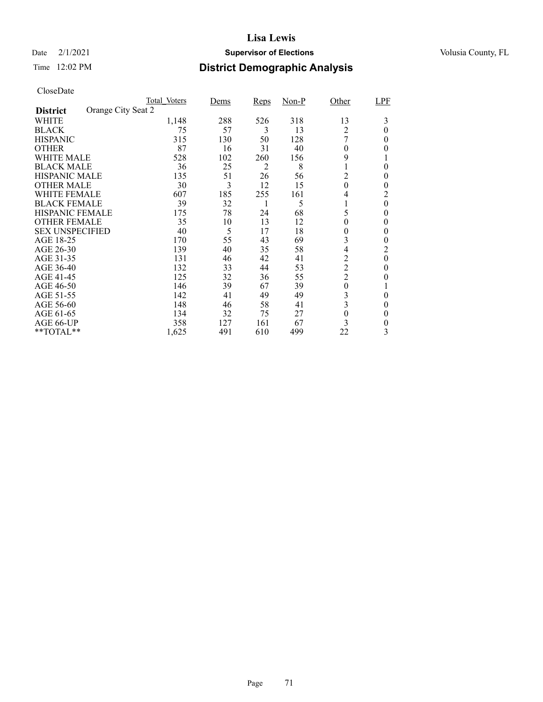# Date  $2/1/2021$  **Supervisor of Elections** Volusia County, FL

## Time 12:02 PM **District Demographic Analysis**

|                        | Total Voters       | Dems | Reps | $Non-P$ | Other            | LPF      |
|------------------------|--------------------|------|------|---------|------------------|----------|
| <b>District</b>        | Orange City Seat 2 |      |      |         |                  |          |
| WHITE                  | 1,148              | 288  | 526  | 318     | 13               | 3        |
| <b>BLACK</b>           | 75                 | 57   | 3    | 13      | 2                | $\theta$ |
| <b>HISPANIC</b>        | 315                | 130  | 50   | 128     | 7                | 0        |
| <b>OTHER</b>           | 87                 | 16   | 31   | 40      | 0                | 0        |
| WHITE MALE             | 528                | 102  | 260  | 156     | 9                |          |
| <b>BLACK MALE</b>      | 36                 | 25   | 2    | 8       |                  | $\theta$ |
| <b>HISPANIC MALE</b>   | 135                | 51   | 26   | 56      | 2                | $\theta$ |
| <b>OTHER MALE</b>      | 30                 | 3    | 12   | 15      | $\theta$         | 0        |
| WHITE FEMALE           | 607                | 185  | 255  | 161     | 4                | 2        |
| <b>BLACK FEMALE</b>    | 39                 | 32   |      | 5       |                  | $\theta$ |
| <b>HISPANIC FEMALE</b> | 175                | 78   | 24   | 68      | 5                | 0        |
| <b>OTHER FEMALE</b>    | 35                 | 10   | 13   | 12      | 0                | 0        |
| <b>SEX UNSPECIFIED</b> | 40                 | 5    | 17   | 18      | 0                | 0        |
| AGE 18-25              | 170                | 55   | 43   | 69      | 3                | 0        |
| AGE 26-30              | 139                | 40   | 35   | 58      | 4                | 2        |
| AGE 31-35              | 131                | 46   | 42   | 41      | $\overline{c}$   | $\theta$ |
| AGE 36-40              | 132                | 33   | 44   | 53      | $\overline{c}$   | 0        |
| AGE 41-45              | 125                | 32   | 36   | 55      | $\overline{2}$   | 0        |
| AGE 46-50              | 146                | 39   | 67   | 39      | $\boldsymbol{0}$ |          |
| AGE 51-55              | 142                | 41   | 49   | 49      | 3                | 0        |
| AGE 56-60              | 148                | 46   | 58   | 41      | 3                | $\theta$ |
| AGE 61-65              | 134                | 32   | 75   | 27      | 0                | 0        |
| AGE 66-UP              | 358                | 127  | 161  | 67      |                  | 0        |
| **TOTAL**              | 1,625              | 491  | 610  | 499     | 22               | 3        |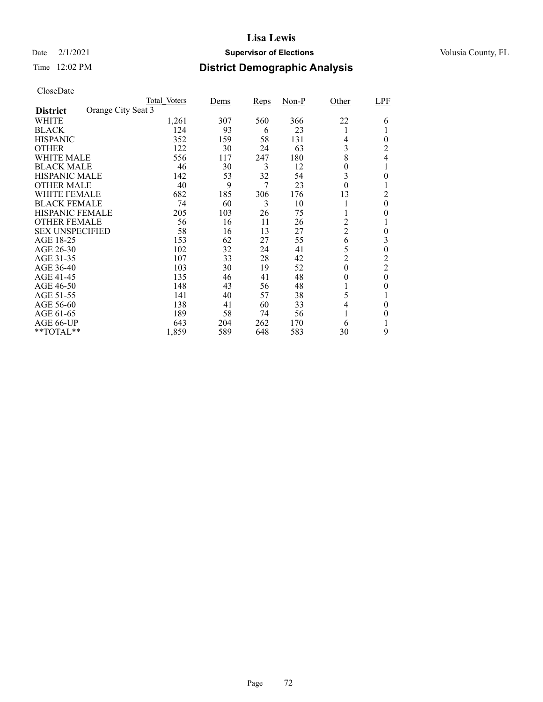# Date  $2/1/2021$  **Supervisor of Elections** Volusia County, FL

## Time 12:02 PM **District Demographic Analysis**

|                        | Total Voters       | Dems | <b>Reps</b> | $Non-P$ | Other            | LPF            |
|------------------------|--------------------|------|-------------|---------|------------------|----------------|
| <b>District</b>        | Orange City Seat 3 |      |             |         |                  |                |
| WHITE                  | 1,261              | 307  | 560         | 366     | 22               | 6              |
| <b>BLACK</b>           | 124                | 93   | 6           | 23      |                  |                |
| <b>HISPANIC</b>        | 352                | 159  | 58          | 131     | 4                | $\theta$       |
| <b>OTHER</b>           | 122                | 30   | 24          | 63      | 3                | 2              |
| WHITE MALE             | 556                | 117  | 247         | 180     | 8                | 4              |
| <b>BLACK MALE</b>      | 46                 | 30   | 3           | 12      | 0                |                |
| <b>HISPANIC MALE</b>   | 142                | 53   | 32          | 54      | 3                | 0              |
| <b>OTHER MALE</b>      | 40                 | 9    | 7           | 23      | $\boldsymbol{0}$ |                |
| WHITE FEMALE           | 682                | 185  | 306         | 176     | 13               | $\overline{c}$ |
| <b>BLACK FEMALE</b>    | 74                 | 60   | 3           | 10      |                  | $\overline{0}$ |
| HISPANIC FEMALE        | 205                | 103  | 26          | 75      |                  | 0              |
| <b>OTHER FEMALE</b>    | 56                 | 16   | 11          | 26      | 2                |                |
| <b>SEX UNSPECIFIED</b> | 58                 | 16   | 13          | 27      | $\overline{c}$   | 0              |
| AGE 18-25              | 153                | 62   | 27          | 55      | 6                | 3              |
| AGE 26-30              | 102                | 32   | 24          | 41      | 5                | 0              |
| AGE 31-35              | 107                | 33   | 28          | 42      | $\overline{2}$   | $\overline{c}$ |
| AGE 36-40              | 103                | 30   | 19          | 52      | $\boldsymbol{0}$ | $\overline{c}$ |
| AGE 41-45              | 135                | 46   | 41          | 48      | 0                | $\theta$       |
| AGE 46-50              | 148                | 43   | 56          | 48      |                  | 0              |
| AGE 51-55              | 141                | 40   | 57          | 38      | 5                |                |
| AGE 56-60              | 138                | 41   | 60          | 33      | 4                | 0              |
| AGE 61-65              | 189                | 58   | 74          | 56      |                  | 0              |
| AGE 66-UP              | 643                | 204  | 262         | 170     | 6                |                |
| **TOTAL**              | 1,859              | 589  | 648         | 583     | 30               | 9              |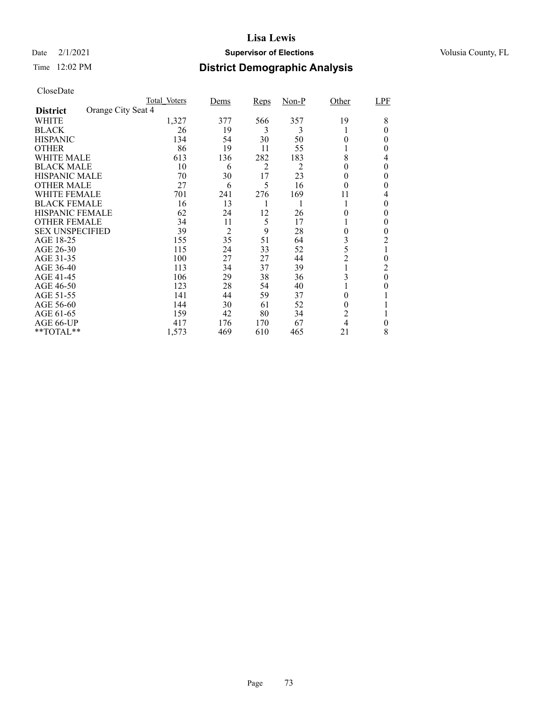# Date  $2/1/2021$  **Supervisor of Elections** Volusia County, FL

## Time 12:02 PM **District Demographic Analysis**

|                        | Total Voters       | Dems           | <b>Reps</b> | $Non-P$ | Other          | LPF      |
|------------------------|--------------------|----------------|-------------|---------|----------------|----------|
| <b>District</b>        | Orange City Seat 4 |                |             |         |                |          |
| WHITE                  | 1,327              | 377            | 566         | 357     | 19             | 8        |
| <b>BLACK</b>           | 26                 | 19             | 3           | 3       |                | 0        |
| <b>HISPANIC</b>        | 134                | 54             | 30          | 50      | 0              | 0        |
| <b>OTHER</b>           | 86                 | 19             | 11          | 55      |                | 0        |
| WHITE MALE             | 613                | 136            | 282         | 183     | 8              | 4        |
| <b>BLACK MALE</b>      | 10                 | 6              | 2           | 2       | 0              | 0        |
| <b>HISPANIC MALE</b>   | 70                 | 30             | 17          | 23      | 0              | 0        |
| <b>OTHER MALE</b>      | 27                 | 6              | 5           | 16      | $\theta$       | 0        |
| WHITE FEMALE           | 701                | 241            | 276         | 169     | 11             | 4        |
| <b>BLACK FEMALE</b>    | 16                 | 13             |             |         |                | 0        |
| <b>HISPANIC FEMALE</b> | 62                 | 24             | 12          | 26      | 0              | 0        |
| <b>OTHER FEMALE</b>    | 34                 | 11             | 5           | 17      |                | 0        |
| <b>SEX UNSPECIFIED</b> | 39                 | $\overline{2}$ | 9           | 28      | 0              | 0        |
| AGE 18-25              | 155                | 35             | 51          | 64      | 3              | 2        |
| AGE 26-30              | 115                | 24             | 33          | 52      | 5              | 1        |
| AGE 31-35              | 100                | 27             | 27          | 44      | $\overline{2}$ | 0        |
| AGE 36-40              | 113                | 34             | 37          | 39      |                | 2        |
| AGE 41-45              | 106                | 29             | 38          | 36      | 3              | $\theta$ |
| AGE 46-50              | 123                | 28             | 54          | 40      |                | 0        |
| AGE 51-55              | 141                | 44             | 59          | 37      | 0              |          |
| AGE 56-60              | 144                | 30             | 61          | 52      | 0              |          |
| AGE 61-65              | 159                | 42             | 80          | 34      | 2              |          |
| AGE 66-UP              | 417                | 176            | 170         | 67      | 4              | 0        |
| **TOTAL**              | 1,573              | 469            | 610         | 465     | 21             | 8        |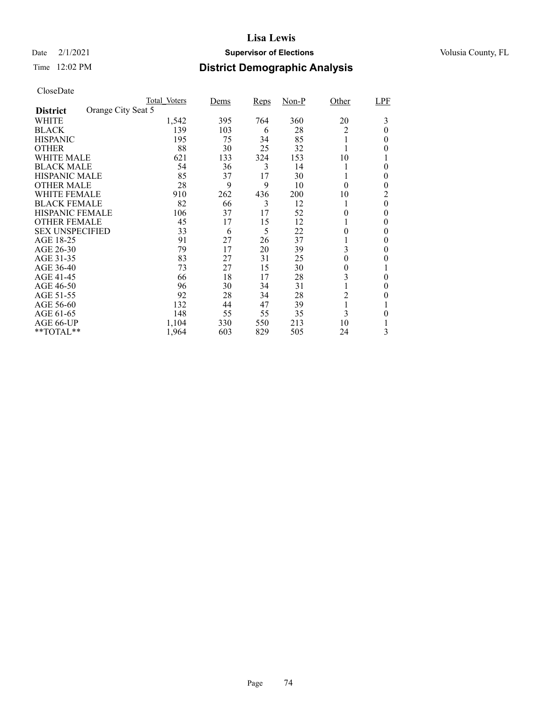## Date  $2/1/2021$  **Supervisor of Elections** Volusia County, FL

## Time 12:02 PM **District Demographic Analysis**

|                        | Total Voters       | Dems | <b>Reps</b> | $Non-P$ | Other    | LPF      |
|------------------------|--------------------|------|-------------|---------|----------|----------|
| <b>District</b>        | Orange City Seat 5 |      |             |         |          |          |
| WHITE                  | 1,542              | 395  | 764         | 360     | 20       | 3        |
| <b>BLACK</b>           | 139                | 103  | 6           | 28      | 2        | 0        |
| <b>HISPANIC</b>        | 195                | 75   | 34          | 85      |          | 0        |
| <b>OTHER</b>           | 88                 | 30   | 25          | 32      |          |          |
| WHITE MALE             | 621                | 133  | 324         | 153     | 10       |          |
| <b>BLACK MALE</b>      | 54                 | 36   | 3           | 14      |          | 0        |
| <b>HISPANIC MALE</b>   | 85                 | 37   | 17          | 30      |          | 0        |
| <b>OTHER MALE</b>      | 28                 | 9    | 9           | 10      | $\theta$ | 0        |
| WHITE FEMALE           | 910                | 262  | 436         | 200     | 10       | 2        |
| <b>BLACK FEMALE</b>    | 82                 | 66   | 3           | 12      |          | $\theta$ |
| HISPANIC FEMALE        | 106                | 37   | 17          | 52      | 0        | 0        |
| <b>OTHER FEMALE</b>    | 45                 | 17   | 15          | 12      |          | 0        |
| <b>SEX UNSPECIFIED</b> | 33                 | 6    | 5           | 22      | 0        | 0        |
| AGE 18-25              | 91                 | 27   | 26          | 37      |          | 0        |
| AGE 26-30              | 79                 | 17   | 20          | 39      | 3        | 0        |
| AGE 31-35              | 83                 | 27   | 31          | 25      | 0        | 0        |
| AGE 36-40              | 73                 | 27   | 15          | 30      | 0        |          |
| AGE 41-45              | 66                 | 18   | 17          | 28      | 3        | 0        |
| AGE 46-50              | 96                 | 30   | 34          | 31      |          | 0        |
| AGE 51-55              | 92                 | 28   | 34          | 28      | 2        |          |
| AGE 56-60              | 132                | 44   | 47          | 39      |          |          |
| AGE 61-65              | 148                | 55   | 55          | 35      | 3        | 0        |
| AGE 66-UP              | 1,104              | 330  | 550         | 213     | 10       |          |
| $*$ $TOTAL**$          | 1,964              | 603  | 829         | 505     | 24       | 3        |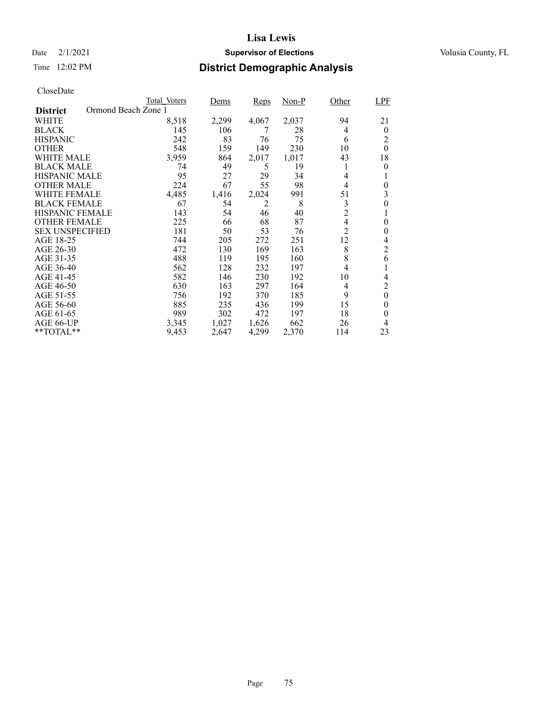# Date  $2/1/2021$  **Supervisor of Elections** Volusia County, FL

## Time 12:02 PM **District Demographic Analysis**

|                        | Total Voters        | Dems  | Reps  | Non-P | Other          | LPF              |
|------------------------|---------------------|-------|-------|-------|----------------|------------------|
| <b>District</b>        | Ormond Beach Zone 1 |       |       |       |                |                  |
| WHITE                  | 8,518               | 2,299 | 4,067 | 2,037 | 94             | 21               |
| <b>BLACK</b>           | 145                 | 106   | 7     | 28    | 4              | $\theta$         |
| <b>HISPANIC</b>        | 242                 | 83    | 76    | 75    | 6              | 2                |
| <b>OTHER</b>           | 548                 | 159   | 149   | 230   | 10             | $\theta$         |
| WHITE MALE             | 3,959               | 864   | 2,017 | 1,017 | 43             | 18               |
| <b>BLACK MALE</b>      | 74                  | 49    | 5     | 19    | 1              | $\theta$         |
| <b>HISPANIC MALE</b>   | 95                  | 27    | 29    | 34    | 4              |                  |
| <b>OTHER MALE</b>      | 224                 | 67    | 55    | 98    | $\overline{4}$ | 0                |
| <b>WHITE FEMALE</b>    | 4,485               | 1,416 | 2,024 | 991   | 51             | 3                |
| <b>BLACK FEMALE</b>    | 67                  | 54    | 2     | 8     | $\mathfrak{Z}$ | $\theta$         |
| HISPANIC FEMALE        | 143                 | 54    | 46    | 40    | $\overline{c}$ |                  |
| <b>OTHER FEMALE</b>    | 225                 | 66    | 68    | 87    | $\overline{4}$ | $\theta$         |
| <b>SEX UNSPECIFIED</b> | 181                 | 50    | 53    | 76    | $\overline{c}$ | 0                |
| AGE 18-25              | 744                 | 205   | 272   | 251   | 12             | 4                |
| AGE 26-30              | 472                 | 130   | 169   | 163   | 8              | 2                |
| AGE 31-35              | 488                 | 119   | 195   | 160   | 8              | 6                |
| AGE 36-40              | 562                 | 128   | 232   | 197   | 4              |                  |
| AGE 41-45              | 582                 | 146   | 230   | 192   | 10             | 4                |
| AGE 46-50              | 630                 | 163   | 297   | 164   | 4              | $\overline{2}$   |
| AGE 51-55              | 756                 | 192   | 370   | 185   | 9              | $\boldsymbol{0}$ |
| AGE 56-60              | 885                 | 235   | 436   | 199   | 15             | 0                |
| AGE 61-65              | 989                 | 302   | 472   | 197   | 18             | 0                |
| AGE 66-UP              | 3,345               | 1,027 | 1,626 | 662   | 26             | 4                |
| **TOTAL**              | 9,453               | 2,647 | 4,299 | 2,370 | 114            | 23               |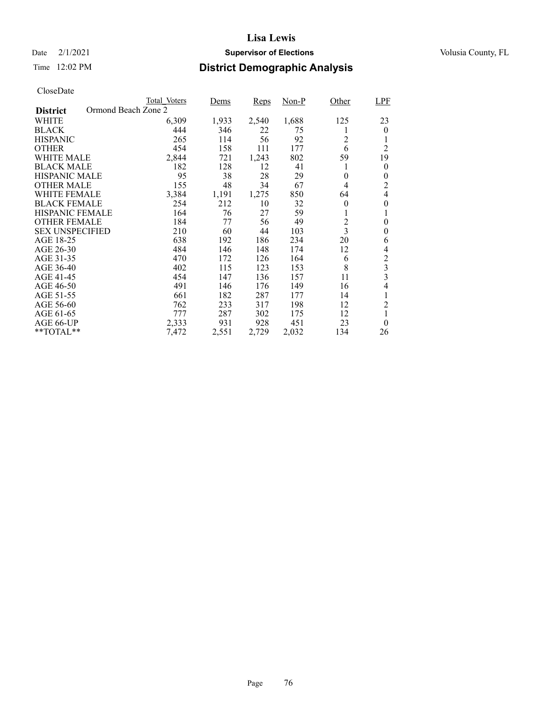# Date  $2/1/2021$  **Supervisor of Elections** Volusia County, FL

## Time 12:02 PM **District Demographic Analysis**

|                        |                     | Total Voters | Dems  | Reps  | $Non-P$ | Other                   | <b>LPF</b>              |
|------------------------|---------------------|--------------|-------|-------|---------|-------------------------|-------------------------|
| <b>District</b>        | Ormond Beach Zone 2 |              |       |       |         |                         |                         |
| WHITE                  |                     | 6,309        | 1,933 | 2,540 | 1,688   | 125                     | 23                      |
| <b>BLACK</b>           |                     | 444          | 346   | 22    | 75      | l                       | $\theta$                |
| <b>HISPANIC</b>        |                     | 265          | 114   | 56    | 92      | $\overline{c}$          | 1                       |
| <b>OTHER</b>           |                     | 454          | 158   | 111   | 177     | 6                       | $\overline{2}$          |
| <b>WHITE MALE</b>      |                     | 2,844        | 721   | 1,243 | 802     | 59                      | 19                      |
| <b>BLACK MALE</b>      |                     | 182          | 128   | 12    | 41      | 1                       | $\theta$                |
| <b>HISPANIC MALE</b>   |                     | 95           | 38    | 28    | 29      | 0                       | 0                       |
| <b>OTHER MALE</b>      |                     | 155          | 48    | 34    | 67      | 4                       | 2                       |
| WHITE FEMALE           |                     | 3,384        | 1,191 | 1,275 | 850     | 64                      | 4                       |
| <b>BLACK FEMALE</b>    |                     | 254          | 212   | 10    | 32      | $\theta$                | 0                       |
| <b>HISPANIC FEMALE</b> |                     | 164          | 76    | 27    | 59      | 1                       | 1                       |
| <b>OTHER FEMALE</b>    |                     | 184          | 77    | 56    | 49      | $\overline{c}$          | $\overline{0}$          |
| <b>SEX UNSPECIFIED</b> |                     | 210          | 60    | 44    | 103     | $\overline{\mathbf{3}}$ | $\overline{0}$          |
| AGE 18-25              |                     | 638          | 192   | 186   | 234     | 20                      | 6                       |
| AGE 26-30              |                     | 484          | 146   | 148   | 174     | 12                      | 4                       |
| AGE 31-35              |                     | 470          | 172   | 126   | 164     | 6                       | $\overline{c}$          |
| AGE 36-40              |                     | 402          | 115   | 123   | 153     | 8                       | $\overline{\mathbf{3}}$ |
| AGE 41-45              |                     | 454          | 147   | 136   | 157     | 11                      | 3                       |
| AGE 46-50              |                     | 491          | 146   | 176   | 149     | 16                      | 4                       |
| AGE 51-55              |                     | 661          | 182   | 287   | 177     | 14                      | 1                       |
| AGE 56-60              |                     | 762          | 233   | 317   | 198     | 12                      | $\overline{c}$          |
| AGE 61-65              |                     | 777          | 287   | 302   | 175     | 12                      | 1                       |
| AGE 66-UP              |                     | 2,333        | 931   | 928   | 451     | 23                      | $\theta$                |
| **TOTAL**              |                     | 7,472        | 2,551 | 2,729 | 2,032   | 134                     | 26                      |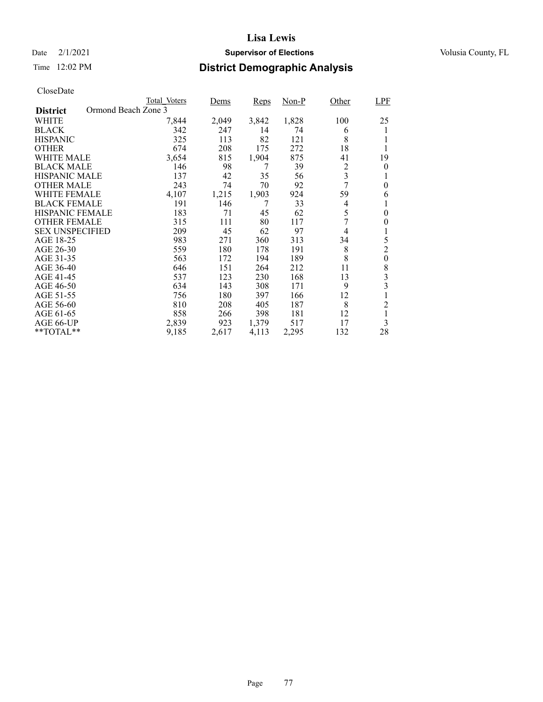# Date  $2/1/2021$  **Supervisor of Elections** Volusia County, FL

## Time 12:02 PM **District Demographic Analysis**

|                        |                     | Total Voters | Dems  | Reps  | $Non-P$ | Other          | LPF                     |
|------------------------|---------------------|--------------|-------|-------|---------|----------------|-------------------------|
| <b>District</b>        | Ormond Beach Zone 3 |              |       |       |         |                |                         |
| WHITE                  |                     | 7,844        | 2,049 | 3,842 | 1,828   | 100            | 25                      |
| <b>BLACK</b>           |                     | 342          | 247   | 14    | 74      | 6              | 1                       |
| <b>HISPANIC</b>        |                     | 325          | 113   | 82    | 121     | 8              |                         |
| <b>OTHER</b>           |                     | 674          | 208   | 175   | 272     | 18             | 1                       |
| <b>WHITE MALE</b>      |                     | 3,654        | 815   | 1,904 | 875     | 41             | 19                      |
| <b>BLACK MALE</b>      |                     | 146          | 98    | 7     | 39      | $\overline{c}$ | $\theta$                |
| <b>HISPANIC MALE</b>   |                     | 137          | 42    | 35    | 56      | 3              | 1                       |
| <b>OTHER MALE</b>      |                     | 243          | 74    | 70    | 92      | 7              | $\overline{0}$          |
| WHITE FEMALE           |                     | 4,107        | 1,215 | 1,903 | 924     | 59             | 6                       |
| <b>BLACK FEMALE</b>    |                     | 191          | 146   | 7     | 33      | 4              | 1                       |
| <b>HISPANIC FEMALE</b> |                     | 183          | 71    | 45    | 62      | 5              | $\overline{0}$          |
| <b>OTHER FEMALE</b>    |                     | 315          | 111   | 80    | 117     | 7              | 0                       |
| <b>SEX UNSPECIFIED</b> |                     | 209          | 45    | 62    | 97      | 4              | 1                       |
| AGE 18-25              |                     | 983          | 271   | 360   | 313     | 34             | 5                       |
| AGE 26-30              |                     | 559          | 180   | 178   | 191     | 8              | $\overline{c}$          |
| AGE 31-35              |                     | 563          | 172   | 194   | 189     | 8              | $\boldsymbol{0}$        |
| AGE 36-40              |                     | 646          | 151   | 264   | 212     | 11             | 8                       |
| AGE 41-45              |                     | 537          | 123   | 230   | 168     | 13             | $\overline{\mathbf{3}}$ |
| AGE 46-50              |                     | 634          | 143   | 308   | 171     | 9              | 3                       |
| AGE 51-55              |                     | 756          | 180   | 397   | 166     | 12             |                         |
| AGE 56-60              |                     | 810          | 208   | 405   | 187     | 8              | $\overline{2}$          |
| AGE 61-65              |                     | 858          | 266   | 398   | 181     | 12             | 1                       |
| AGE 66-UP              |                     | 2,839        | 923   | 1,379 | 517     | 17             | 3                       |
| **TOTAL**              |                     | 9,185        | 2,617 | 4,113 | 2,295   | 132            | 28                      |
|                        |                     |              |       |       |         |                |                         |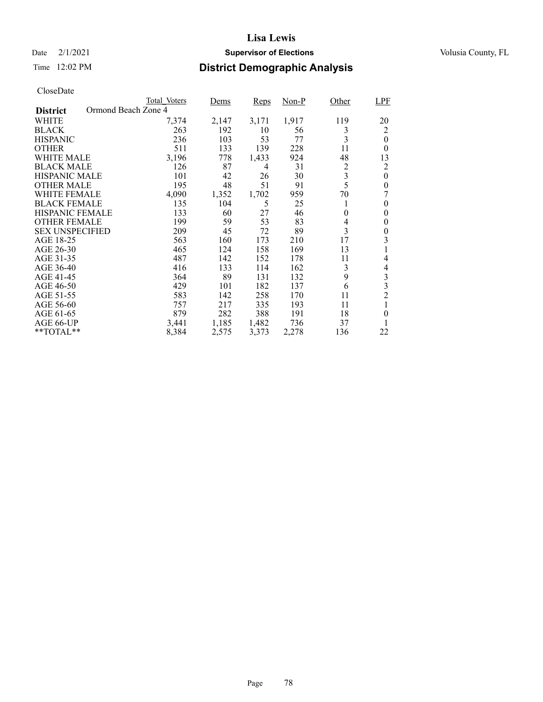# Date  $2/1/2021$  **Supervisor of Elections** Volusia County, FL

## Time 12:02 PM **District Demographic Analysis**

|                                        | Total Voters | Dems  | Reps  | $Non-P$ | Other    | LPF            |
|----------------------------------------|--------------|-------|-------|---------|----------|----------------|
| Ormond Beach Zone 4<br><b>District</b> |              |       |       |         |          |                |
| WHITE                                  | 7,374        | 2,147 | 3,171 | 1,917   | 119      | 20             |
| <b>BLACK</b>                           | 263          | 192   | 10    | 56      | 3        | 2              |
| <b>HISPANIC</b>                        | 236          | 103   | 53    | 77      | 3        | $\theta$       |
| <b>OTHER</b>                           | 511          | 133   | 139   | 228     | 11       | $\theta$       |
| WHITE MALE                             | 3,196        | 778   | 1,433 | 924     | 48       | 13             |
| <b>BLACK MALE</b>                      | 126          | 87    | 4     | 31      | 2        | 2              |
| <b>HISPANIC MALE</b>                   | 101          | 42    | 26    | 30      | 3        | $\overline{0}$ |
| <b>OTHER MALE</b>                      | 195          | 48    | 51    | 91      | 5        | $\theta$       |
| WHITE FEMALE                           | 4,090        | 1,352 | 1,702 | 959     | 70       | 7              |
| <b>BLACK FEMALE</b>                    | 135          | 104   | 5     | 25      | 1        | 0              |
| <b>HISPANIC FEMALE</b>                 | 133          | 60    | 27    | 46      | $\theta$ | 0              |
| <b>OTHER FEMALE</b>                    | 199          | 59    | 53    | 83      | 4        | 0              |
| <b>SEX UNSPECIFIED</b>                 | 209          | 45    | 72    | 89      | 3        | 0              |
| AGE 18-25                              | 563          | 160   | 173   | 210     | 17       | 3              |
| AGE 26-30                              | 465          | 124   | 158   | 169     | 13       |                |
| AGE 31-35                              | 487          | 142   | 152   | 178     | 11       | 4              |
| AGE 36-40                              | 416          | 133   | 114   | 162     | 3        | 4              |
| AGE 41-45                              | 364          | 89    | 131   | 132     | 9        | 3              |
| AGE 46-50                              | 429          | 101   | 182   | 137     | 6        | 3              |
| AGE 51-55                              | 583          | 142   | 258   | 170     | 11       | $\overline{c}$ |
| AGE 56-60                              | 757          | 217   | 335   | 193     | 11       | 1              |
| AGE 61-65                              | 879          | 282   | 388   | 191     | 18       | $\theta$       |
| AGE 66-UP                              | 3,441        | 1,185 | 1,482 | 736     | 37       |                |
| **TOTAL**                              | 8,384        | 2,575 | 3,373 | 2,278   | 136      | 22             |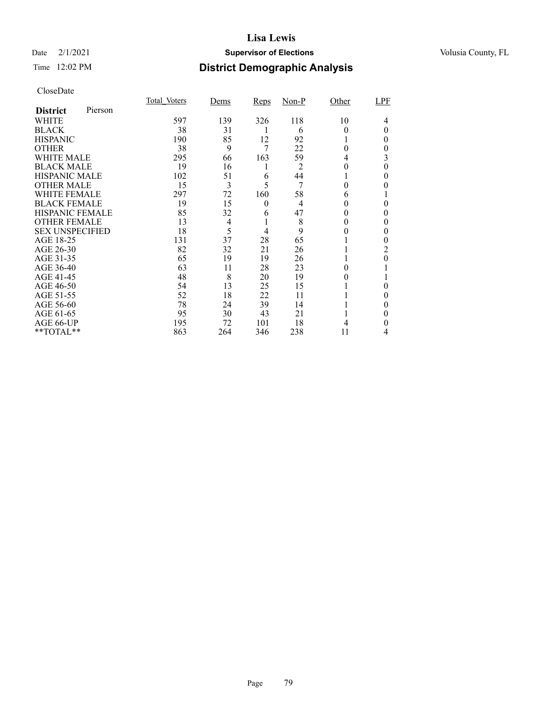## Date  $2/1/2021$  **Supervisor of Elections** Volusia County, FL

## Time 12:02 PM **District Demographic Analysis**

|                        |         | Total Voters | Dems | Reps     | $Non-P$        | Other | LPF |
|------------------------|---------|--------------|------|----------|----------------|-------|-----|
| <b>District</b>        | Pierson |              |      |          |                |       |     |
| WHITE                  |         | 597          | 139  | 326      | 118            | 10    | 4   |
| <b>BLACK</b>           |         | 38           | 31   |          | 6              | 0     | 0   |
| <b>HISPANIC</b>        |         | 190          | 85   | 12       | 92             |       | 0   |
| <b>OTHER</b>           |         | 38           | 9    | 7        | 22             | 0     | 0   |
| WHITE MALE             |         | 295          | 66   | 163      | 59             | 4     | 3   |
| <b>BLACK MALE</b>      |         | 19           | 16   | 1        | $\overline{2}$ | 0     | 0   |
| <b>HISPANIC MALE</b>   |         | 102          | 51   | 6        | 44             |       | 0   |
| <b>OTHER MALE</b>      |         | 15           | 3    | 5        | 7              | 0     | 0   |
| <b>WHITE FEMALE</b>    |         | 297          | 72   | 160      | 58             | 6     |     |
| <b>BLACK FEMALE</b>    |         | 19           | 15   | $\theta$ | 4              | 0     | 0   |
| HISPANIC FEMALE        |         | 85           | 32   | 6        | 47             | 0     | 0   |
| <b>OTHER FEMALE</b>    |         | 13           | 4    |          | 8              | 0     | 0   |
| <b>SEX UNSPECIFIED</b> |         | 18           | 5    | 4        | 9              |       | 0   |
| AGE 18-25              |         | 131          | 37   | 28       | 65             |       | 0   |
| AGE 26-30              |         | 82           | 32   | 21       | 26             |       | 2   |
| AGE 31-35              |         | 65           | 19   | 19       | 26             |       | 0   |
| AGE 36-40              |         | 63           | 11   | 28       | 23             | 0     |     |
| AGE 41-45              |         | 48           | 8    | 20       | 19             |       |     |
| AGE 46-50              |         | 54           | 13   | 25       | 15             |       | 0   |
| AGE 51-55              |         | 52           | 18   | 22       | 11             |       | 0   |
| AGE 56-60              |         | 78           | 24   | 39       | 14             |       |     |
| AGE 61-65              |         | 95           | 30   | 43       | 21             |       | 0   |
| AGE 66-UP              |         | 195          | 72   | 101      | 18             |       | 0   |
| **TOTAL**              |         | 863          | 264  | 346      | 238            | 11    | 4   |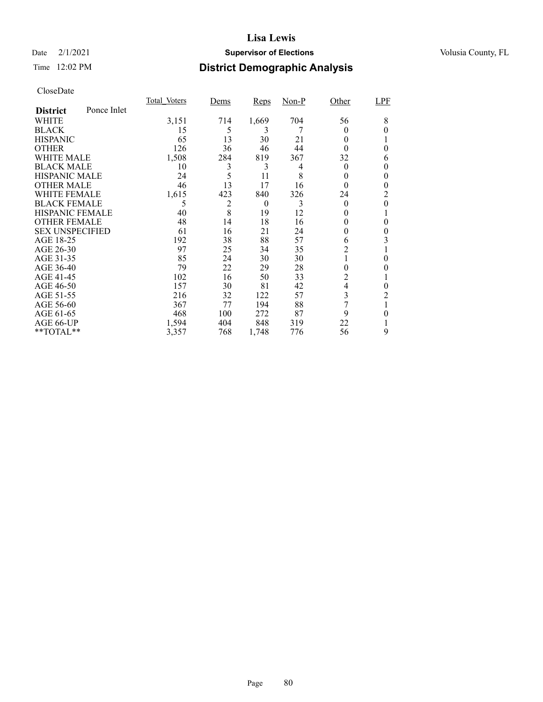## Date  $2/1/2021$  **Supervisor of Elections** Volusia County, FL

## Time 12:02 PM **District Demographic Analysis**

|                        |             | <b>Total Voters</b> | Dems | Reps     | $Non-P$ | Other          | LPF |
|------------------------|-------------|---------------------|------|----------|---------|----------------|-----|
| <b>District</b>        | Ponce Inlet |                     |      |          |         |                |     |
| WHITE                  |             | 3,151               | 714  | 1,669    | 704     | 56             | 8   |
| <b>BLACK</b>           |             | 15                  | 5    | 3        |         | $\theta$       | 0   |
| <b>HISPANIC</b>        |             | 65                  | 13   | 30       | 21      | $_{0}$         |     |
| <b>OTHER</b>           |             | 126                 | 36   | 46       | 44      | $\Omega$       | 0   |
| WHITE MALE             |             | 1,508               | 284  | 819      | 367     | 32             | 6   |
| <b>BLACK MALE</b>      |             | 10                  | 3    | 3        | 4       | $\theta$       | 0   |
| <b>HISPANIC MALE</b>   |             | 24                  | 5    | 11       | 8       | 0              | 0   |
| <b>OTHER MALE</b>      |             | 46                  | 13   | 17       | 16      | $\Omega$       | 0   |
| <b>WHITE FEMALE</b>    |             | 1,615               | 423  | 840      | 326     | 24             | 2   |
| <b>BLACK FEMALE</b>    |             | 5                   | 2    | $\theta$ | 3       | $\theta$       | 0   |
| HISPANIC FEMALE        |             | 40                  | 8    | 19       | 12      | $_{0}$         |     |
| <b>OTHER FEMALE</b>    |             | 48                  | 14   | 18       | 16      | $_{0}$         | 0   |
| <b>SEX UNSPECIFIED</b> |             | 61                  | 16   | 21       | 24      | $\theta$       | 0   |
| AGE 18-25              |             | 192                 | 38   | 88       | 57      | 6              | 3   |
| AGE 26-30              |             | 97                  | 25   | 34       | 35      | $\overline{2}$ |     |
| AGE 31-35              |             | 85                  | 24   | 30       | 30      |                | 0   |
| AGE 36-40              |             | 79                  | 22   | 29       | 28      | 0              | 0   |
| AGE 41-45              |             | 102                 | 16   | 50       | 33      | 2              |     |
| AGE 46-50              |             | 157                 | 30   | 81       | 42      | $\overline{4}$ | 0   |
| AGE 51-55              |             | 216                 | 32   | 122      | 57      | 3              | 2   |
| AGE 56-60              |             | 367                 | 77   | 194      | 88      | 7              |     |
| AGE 61-65              |             | 468                 | 100  | 272      | 87      | 9              | 0   |
| AGE 66-UP              |             | 1,594               | 404  | 848      | 319     | 22             |     |
| **TOTAL**              |             | 3,357               | 768  | 1,748    | 776     | 56             | 9   |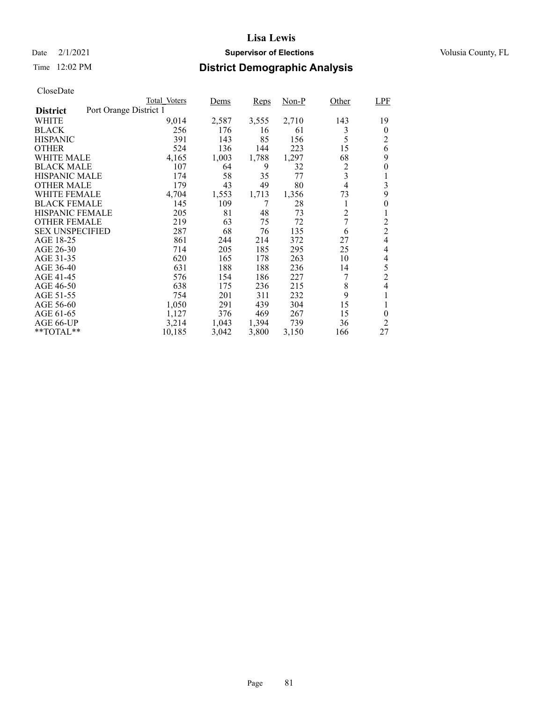## Date  $2/1/2021$  **Supervisor of Elections** Volusia County, FL

## Time 12:02 PM **District Demographic Analysis**

|                        | Total Voters           | Dems  | Reps  | $Non-P$ | Other          | <b>LPF</b>               |
|------------------------|------------------------|-------|-------|---------|----------------|--------------------------|
| <b>District</b>        | Port Orange District 1 |       |       |         |                |                          |
| WHITE                  | 9,014                  | 2,587 | 3,555 | 2,710   | 143            | 19                       |
| <b>BLACK</b>           | 256                    | 176   | 16    | 61      | 3              | $\theta$                 |
| <b>HISPANIC</b>        | 391                    | 143   | 85    | 156     | 5              | 2                        |
| <b>OTHER</b>           | 524                    | 136   | 144   | 223     | 15             | 6                        |
| WHITE MALE             | 4,165                  | 1,003 | 1,788 | 1,297   | 68             | 9                        |
| <b>BLACK MALE</b>      | 107                    | 64    | 9     | 32      | 2              | $\overline{0}$           |
| <b>HISPANIC MALE</b>   | 174                    | 58    | 35    | 77      | 3              |                          |
| <b>OTHER MALE</b>      | 179                    | 43    | 49    | 80      | $\overline{4}$ | 3                        |
| WHITE FEMALE           | 4,704                  | 1,553 | 1,713 | 1,356   | 73             | 9                        |
| <b>BLACK FEMALE</b>    | 145                    | 109   | 7     | 28      | 1              | $\theta$                 |
| <b>HISPANIC FEMALE</b> | 205                    | 81    | 48    | 73      | 2              | 1                        |
| <b>OTHER FEMALE</b>    | 219                    | 63    | 75    | 72      | 7              | $\overline{c}$           |
| <b>SEX UNSPECIFIED</b> | 287                    | 68    | 76    | 135     | 6              | $\overline{c}$           |
| AGE 18-25              | 861                    | 244   | 214   | 372     | 27             | $\overline{4}$           |
| AGE 26-30              | 714                    | 205   | 185   | 295     | 25             | 4                        |
| AGE 31-35              | 620                    | 165   | 178   | 263     | 10             | 4                        |
| AGE 36-40              | 631                    | 188   | 188   | 236     | 14             | 5                        |
| AGE 41-45              | 576                    | 154   | 186   | 227     | 7              | $\overline{c}$           |
| AGE 46-50              | 638                    | 175   | 236   | 215     | 8              | $\overline{\mathcal{L}}$ |
| AGE 51-55              | 754                    | 201   | 311   | 232     | 9              |                          |
| AGE 56-60              | 1,050                  | 291   | 439   | 304     | 15             |                          |
| AGE 61-65              | 1,127                  | 376   | 469   | 267     | 15             | $\theta$                 |
| AGE 66-UP              | 3,214                  | 1,043 | 1,394 | 739     | 36             | 2                        |
| **TOTAL**              | 10,185                 | 3,042 | 3,800 | 3,150   | 166            | 27                       |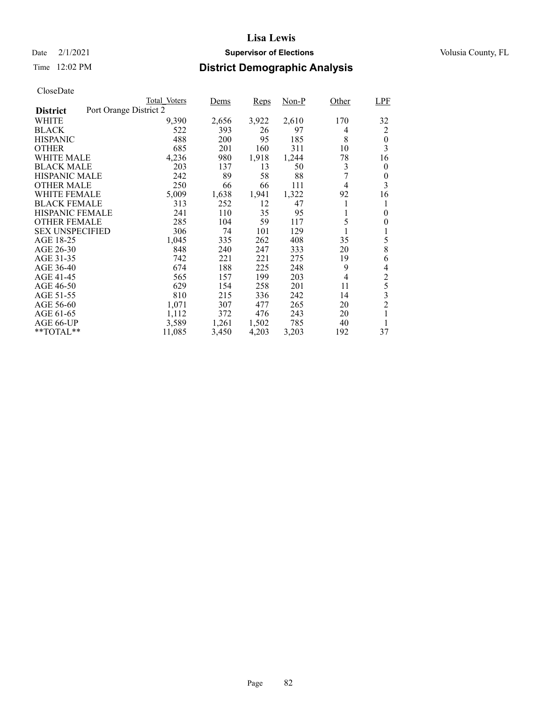## Date  $2/1/2021$  **Supervisor of Elections** Volusia County, FL

## Time 12:02 PM **District Demographic Analysis**

| Total Voters | Dems                                 | Reps  | $Non-P$ | Other          | LPF            |
|--------------|--------------------------------------|-------|---------|----------------|----------------|
|              |                                      |       |         |                |                |
| 9,390        | 2,656                                | 3,922 | 2,610   | 170            | 32             |
| 522          | 393                                  | 26    | 97      | 4              | 2              |
| 488          | 200                                  | 95    | 185     | 8              | $\theta$       |
| 685          | 201                                  | 160   | 311     | 10             | 3              |
| 4,236        | 980                                  | 1,918 | 1,244   | 78             | 16             |
| 203          | 137                                  | 13    | 50      | 3              | 0              |
| 242          | 89                                   | 58    | 88      |                | 0              |
| 250          | 66                                   | 66    | 111     | $\overline{4}$ | 3              |
| 5,009        | 1,638                                | 1,941 | 1,322   | 92             | 16             |
| 313          | 252                                  | 12    | 47      |                |                |
| 241          | 110                                  | 35    | 95      | 1              | 0              |
| 285          | 104                                  | 59    | 117     | 5              | 0              |
| 306          | 74                                   | 101   | 129     |                |                |
| 1,045        | 335                                  | 262   | 408     | 35             | 5              |
|              | 240                                  | 247   | 333     | 20             | 8              |
| 742          | 221                                  | 221   | 275     | 19             | 6              |
| 674          | 188                                  | 225   | 248     | 9              | 4              |
| 565          | 157                                  | 199   | 203     | $\overline{4}$ | $\overline{c}$ |
| 629          | 154                                  | 258   | 201     | 11             | 5              |
|              | 215                                  | 336   | 242     | 14             | 3              |
| 1,071        | 307                                  | 477   | 265     | 20             | $\overline{c}$ |
| 1,112        | 372                                  | 476   | 243     | 20             |                |
| 3,589        | 1,261                                | 1,502 | 785     | 40             |                |
| 11,085       | 3,450                                | 4,203 | 3,203   | 192            | 37             |
|              | Port Orange District 2<br>848<br>810 |       |         |                |                |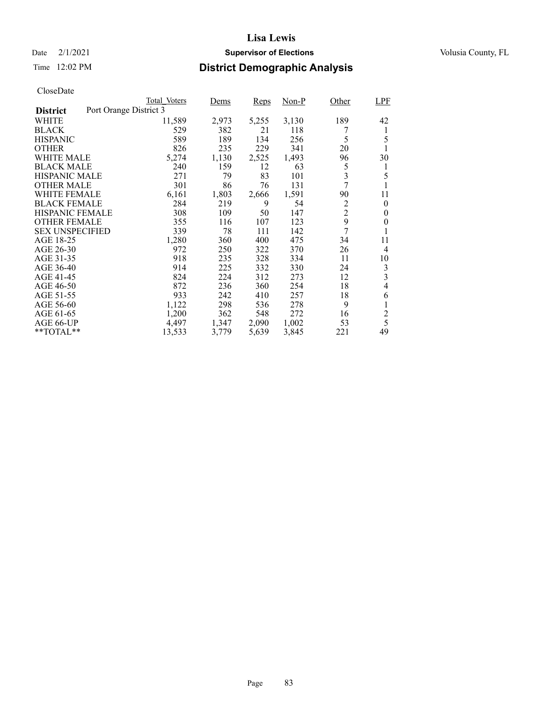## Date  $2/1/2021$  **Supervisor of Elections** Volusia County, FL

## Time 12:02 PM **District Demographic Analysis**

|                                           | Total Voters | Dems  | Reps  | $Non-P$ | Other          | LPF              |
|-------------------------------------------|--------------|-------|-------|---------|----------------|------------------|
| Port Orange District 3<br><b>District</b> |              |       |       |         |                |                  |
| WHITE                                     | 11,589       | 2,973 | 5,255 | 3,130   | 189            | 42               |
| <b>BLACK</b>                              | 529          | 382   | 21    | 118     |                | 1                |
| <b>HISPANIC</b>                           | 589          | 189   | 134   | 256     | 5              | 5                |
| <b>OTHER</b>                              | 826          | 235   | 229   | 341     | 20             |                  |
| WHITE MALE                                | 5,274        | 1,130 | 2,525 | 1,493   | 96             | 30               |
| <b>BLACK MALE</b>                         | 240          | 159   | 12    | 63      | 5              | 1                |
| <b>HISPANIC MALE</b>                      | 271          | 79    | 83    | 101     | 3              | 5                |
| <b>OTHER MALE</b>                         | 301          | 86    | 76    | 131     | 7              |                  |
| <b>WHITE FEMALE</b>                       | 6,161        | 1,803 | 2,666 | 1,591   | 90             | 11               |
| <b>BLACK FEMALE</b>                       | 284          | 219   | 9     | 54      | 2              | $\theta$         |
| <b>HISPANIC FEMALE</b>                    | 308          | 109   | 50    | 147     | $\overline{c}$ | $\boldsymbol{0}$ |
| <b>OTHER FEMALE</b>                       | 355          | 116   | 107   | 123     | 9              | $\boldsymbol{0}$ |
| <b>SEX UNSPECIFIED</b>                    | 339          | 78    | 111   | 142     | $\overline{7}$ |                  |
| AGE 18-25                                 | 1,280        | 360   | 400   | 475     | 34             | 11               |
| AGE 26-30                                 | 972          | 250   | 322   | 370     | 26             | 4                |
| AGE 31-35                                 | 918          | 235   | 328   | 334     | 11             | 10               |
| AGE 36-40                                 | 914          | 225   | 332   | 330     | 24             | 3                |
| AGE 41-45                                 | 824          | 224   | 312   | 273     | 12             | 3                |
| AGE 46-50                                 | 872          | 236   | 360   | 254     | 18             | 4                |
| AGE 51-55                                 | 933          | 242   | 410   | 257     | 18             | 6                |
| AGE 56-60                                 | 1,122        | 298   | 536   | 278     | 9              |                  |
| AGE 61-65                                 | 1,200        | 362   | 548   | 272     | 16             | $\overline{c}$   |
| AGE 66-UP                                 | 4,497        | 1,347 | 2,090 | 1,002   | 53             | 5                |
| **TOTAL**                                 | 13,533       | 3,779 | 5,639 | 3,845   | 221            | 49               |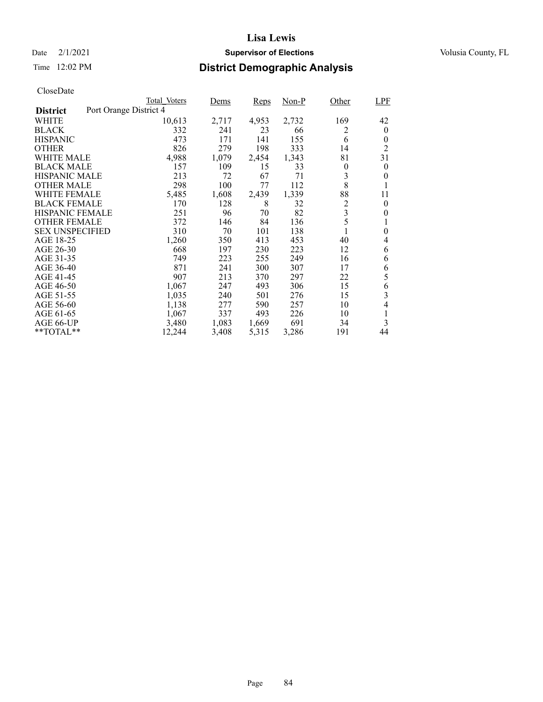## Date  $2/1/2021$  **Supervisor of Elections** Volusia County, FL

## Time 12:02 PM **District Demographic Analysis**

|                                           | Total Voters | Dems  | Reps  | $Non-P$ | Other                   | LPF            |
|-------------------------------------------|--------------|-------|-------|---------|-------------------------|----------------|
| Port Orange District 4<br><b>District</b> |              |       |       |         |                         |                |
| WHITE                                     | 10,613       | 2,717 | 4,953 | 2,732   | 169                     | 42             |
| <b>BLACK</b>                              | 332          | 241   | 23    | 66      | 2                       | $\bf{0}$       |
| <b>HISPANIC</b>                           | 473          | 171   | 141   | 155     | 6                       | $\theta$       |
| <b>OTHER</b>                              | 826          | 279   | 198   | 333     | 14                      | 2              |
| WHITE MALE                                | 4,988        | 1,079 | 2,454 | 1,343   | 81                      | 31             |
| <b>BLACK MALE</b>                         | 157          | 109   | 15    | 33      | $\overline{0}$          | $\bf{0}$       |
| <b>HISPANIC MALE</b>                      | 213          | 72    | 67    | 71      | 3                       | 0              |
| <b>OTHER MALE</b>                         | 298          | 100   | 77    | 112     | 8                       |                |
| <b>WHITE FEMALE</b>                       | 5,485        | 1,608 | 2,439 | 1,339   | 88                      | 11             |
| <b>BLACK FEMALE</b>                       | 170          | 128   | 8     | 32      | $\overline{c}$          | $\theta$       |
| <b>HISPANIC FEMALE</b>                    | 251          | 96    | 70    | 82      | $\overline{\mathbf{3}}$ | 0              |
| <b>OTHER FEMALE</b>                       | 372          | 146   | 84    | 136     | 5                       |                |
| <b>SEX UNSPECIFIED</b>                    | 310          | 70    | 101   | 138     |                         | $\theta$       |
| AGE 18-25                                 | 1,260        | 350   | 413   | 453     | 40                      | 4              |
| AGE 26-30                                 | 668          | 197   | 230   | 223     | 12                      | 6              |
| AGE 31-35                                 | 749          | 223   | 255   | 249     | 16                      | 6              |
| AGE 36-40                                 | 871          | 241   | 300   | 307     | 17                      | 6              |
| AGE 41-45                                 | 907          | 213   | 370   | 297     | 22                      | 5              |
| AGE 46-50                                 | 1,067        | 247   | 493   | 306     | 15                      | 6              |
| AGE 51-55                                 | 1,035        | 240   | 501   | 276     | 15                      | 3              |
| AGE 56-60                                 | 1,138        | 277   | 590   | 257     | 10                      | $\overline{4}$ |
| AGE 61-65                                 | 1,067        | 337   | 493   | 226     | 10                      | 1              |
| AGE 66-UP                                 | 3,480        | 1,083 | 1,669 | 691     | 34                      | 3              |
| **TOTAL**                                 | 12,244       | 3,408 | 5,315 | 3,286   | 191                     | 44             |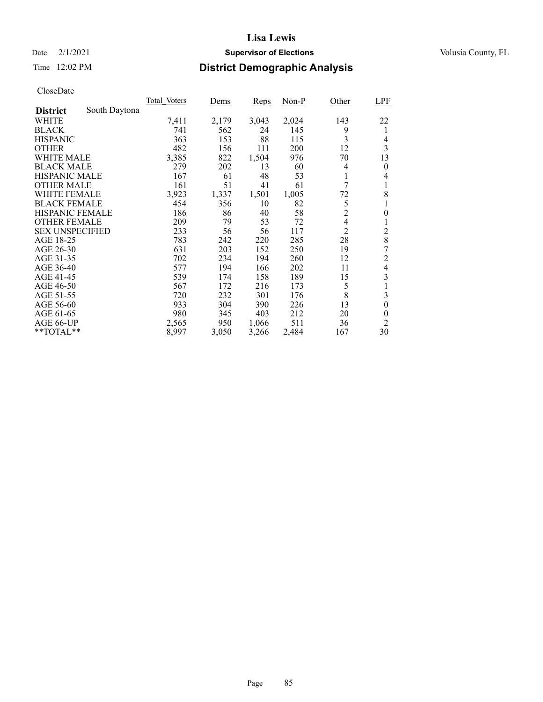## Date  $2/1/2021$  **Supervisor of Elections** Volusia County, FL

## Time 12:02 PM **District Demographic Analysis**

|                        |               | Total Voters | Dems  | Reps  | $Non-P$ | Other          | LPF              |
|------------------------|---------------|--------------|-------|-------|---------|----------------|------------------|
| <b>District</b>        | South Daytona |              |       |       |         |                |                  |
| WHITE                  |               | 7,411        | 2,179 | 3,043 | 2,024   | 143            | 22               |
| <b>BLACK</b>           |               | 741          | 562   | 24    | 145     | 9              | 1                |
| <b>HISPANIC</b>        |               | 363          | 153   | 88    | 115     | 3              | 4                |
| <b>OTHER</b>           |               | 482          | 156   | 111   | 200     | 12             | 3                |
| WHITE MALE             |               | 3,385        | 822   | 1,504 | 976     | 70             | 13               |
| <b>BLACK MALE</b>      |               | 279          | 202   | 13    | 60      | 4              | $\theta$         |
| <b>HISPANIC MALE</b>   |               | 167          | 61    | 48    | 53      | 1              | 4                |
| <b>OTHER MALE</b>      |               | 161          | 51    | 41    | 61      | 7              |                  |
| <b>WHITE FEMALE</b>    |               | 3,923        | 1,337 | 1,501 | 1,005   | 72             | 8                |
| <b>BLACK FEMALE</b>    |               | 454          | 356   | 10    | 82      | 5              |                  |
| <b>HISPANIC FEMALE</b> |               | 186          | 86    | 40    | 58      | $\overline{c}$ | $\boldsymbol{0}$ |
| <b>OTHER FEMALE</b>    |               | 209          | 79    | 53    | 72      | $\overline{4}$ | 1                |
| <b>SEX UNSPECIFIED</b> |               | 233          | 56    | 56    | 117     | $\overline{c}$ | $\overline{c}$   |
| AGE 18-25              |               | 783          | 242   | 220   | 285     | 28             | 8                |
| AGE 26-30              |               | 631          | 203   | 152   | 250     | 19             | 7                |
| AGE 31-35              |               | 702          | 234   | 194   | 260     | 12             | $\overline{c}$   |
| AGE 36-40              |               | 577          | 194   | 166   | 202     | 11             | 4                |
| AGE 41-45              |               | 539          | 174   | 158   | 189     | 15             | 3                |
| AGE 46-50              |               | 567          | 172   | 216   | 173     | 5              |                  |
| AGE 51-55              |               | 720          | 232   | 301   | 176     | 8              | 3                |
| AGE 56-60              |               | 933          | 304   | 390   | 226     | 13             | 0                |
| AGE 61-65              |               | 980          | 345   | 403   | 212     | 20             | $\theta$         |
| AGE 66-UP              |               | 2,565        | 950   | 1,066 | 511     | 36             | $\overline{2}$   |
| **TOTAL**              |               | 8,997        | 3,050 | 3,266 | 2,484   | 167            | 30               |